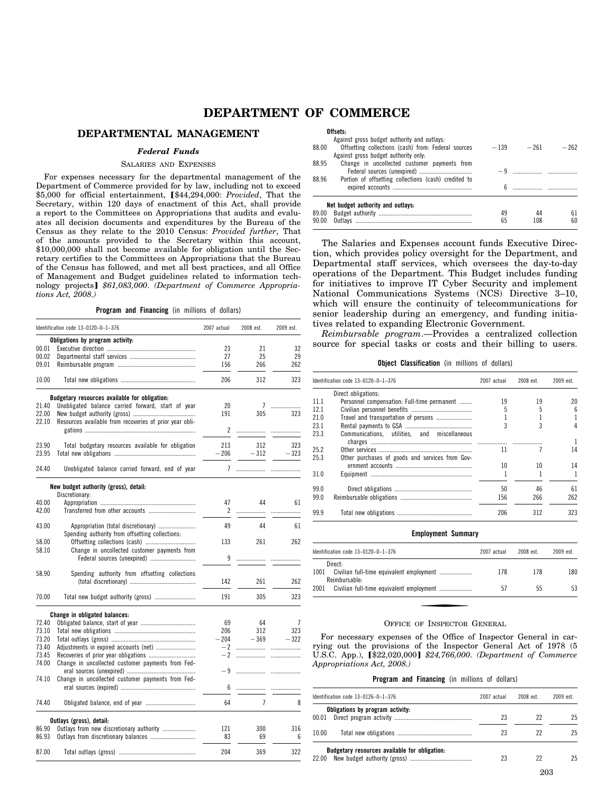# **DEPARTMENT OF COMMERCE**

# **DEPARTMENTAL MANAGEMENT**

# *Federal Funds*

# SALARIES AND EXPENSES

For expenses necessary for the departmental management of the Department of Commerce provided for by law, including not to exceed \$5,000 for official entertainment, [\$44,294,000: *Provided*, That the Secretary, within 120 days of enactment of this Act, shall provide a report to the Committees on Appropriations that audits and evaluates all decision documents and expenditures by the Bureau of the Census as they relate to the 2010 Census: *Provided further*, That of the amounts provided to the Secretary within this account, \$10,000,000 shall not become available for obligation until the Secretary certifies to the Committees on Appropriations that the Bureau of the Census has followed, and met all best practices, and all Office of Management and Budget guidelines related to information technology projects] \$61,083,000. *(Department of Commerce Appropriations Act, 2008.)* 

#### **Program and Financing** (in millions of dollars)

|       | Identification code 13-0120-0-1-376                                                    | 2007 actual | 2008 est. | 2009 est. |
|-------|----------------------------------------------------------------------------------------|-------------|-----------|-----------|
|       | Obligations by program activity:                                                       |             |           |           |
| 00.01 |                                                                                        | 23          | 21        | 32        |
| 00.02 |                                                                                        | 27          | 25        | 29        |
| 09.01 |                                                                                        | 156         | 266       | 262       |
| 10.00 |                                                                                        | 206         | 312       | 323       |
|       | Budgetary resources available for obligation:                                          |             |           |           |
| 21.40 | Unobligated balance carried forward, start of year                                     | 20          | 7         | .         |
| 22.00 |                                                                                        | 191         | 305       | 323       |
| 22.10 | Resources available from recoveries of prior year obli-                                | 2           | .         | .         |
| 23.90 | Total budgetary resources available for obligation                                     | 213         | 312       | 323       |
| 23.95 |                                                                                        | - 206       | $-312$    | $-323$    |
|       |                                                                                        |             |           |           |
| 24.40 | Unobligated balance carried forward, end of year                                       | 7           | .         | .         |
|       | New budget authority (gross), detail:                                                  |             |           |           |
|       | Discretionary:                                                                         |             |           |           |
| 40.00 |                                                                                        | 47          | 44        | 61        |
| 42.00 |                                                                                        | 2           | .         | .         |
| 43.00 | Appropriation (total discretionary)<br>Spending authority from offsetting collections: | 49          | 44        | 61        |
| 58.00 |                                                                                        | 133         | 261       | 262       |
| 58.10 | Change in uncollected customer payments from<br>Federal sources (unexpired)            | 9           | .         | .         |
|       |                                                                                        |             |           |           |
| 58.90 | Spending authority from offsetting collections                                         |             |           |           |
|       |                                                                                        | 142         | 261       | 262       |
| 70.00 |                                                                                        | 191         | 305       | 323       |
|       | Change in obligated balances:                                                          |             |           |           |
| 72.40 |                                                                                        | 69          | 64        | 7         |
| 73.10 |                                                                                        | 206         | 312       | 323       |
| 73.20 |                                                                                        | $-204$      | $-369$    | $-322$    |
| 73.40 | Adjustments in expired accounts (net)                                                  |             |           |           |
| 73.45 | Recoveries of prior year obligations                                                   | $-2$        | .         |           |
| 74.00 | Change in uncollected customer payments from Fed-                                      |             |           |           |
|       |                                                                                        | -9          |           | .         |
| 74.10 | Change in uncollected customer payments from Fed-                                      |             |           |           |
|       |                                                                                        | 6           | .         |           |
| 74.40 |                                                                                        | 64          | 7         | 8         |
|       | Outlays (gross), detail:                                                               |             |           |           |
| 86.90 | Outlays from new discretionary authority                                               | 121         | 300       | 316       |
| 86.93 |                                                                                        | 83          | 69        | 6         |
| 87.00 |                                                                                        | 204         | 369       | 322       |

|       | Offsets:                                             |    |              |        |
|-------|------------------------------------------------------|----|--------------|--------|
|       | Against gross budget authority and outlays:          |    |              |        |
| 88.00 | Offsetting collections (cash) from: Federal sources  |    | $-139 - 261$ | $-262$ |
|       | Against gross budget authority only.                 |    |              |        |
| 88.95 | Change in uncollected customer payments from         |    |              |        |
|       |                                                      |    |              |        |
| 88.96 | Portion of offsetting collections (cash) credited to |    |              |        |
|       |                                                      |    |              |        |
|       | Net budget authority and outlays:                    |    |              |        |
| 89.00 |                                                      | 49 | 44           | 61     |
| 90.00 |                                                      | 65 |              | 60     |

The Salaries and Expenses account funds Executive Direction, which provides policy oversight for the Department, and Departmental staff services, which oversees the day-to-day operations of the Department. This Budget includes funding for initiatives to improve IT Cyber Security and implement National Communications Systems (NCS) Directive 3–10, which will ensure the continuity of telecommunications for senior leadership during an emergency, and funding initiatives related to expanding Electronic Government.

*Reimbursable program*.—Provides a centralized collection source for special tasks or costs and their billing to users.

**Object Classification** (in millions of dollars)

| Identification code 13-0120-0-1-376          | 2007 actual                                                                             | 2008 est. | 2009 est.       |
|----------------------------------------------|-----------------------------------------------------------------------------------------|-----------|-----------------|
| Direct obligations:                          |                                                                                         |           |                 |
| Personnel compensation: Full-time permanent  | 19                                                                                      | 19        | 20              |
|                                              | 5                                                                                       | 5         | $6\overline{6}$ |
|                                              |                                                                                         |           | 1               |
|                                              | 3                                                                                       | 3         | 4               |
| Communications, utilities, and miscellaneous |                                                                                         |           | -1              |
|                                              | 11                                                                                      |           | 14              |
|                                              |                                                                                         |           |                 |
|                                              | 10                                                                                      | 10        | 14              |
|                                              |                                                                                         |           |                 |
|                                              | 50                                                                                      | 46        | 61              |
|                                              | 156                                                                                     | 266       | 262             |
|                                              | 206                                                                                     | 312       | 323             |
|                                              | Travel and transportation of persons<br>Other purchases of goods and services from Gov- |           |                 |

| <b>Employment Summary</b>                     |             |           |           |
|-----------------------------------------------|-------------|-----------|-----------|
| Identification code $13-0120-0-1-376$         | 2007 actual | 2008 est. | 2009 est. |
| Direct:<br>1001<br>Reimbursable-              | 178         | 178       | 180       |
| 2001 Civilian full-time equivalent employment | 57          | 55        | 53        |

#### OFFICE OF INSPECTOR GENERAL

For necessary expenses of the Office of Inspector General in carrying out the provisions of the Inspector General Act of 1978 (5 U.S.C. App.),  $\left[\frac{22,020,000}{2}\right]$  \$24,766,000. *(Department of Commerce Appropriations Act, 2008.)* 

#### **Program and Financing** (in millions of dollars)

| Identification code $13-0126-0-1-376$                  | 2007 actual | 2008 est. | $2009$ est |
|--------------------------------------------------------|-------------|-----------|------------|
| Obligations by program activity:<br>00.01              | 23          | 22        | 25         |
| 10.00                                                  | 23          | 22        | 25         |
| Budgetary resources available for obligation:<br>22.00 | 23          | 22        | 25         |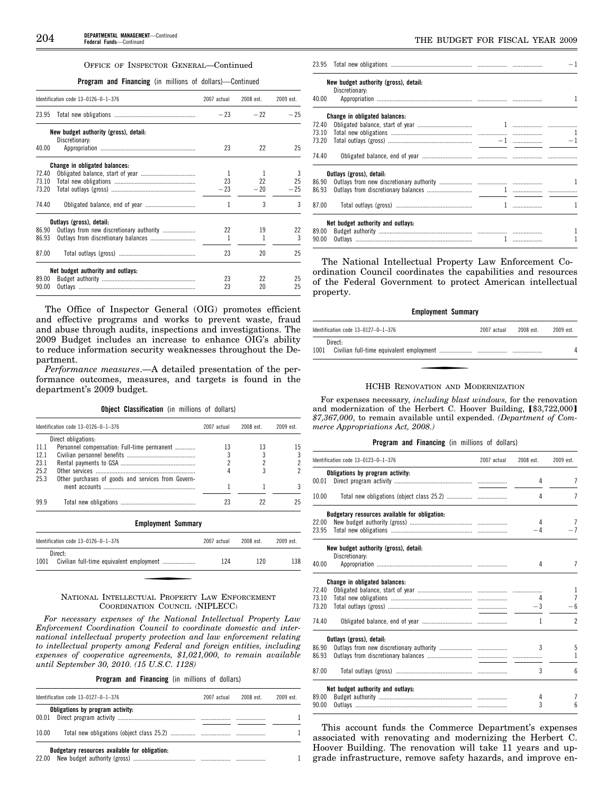#### OFFICE OF INSPECTOR GENERAL—Continued

# **Program and Financing** (in millions of dollars)—Continued

|       | Identification code 13-0126-0-1-376   | 2007 actual | 2008 est. | 2009 est. |
|-------|---------------------------------------|-------------|-----------|-----------|
| 23.95 |                                       | $-23$       | $-22$     | $-25$     |
|       | New budget authority (gross), detail: |             |           |           |
|       | Discretionary:                        |             |           |           |
| 40.00 |                                       | 23          | 22        | 25        |
|       | Change in obligated balances:         |             |           |           |
| 72.40 |                                       | -1          | 1         | 3         |
| 73.10 |                                       | 23          | 22        | 25        |
| 73.20 |                                       | $-23$       | $-20$     | $-25$     |
| 74.40 |                                       | 1           | 3         | 3         |
|       | Outlays (gross), detail:              |             |           |           |
| 86.90 |                                       | 22          | 19        | 22        |
| 86.93 |                                       | 1           |           | 3         |
| 87.00 |                                       | 23          | 20        | 25        |
|       | Net budget authority and outlays:     |             |           |           |
| 89.00 |                                       | 23          | 22        | 25        |
| 90.00 |                                       | 23          | 20        | 25        |
|       |                                       |             |           |           |

The Office of Inspector General (OIG) promotes efficient and effective programs and works to prevent waste, fraud and abuse through audits, inspections and investigations. The 2009 Budget includes an increase to enhance OIG's ability to reduce information security weaknesses throughout the Department.

*Performance measures*.—A detailed presentation of the performance outcomes, measures, and targets is found in the department's 2009 budget.

**Object Classification** (in millions of dollars)

| Identification code 13-0126-0-1-376                | 2007 actual | 2008 est. | $2009$ est |
|----------------------------------------------------|-------------|-----------|------------|
| Direct obligations:                                |             |           |            |
| Personnel compensation: Full-time permanent        | 13          | 13        | 15         |
|                                                    |             |           |            |
|                                                    |             |           |            |
|                                                    |             |           |            |
| Other purchases of goods and services from Govern- |             |           |            |
|                                                    |             |           |            |
|                                                    |             |           |            |
|                                                    |             |           |            |

#### **Employment Summary**

|      | Identification code $13-0126-0-1-376$ | 2007 actual | 2008 est. | 2009 est. |
|------|---------------------------------------|-------------|-----------|-----------|
| 1001 | Direct:                               | 124         | 120       | 138       |

# NATIONAL INTELLECTUAL PROPERTY LAW ENFORCEMENT COORDINATION COUNCIL (NIPLECC)

*For necessary expenses of the National Intellectual Property Law Enforcement Coordination Council to coordinate domestic and international intellectual property protection and law enforcement relating to intellectual property among Federal and foreign entities, including expenses of cooperative agreements, \$1,021,000, to remain available until September 30, 2010. (15 U.S.C. 1128)* 

**Program and Financing** (in millions of dollars)

|       | Identification code $13-0127-0-1-376$         | 2007 actual | 2008 est. | 2009 est |
|-------|-----------------------------------------------|-------------|-----------|----------|
| 00.01 | Obligations by program activity:              |             |           |          |
| 10.00 |                                               |             |           |          |
| 22.00 | Budgetary resources available for obligation: |             |           |          |

|       |                                       |  | $-1$         |
|-------|---------------------------------------|--|--------------|
|       | New budget authority (gross), detail: |  |              |
| 40.00 | Discretionary:                        |  | 1            |
|       | Change in obligated balances:         |  |              |
| 72.40 |                                       |  |              |
|       |                                       |  |              |
| 73.20 |                                       |  |              |
| 74.40 |                                       |  |              |
|       | Outlays (gross), detail:              |  |              |
| 86.90 |                                       |  |              |
| 86.93 |                                       |  |              |
| 87.00 |                                       |  |              |
|       | Net budget authority and outlays:     |  |              |
| 89.00 |                                       |  | 1            |
| 90.00 |                                       |  | $\mathbf{1}$ |
|       |                                       |  |              |

The National Intellectual Property Law Enforcement Coordination Council coordinates the capabilities and resources of the Federal Government to protect American intellectual property.

#### **Employment Summary**

| Identification code $13-0127-0-1-376$ | 2007 actual | 2008 est. | 2009 est. |
|---------------------------------------|-------------|-----------|-----------|
| Direct-<br>1001                       |             |           |           |

#### HCHB RENOVATION AND MODERNIZATION

For expenses necessary*, including blast windows,* for the renovation and modernization of the Herbert C. Hoover Building, [\$3,722,000] *\$7,367,000*, to remain available until expended. *(Department of Commerce Appropriations Act, 2008.)* 

#### **Program and Financing** (in millions of dollars)

|       | Identification code 13-0123-0-1-376           | 2007 actual | 2008 est. | 2009 est.      |
|-------|-----------------------------------------------|-------------|-----------|----------------|
|       | Obligations by program activity:              |             |           |                |
| 00.01 |                                               |             | 4         | 7              |
| 10.00 |                                               |             | 4         | 7              |
|       | Budgetary resources available for obligation: |             |           |                |
| 22.00 |                                               |             | 4         | 7              |
| 23.95 |                                               |             | -4        | $-7$           |
|       | New budget authority (gross), detail:         |             |           |                |
| 40.00 | Discretionary:                                |             |           | 7              |
|       |                                               |             | 4         |                |
|       | Change in obligated balances:                 |             |           |                |
| 72.40 |                                               |             |           | 1              |
| 73.10 |                                               |             | 4         | $\overline{7}$ |
| 73.20 |                                               |             | $-3$      | - 6            |
| 74.40 |                                               |             | 1         | $\overline{c}$ |
|       | Outlays (gross), detail:                      |             |           |                |
| 86.90 |                                               |             | 3         | 5              |
| 86.93 |                                               |             |           | 1              |
| 87.00 |                                               |             | 3         | 6              |
|       | Net budget authority and outlays:             |             |           |                |
| 89.00 |                                               |             | 4         | 7              |
| 90.00 |                                               |             | 3         | 6              |

This account funds the Commerce Department's expenses associated with renovating and modernizing the Herbert C. Hoover Building. The renovation will take 11 years and upgrade infrastructure, remove safety hazards, and improve en-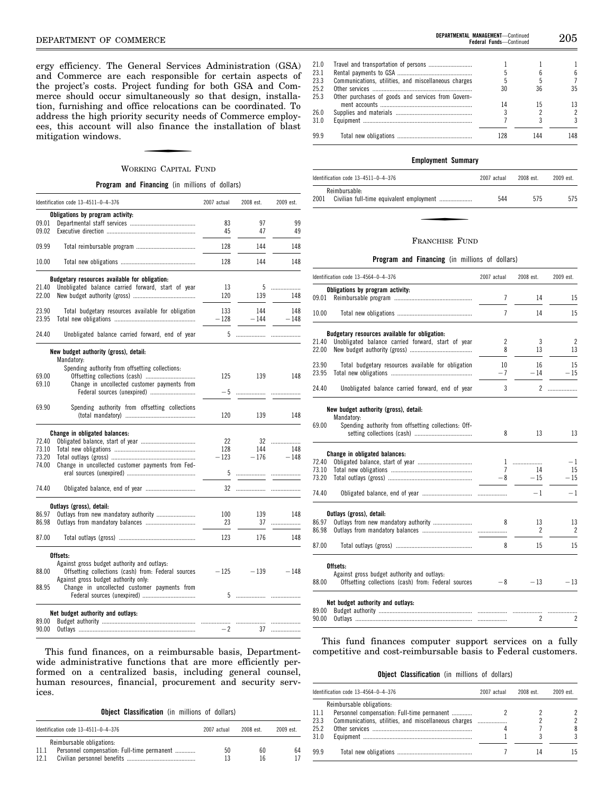ergy efficiency. The General Services Administration (GSA) and Commerce are each responsible for certain aspects of the project's costs. Project funding for both GSA and Commerce should occur simultaneously so that design, installation, furnishing and office relocations can be coordinated. To address the high priority security needs of Commerce employees, this account will also finance the installation of blast mitigation windows.

# WORKING CAPITAL FUND

**Program and Financing** (in millions of dollars)

|       | Identification code 13-4511-0-4-376                 | 2007 actual | 2008 est. | 2009 est. |
|-------|-----------------------------------------------------|-------------|-----------|-----------|
|       | Obligations by program activity:                    |             |           |           |
| 09.01 |                                                     | 83          | 97        | 99        |
| 09.02 |                                                     | 45          | 47        | 49        |
| 09.99 |                                                     | 128         | 144       | 148       |
| 10.00 |                                                     | 128         | 144       | 148       |
|       | Budgetary resources available for obligation:       |             |           |           |
| 21.40 | Unobligated balance carried forward, start of year  | 13          | 5         |           |
| 22.00 |                                                     | 120         | 139       | 148       |
|       |                                                     |             |           |           |
| 23.90 | Total budgetary resources available for obligation  | 133         | 144       | 148       |
| 23.95 |                                                     | $-128$      | $-144$    | $-148$    |
| 24.40 | Unobligated balance carried forward, end of year    |             |           |           |
|       | New budget authority (gross), detail:               |             |           |           |
|       | Mandatory:                                          |             |           |           |
|       | Spending authority from offsetting collections:     |             |           |           |
| 69.00 |                                                     | 125         | 139       | 148       |
| 69.10 | Change in uncollected customer payments from        |             |           |           |
|       | Federal sources (unexpired)                         | $-5$        |           |           |
|       |                                                     |             |           |           |
| 69.90 | Spending authority from offsetting collections      |             |           |           |
|       |                                                     | 120         | 139       | 148       |
|       | Change in obligated balances:                       |             |           |           |
| 72.40 |                                                     | 22          |           | 32        |
| 73.10 |                                                     | 128         | 144       | 148       |
| 73.20 |                                                     | $-123$      | $-176$    | $-148$    |
| 74.00 |                                                     |             |           |           |
|       | Change in uncollected customer payments from Fed-   | 5           |           |           |
|       |                                                     |             |           |           |
| 74.40 | Obligated balance, end of year                      |             |           |           |
|       | Outlays (gross), detail:                            |             |           |           |
| 86.97 | Outlays from new mandatory authority                | 100         | 139       | 148       |
| 86.98 |                                                     | 23          | 37        | .         |
| 87.00 |                                                     | 123         | 176       | 148       |
|       | Offsets:                                            |             |           |           |
|       | Against gross budget authority and outlays:         |             |           |           |
| 88.00 | Offsetting collections (cash) from: Federal sources | $-125$      | $-139$    | $-148$    |
|       | Against gross budget authority only:                |             |           |           |
| 88.95 | Change in uncollected customer payments from        |             |           |           |
|       |                                                     |             |           |           |
|       | Net budget authority and outlays:                   |             |           |           |
| 89.00 |                                                     |             |           |           |
| 90.00 |                                                     | $-2$        | 37        | .         |
|       |                                                     |             |           |           |

This fund finances, on a reimbursable basis, Departmentwide administrative functions that are more efficiently performed on a centralized basis, including general counsel, human resources, financial, procurement and security services.

### **Object Classification** (in millions of dollars)

| Identification code $13-4511-0-4-376$                                                    | 2007 actual | 2008 est. | 2009 est. |
|------------------------------------------------------------------------------------------|-------------|-----------|-----------|
| Reimbursable obligations:<br>Personnel compensation: Full-time permanent<br>11.1<br>12.1 | 50<br>13    | 60<br>16  | 64        |

| 25.2 |                                                    | 30  | 36. | 35. |
|------|----------------------------------------------------|-----|-----|-----|
| 25.3 | Other purchases of goods and services from Govern- |     |     |     |
|      |                                                    |     |     | 13. |
| 26.0 |                                                    |     |     |     |
| 31.0 |                                                    |     |     | ર   |
| 99.9 |                                                    | 128 | 144 | 148 |
|      |                                                    |     |     |     |

#### **Employment Summary**

| Identification code 13-4511-0-4-376 | 2007 actual | 2008 est. | 2009 est. |
|-------------------------------------|-------------|-----------|-----------|
| Reimbursable:<br>2001               | 544         | 575       | 575       |

#### FRANCHISE FUND

#### **Program and Financing** (in millions of dollars)

|                | Identification code 13-4564-0-4-376                                                                | 2007 actual           | 2008 est.      | 2009 est.   |
|----------------|----------------------------------------------------------------------------------------------------|-----------------------|----------------|-------------|
|                | Obligations by program activity:                                                                   |                       |                |             |
| 09.01          |                                                                                                    | 7                     | 14             | 15          |
| 10.00          |                                                                                                    | $\overline{1}$        | 14             | 15          |
|                | Budgetary resources available for obligation:                                                      |                       |                |             |
| 21.40<br>22.00 | Unobligated balance carried forward, start of year                                                 | $\overline{2}$<br>8   | 3<br>13        | 2<br>13     |
| 23.90<br>23.95 | Total budgetary resources available for obligation                                                 | 10<br>$-7$            | 16<br>$-14$    | 15<br>$-15$ |
| 24.40          | Unobligated balance carried forward, end of year                                                   | 3                     | 2              |             |
|                | New budget authority (gross), detail:<br>Mandatory:                                                |                       |                |             |
| 69.00          | Spending authority from offsetting collections: Off-                                               | 8                     | 13             | 13          |
|                | Change in obligated balances:                                                                      |                       |                |             |
| 72.40          |                                                                                                    |                       | 1              | $-1$        |
| 73.10<br>73.20 |                                                                                                    | $\overline{7}$<br>- 8 | 14<br>$-15$    | 15<br>$-15$ |
| 74.40          |                                                                                                    |                       | $-1$           | $-1$        |
|                | Outlays (gross), detail:                                                                           |                       |                |             |
| 86.97<br>86.98 |                                                                                                    | 8                     | 13<br>2        | 13<br>2     |
| 87.00          |                                                                                                    | 8                     | 15             | 15          |
|                | Offsets:                                                                                           |                       |                |             |
| 88.00          | Against gross budget authority and outlays:<br>Offsetting collections (cash) from: Federal sources | - 8                   | $-13$          | $-13$       |
|                | Net budget authority and outlays:                                                                  |                       |                |             |
| 89.00<br>90.00 |                                                                                                    |                       | $\overline{c}$ | 2           |

This fund finances computer support services on a fully competitive and cost-reimbursable basis to Federal customers.

#### **Object Classification** (in millions of dollars)

|      | Identification code 13-4564-0-4-376                  | 2007 actual | 2008 est. | 2009 est. |
|------|------------------------------------------------------|-------------|-----------|-----------|
|      | Reimbursable obligations:                            |             |           |           |
| 11.1 | Personnel compensation: Full-time permanent          |             |           |           |
| 23.3 | Communications, utilities, and miscellaneous charges |             |           |           |
| 25.2 |                                                      |             |           |           |
| 31.0 |                                                      |             |           |           |
| 99.9 |                                                      |             |           |           |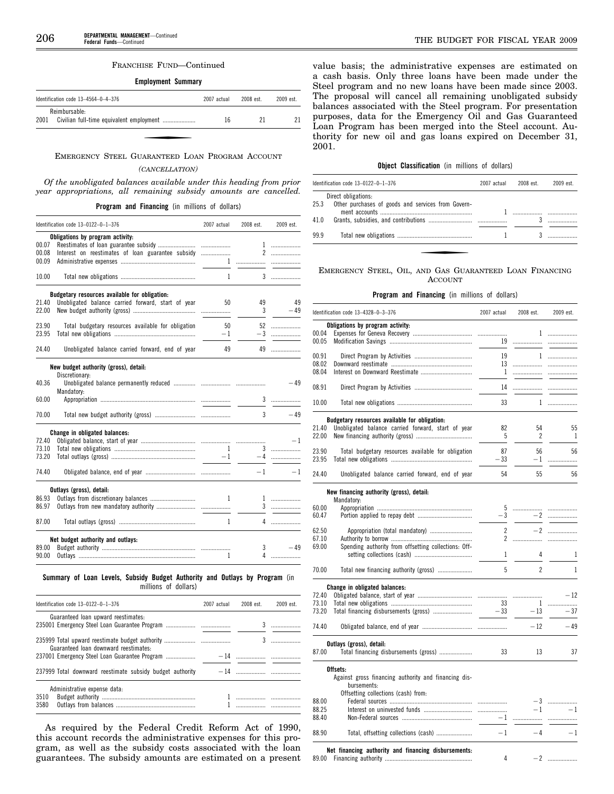#### FRANCHISE FUND—Continued

# **Employment Summary**

| Identification code $13-4564-0-4-376$ | 2007 actual | $2008$ est | 2009 est. |
|---------------------------------------|-------------|------------|-----------|
| Reimbursable:<br>2001                 | 16          |            |           |

### EMERGENCY STEEL GUARANTEED LOAN PROGRAM ACCOUNT

### *(CANCELLATION)*

*Of the unobligated balances available under this heading from prior year appropriations, all remaining subsidy amounts are cancelled.* 

**Program and Financing** (in millions of dollars)

|       | Identification code 13-0122-0-1-376                                                                                                                                                                                            | 2007 actual  | 2008 est. | 2009 est.                                                                                                                                                                                                                                                                                                                          |
|-------|--------------------------------------------------------------------------------------------------------------------------------------------------------------------------------------------------------------------------------|--------------|-----------|------------------------------------------------------------------------------------------------------------------------------------------------------------------------------------------------------------------------------------------------------------------------------------------------------------------------------------|
|       | Obligations by program activity:                                                                                                                                                                                               |              |           |                                                                                                                                                                                                                                                                                                                                    |
| 00.07 |                                                                                                                                                                                                                                |              |           |                                                                                                                                                                                                                                                                                                                                    |
| 00.08 |                                                                                                                                                                                                                                |              |           |                                                                                                                                                                                                                                                                                                                                    |
| 00.09 |                                                                                                                                                                                                                                |              |           |                                                                                                                                                                                                                                                                                                                                    |
|       |                                                                                                                                                                                                                                |              |           |                                                                                                                                                                                                                                                                                                                                    |
| 10.00 |                                                                                                                                                                                                                                |              |           |                                                                                                                                                                                                                                                                                                                                    |
|       | Budgetary resources available for obligation:                                                                                                                                                                                  |              |           |                                                                                                                                                                                                                                                                                                                                    |
| 21.40 | Unobligated balance carried forward, start of year                                                                                                                                                                             | 50           |           | 49 49                                                                                                                                                                                                                                                                                                                              |
| 22.00 |                                                                                                                                                                                                                                |              |           | $3 - 49$                                                                                                                                                                                                                                                                                                                           |
| 23.90 | Total budgetary resources available for obligation                                                                                                                                                                             |              | 50 52     |                                                                                                                                                                                                                                                                                                                                    |
| 23.95 | Total budgetary research and the company of the company of the company of the company of the company of the company of the company of the company of the company of the company of the company of the company of the company o |              | $-1$      | $-3$                                                                                                                                                                                                                                                                                                                               |
| 24.40 | Unobligated balance carried forward, end of year                                                                                                                                                                               | 49           |           |                                                                                                                                                                                                                                                                                                                                    |
|       | New budget authority (gross), detail:                                                                                                                                                                                          |              |           |                                                                                                                                                                                                                                                                                                                                    |
|       | Discretionary:                                                                                                                                                                                                                 |              |           |                                                                                                                                                                                                                                                                                                                                    |
| 40.36 |                                                                                                                                                                                                                                |              |           | $-49$                                                                                                                                                                                                                                                                                                                              |
|       | Mandatory:                                                                                                                                                                                                                     |              |           |                                                                                                                                                                                                                                                                                                                                    |
| 60.00 |                                                                                                                                                                                                                                |              |           |                                                                                                                                                                                                                                                                                                                                    |
| 70.00 |                                                                                                                                                                                                                                |              |           | $3 - 49$                                                                                                                                                                                                                                                                                                                           |
|       | Change in obligated balances:                                                                                                                                                                                                  |              |           |                                                                                                                                                                                                                                                                                                                                    |
| 72.40 |                                                                                                                                                                                                                                |              |           |                                                                                                                                                                                                                                                                                                                                    |
| 73.10 |                                                                                                                                                                                                                                |              |           |                                                                                                                                                                                                                                                                                                                                    |
| 73.20 |                                                                                                                                                                                                                                |              |           |                                                                                                                                                                                                                                                                                                                                    |
| 74.40 |                                                                                                                                                                                                                                |              |           |                                                                                                                                                                                                                                                                                                                                    |
|       |                                                                                                                                                                                                                                |              |           |                                                                                                                                                                                                                                                                                                                                    |
|       | Outlays (gross), detail:                                                                                                                                                                                                       |              |           |                                                                                                                                                                                                                                                                                                                                    |
| 86.93 |                                                                                                                                                                                                                                | 1            |           |                                                                                                                                                                                                                                                                                                                                    |
| 86.97 |                                                                                                                                                                                                                                |              |           | 3                                                                                                                                                                                                                                                                                                                                  |
| 87.00 |                                                                                                                                                                                                                                | $\mathbf{1}$ |           | $\overline{4}$ and $\overline{4}$ and $\overline{4}$ and $\overline{4}$ and $\overline{4}$ and $\overline{4}$ and $\overline{4}$ and $\overline{4}$ and $\overline{4}$ and $\overline{4}$ and $\overline{4}$ and $\overline{4}$ and $\overline{4}$ and $\overline{4}$ and $\overline{4}$ and $\overline{4}$ and $\overline{4}$ and |
|       |                                                                                                                                                                                                                                |              |           |                                                                                                                                                                                                                                                                                                                                    |
|       | Net budget authority and outlays:                                                                                                                                                                                              |              |           |                                                                                                                                                                                                                                                                                                                                    |
| 89.00 |                                                                                                                                                                                                                                |              |           | $3 - 49$                                                                                                                                                                                                                                                                                                                           |

#### **Summary of Loan Levels, Subsidy Budget Authority and Outlays by Program** (in millions of dollars)

| Identification code $13-0122-0-1-376$        | 2007 actual | 2008 est. | 2009 est. |
|----------------------------------------------|-------------|-----------|-----------|
| Guaranteed loan upward reestimates:          |             |           |           |
| Guaranteed loan downward reestimates:        |             |           |           |
|                                              |             |           |           |
|                                              |             |           |           |
| Administrative expense data:<br>3510<br>3580 |             |           |           |

As required by the Federal Credit Reform Act of 1990, this account records the administrative expenses for this program, as well as the subsidy costs associated with the loan guarantees. The subsidy amounts are estimated on a present value basis; the administrative expenses are estimated on a cash basis. Only three loans have been made under the Steel program and no new loans have been made since 2003. The proposal will cancel all remaining unobligated subsidy balances associated with the Steel program. For presentation purposes, data for the Emergency Oil and Gas Guaranteed Loan Program has been merged into the Steel account. Authority for new oil and gas loans expired on December 31, 2001.

# **Object Classification** (in millions of dollars)

|      | Identification code $13-0122-0-1-376$                                          | 2007 actual | 2008 est. | 2009 est. |
|------|--------------------------------------------------------------------------------|-------------|-----------|-----------|
|      | Direct obligations:<br>25.3 Other purchases of goods and services from Govern- |             |           |           |
|      |                                                                                |             |           |           |
| 99.9 |                                                                                |             |           |           |

# EMERGENCY STEEL, OIL, AND GAS GUARANTEED LOAN FINANCING ACCOUNT

### **Program and Financing** (in millions of dollars)

|       | Identification code 13-4328-0-3-376                  | 2007 actual              | 2008 est.                        | 2009 est.    |
|-------|------------------------------------------------------|--------------------------|----------------------------------|--------------|
|       | Obligations by program activity:                     |                          |                                  |              |
| 00.04 |                                                      |                          |                                  | $1$          |
| 00.05 |                                                      | 19                       | .                                | .            |
|       |                                                      |                          |                                  |              |
| 00.91 |                                                      | 19                       | $\mathbf{1}$                     | .            |
| 08.02 |                                                      | 13                       |                                  |              |
| 08.04 |                                                      | -1                       | .                                | .            |
| 08.91 |                                                      | 14                       |                                  |              |
| 10.00 |                                                      | 33                       |                                  |              |
|       | Budgetary resources available for obligation:        |                          |                                  |              |
| 21.40 | Unobligated balance carried forward, start of year   | 82                       | 54                               | 55           |
| 22.00 |                                                      | 5                        | $\overline{2}$                   | $\mathbf{1}$ |
|       |                                                      |                          |                                  |              |
| 23.90 | Total budgetary resources available for obligation   | 87                       | 56                               | 56           |
| 23.95 |                                                      | $-33$                    | - 1                              | .            |
| 24.40 | Unobligated balance carried forward, end of year     | 54                       | 55                               | 56           |
|       | New financing authority (gross), detail:             |                          |                                  |              |
|       | Mandatory:                                           |                          |                                  |              |
| 60.00 |                                                      |                          |                                  | .            |
| 60.47 |                                                      | $\overline{\phantom{0}}$ | $-3$<br>$\overline{\phantom{0}}$ |              |
| 62.50 | Appropriation (total mandatory)                      | $\overline{c}$           |                                  | $-2$         |
| 67.10 |                                                      | $\overline{2}$           |                                  |              |
| 69.00 | Spending authority from offsetting collections: Off- |                          |                                  |              |
|       |                                                      | 1                        | 4                                | $\mathbf{1}$ |
| 70.00 |                                                      | 5                        | $\overline{c}$                   | 1            |
|       |                                                      |                          |                                  |              |
|       | Change in obligated balances:                        |                          |                                  |              |
| 72.40 |                                                      |                          |                                  | $-12$        |
| 73.10 |                                                      | 33                       |                                  |              |
| 73.20 |                                                      |                          | $-13$                            | $-37$        |
| 74.40 |                                                      |                          | $-12$                            | $-49$        |
|       | Outlays (gross), detail:                             |                          |                                  |              |
| 87.00 | Total financing disbursements (gross)                | 33                       | 13                               | 37           |
|       | Offsets:                                             |                          |                                  |              |
|       | Against gross financing authority and financing dis- |                          |                                  |              |
|       | bursements:                                          |                          |                                  |              |
|       | Offsetting collections (cash) from:                  |                          |                                  |              |
| 88.00 |                                                      |                          |                                  | — 3 …………………  |
| 88.25 |                                                      |                          | $-1$                             | $-1$         |
| 88.40 |                                                      | $-1$                     | .                                | .            |
| 88.90 | Total, offsetting collections (cash)                 | $-1$                     | $-4$                             | $-1$         |
|       | Net financing authority and financing disbursements: |                          |                                  |              |

89.00 Financing authority ........................................................ 4 ¥2 ...................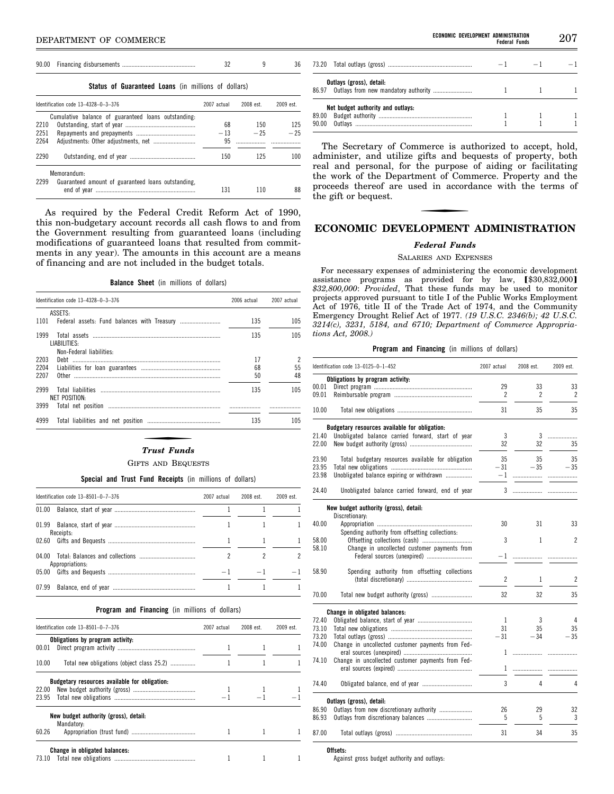### **Status of Guaranteed Loans** (in millions of dollars)

|      | Identification code $13-4328-0-3-376$               | 2007 actual | 2008 est. | 2009 est. |
|------|-----------------------------------------------------|-------------|-----------|-----------|
|      | Cumulative balance of guaranteed loans outstanding. |             |           |           |
| 2210 |                                                     | 68          | 150       | 125       |
| 2251 |                                                     | $-13$       | $-25$     | $-25$     |
| 2264 |                                                     | 95          |           |           |
| 2290 |                                                     | 150         | 125       | 100       |
|      | Memorandum:                                         |             |           |           |
| 2299 | Guaranteed amount of guaranteed loans outstanding,  | 131         |           | 88        |

As required by the Federal Credit Reform Act of 1990, this non-budgetary account records all cash flows to and from the Government resulting from guaranteed loans (including modifications of guaranteed loans that resulted from commitments in any year). The amounts in this account are a means of financing and are not included in the budget totals.

**Balance Sheet** (in millions of dollars)

| Identification code 13-4328-0-3-376              | 2006 actual    | 2007 actual |
|--------------------------------------------------|----------------|-------------|
| ASSETS:                                          |                |             |
| 1101                                             | 135            | 105         |
| 1999<br>LIABILITIES:<br>Non-Federal liabilities: | 135            | 105         |
| 2203<br>2204<br>2207<br>0ther                    | 17<br>68<br>50 | 55<br>48    |
| 2999<br>NET POSITION:<br>3999                    | 135            | 105         |
| 4999                                             | 135            | 105         |

#### *Trust Funds*

#### GIFTS AND BEQUESTS

### **Special and Trust Fund Receipts** (in millions of dollars)

| Identification code $13-8501-0-7-376$ |                 | 2007 actual | 2008 est. | 2009 est. |
|---------------------------------------|-----------------|-------------|-----------|-----------|
|                                       |                 |             |           |           |
|                                       | Receipts:       |             |           |           |
|                                       |                 |             |           |           |
|                                       | Appropriations: |             |           |           |
|                                       |                 |             | $-1$      |           |
| 07.99                                 |                 |             |           |           |

#### **Program and Financing** (in millions of dollars)

|       | Identification code 13-8501-0-7-376                 | 2007 actual | 2008 est. | 2009 est. |
|-------|-----------------------------------------------------|-------------|-----------|-----------|
|       | Obligations by program activity:                    |             |           |           |
| 00.01 |                                                     |             |           |           |
| 10.00 | Total new obligations (object class 25.2)           |             |           |           |
|       | Budgetary resources available for obligation:       |             |           |           |
|       |                                                     |             |           |           |
|       |                                                     |             |           |           |
|       | New budget authority (gross), detail:<br>Mandatory: |             |           |           |
| 60.26 |                                                     |             |           |           |
|       | Change in obligated balances:                       |             |           |           |
|       |                                                     |             |           |           |

| ECONOMIC DEVELOPMENT ADMINISTRATION | <b>Federal Funds</b> |      | 207 |
|-------------------------------------|----------------------|------|-----|
|                                     | $-1$                 | $-1$ |     |
| Ŀ<br>nandatory authority            |                      |      |     |
| المستحدث المساحي                    |                      |      |     |

| 86.97 Outlays from new mandatory authority |  |  |
|--------------------------------------------|--|--|
| Net budget authority and outlays:          |  |  |
|                                            |  |  |
|                                            |  |  |
|                                            |  |  |

73.20 Total outlays (gross) **Outlays (gross), detail:** 

The Secretary of Commerce is authorized to accept, hold, administer, and utilize gifts and bequests of property, both real and personal, for the purpose of aiding or facilitating the work of the Department of Commerce. Property and the proceeds thereof are used in accordance with the terms of the gift or bequest.

# **ECONOMIC DEVELOPMENT ADMINISTRATION**

#### *Federal Funds*

SALARIES AND EXPENSES

For necessary expenses of administering the economic development assistance programs as provided for by law,  $$30,832,000]$ *\$32,800,000*: *Provided*, That these funds may be used to monitor projects approved pursuant to title I of the Public Works Employment Act of 1976, title II of the Trade Act of 1974, and the Community Emergency Drought Relief Act of 1977. *(19 U.S.C. 2346(b); 42 U.S.C. 3214(c), 3231, 5184, and 6710; Department of Commerce Appropriations Act, 2008.)* 

### **Program and Financing** (in millions of dollars)

|       | Identification code 13-0125-0-1-452                | 2007 actual | 2008 est. | 2009 est. |
|-------|----------------------------------------------------|-------------|-----------|-----------|
|       | Obligations by program activity:                   |             |           |           |
| 00.01 |                                                    | 29          | 33        | 33        |
| 09.01 |                                                    | 2           | 2         | 2         |
| 10.00 |                                                    | 31          | 35        | 35        |
|       | Budgetary resources available for obligation:      |             |           |           |
| 21.40 | Unobligated balance carried forward, start of year | 3           | 3         | .         |
| 22.00 |                                                    | 32          | 32        | 35        |
| 23.90 | Total budgetary resources available for obligation | 35          | 35        | 35        |
| 23.95 |                                                    | $-31$       | $-35$     | $-35$     |
| 23.98 | Unobligated balance expiring or withdrawn          | $-1$        | .         | .         |
| 24.40 | Unobligated balance carried forward, end of year   | 3           | .         |           |
|       | New budget authority (gross), detail:              |             |           |           |
|       | Discretionary:                                     |             |           |           |
| 40.00 |                                                    | 30          | 31        | 33        |
|       | Spending authority from offsetting collections:    |             |           |           |
| 58.00 |                                                    | 3           | 1         | 2         |
| 58.10 | Change in uncollected customer payments from       |             |           |           |
|       | Federal sources (unexpired)                        | $-1$        | .         |           |
| 58.90 | Spending authority from offsetting collections     |             |           |           |
|       |                                                    | 2           | 1         | 2         |
|       |                                                    |             |           |           |
| 70.00 |                                                    | 32          | 32        | 35        |
|       | Change in obligated balances:                      |             |           |           |
| 72.40 |                                                    | 1           | 3         | 4         |
| 73.10 |                                                    | 31          | 35        | 35        |
| 73.20 |                                                    | $-31$       | $-34$     | $-35$     |
| 74.00 |                                                    |             |           |           |
|       | Change in uncollected customer payments from Fed-  | 1           |           |           |
|       |                                                    |             | .         | .         |
| 74.10 | Change in uncollected customer payments from Fed-  |             |           |           |
|       |                                                    | 1           |           |           |
| 74.40 |                                                    | 3           | 4         | 4         |
|       | Outlays (gross), detail:                           |             |           |           |
| 86.90 |                                                    | 26          | 29        | 32        |
| 86.93 |                                                    | 5           | 5         | 3         |
| 87.00 |                                                    | 31          | 34        | 35        |

**Offsets:** 

Against gross budget authority and outlays: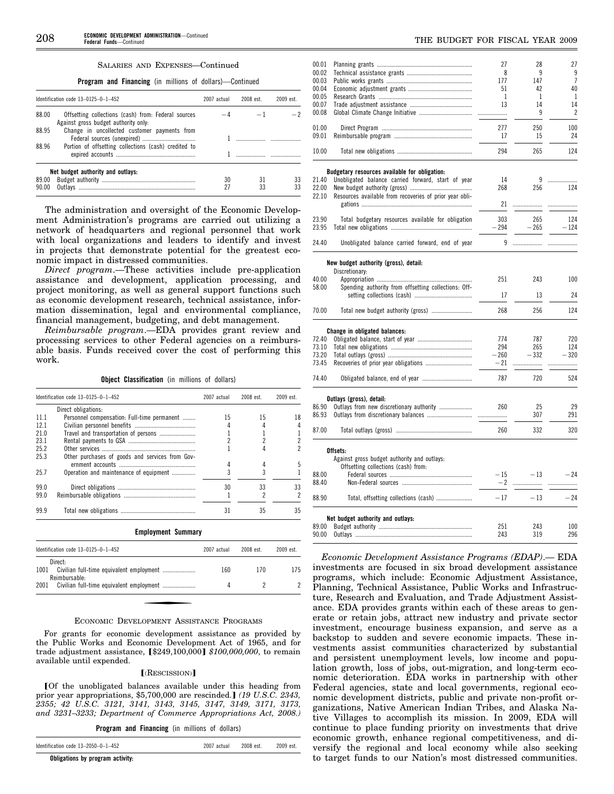### SALARIES AND EXPENSES—Continued

**Program and Financing** (in millions of dollars)—Continued

|                | Identification code 13-0125-0-1-452                                                         | 2007 actual | 2008 est. | $2009$ est |
|----------------|---------------------------------------------------------------------------------------------|-------------|-----------|------------|
| 88.00          | Offsetting collections (cash) from: Federal sources<br>Against gross budget authority only. |             |           |            |
| 88.95          | Change in uncollected customer payments from                                                |             |           |            |
| 88.96          | Portion of offsetting collections (cash) credited to                                        |             |           |            |
|                | Net budget authority and outlays:                                                           |             |           |            |
| 89.00<br>90.00 |                                                                                             | 30<br>27    | 31<br>33  | 33<br>33   |

The administration and oversight of the Economic Development Administration's programs are carried out utilizing a network of headquarters and regional personnel that work with local organizations and leaders to identify and invest in projects that demonstrate potential for the greatest economic impact in distressed communities.

*Direct program*.—These activities include pre-application assistance and development, application processing, and project monitoring, as well as general support functions such as economic development research, technical assistance, information dissemination, legal and environmental compliance, financial management, budgeting, and debt management.

*Reimbursable program*.—EDA provides grant review and processing services to other Federal agencies on a reimbursable basis. Funds received cover the cost of performing this work.

**Object Classification** (in millions of dollars)

|      | Identification code 13-0125-0-1-452             | 2007 actual    | 2008 est. | 2009 est.               |
|------|-------------------------------------------------|----------------|-----------|-------------------------|
|      | Direct obligations:                             |                |           |                         |
| 11.1 | Personnel compensation: Full-time permanent     | 15             | 15        | 18                      |
| 12.1 |                                                 | 4              |           | 4                       |
| 21.0 | Travel and transportation of persons            |                |           |                         |
| 23.1 |                                                 | $\overline{c}$ | 2         | $\overline{\mathbf{c}}$ |
| 25.2 |                                                 |                |           | $\overline{c}$          |
| 25.3 | Other purchases of goods and services from Gov- |                |           |                         |
|      |                                                 | 4              | 4         | 5                       |
| 25.7 | Operation and maintenance of equipment          | 3              | 3         |                         |
| 99.0 |                                                 | 30             | 33        | 33                      |
| 99.0 |                                                 |                | 2         | 2                       |
| 99.9 |                                                 | 31             | 35        | 35                      |
|      | <b>Employment Summary</b>                       |                |           |                         |
|      | Identification code 13-0125-0-1-452             | 2007 actual    | 2008 est. | 2009 est.               |
|      | Direct:                                         |                |           |                         |
| 1001 |                                                 | 160            | 170       | 175                     |

#### ECONOMIC DEVELOPMENT ASSISTANCE PROGRAMS

2001 Civilian full-time equivalent employment ..................... 4 2 2

For grants for economic development assistance as provided by the Public Works and Economic Development Act of 1965, and for trade adjustment assistance, [\$249,100,000] \$100,000,000, to remain available until expended.

#### $[$  $($ RESCISSION $)$  $]$

**FOf the unobligated balances available under this heading from** prior year appropriations, \$5,700,000 are rescinded.] (19 U.S.C. 2343, *2355; 42 U.S.C. 3121, 3141, 3143, 3145, 3147, 3149, 3171, 3173, and 3231–3233; Department of Commerce Appropriations Act, 2008.)* 

**Program and Financing** (in millions of dollars)

Identification code 13–2050–0–1–452 2007 actual 2008 est. 2009 est.

**Obligations by program activity:** 

Reimbursable:

| 00.01          |                                                         | 27            | 28     | 27             |
|----------------|---------------------------------------------------------|---------------|--------|----------------|
| 00.02          |                                                         | 8             | 9      | 9              |
| 00.03          |                                                         | 177           | 147    | $\overline{7}$ |
| 00.04          |                                                         | 51            | 42     | 40             |
| 00.05          |                                                         | 1             | 1      | 1              |
| 00.07          |                                                         | 13            | 14     | 14             |
| 00.08          |                                                         | .             | 9      | $\overline{c}$ |
| 01.00          |                                                         | 277           | 250    | 100            |
| 09.01          |                                                         | 17            | 15     | 24             |
|                |                                                         |               |        |                |
| 10.00          |                                                         | 294           | 265    | 124            |
|                | Budgetary resources available for obligation:           |               |        |                |
| 21.40          | Unobligated balance carried forward, start of year      | 14            | 9      | .              |
| 22.00          |                                                         | 268           | 256    | 124            |
| 22.10          | Resources available from recoveries of prior year obli- |               |        |                |
|                |                                                         | 21            | .      | .              |
|                |                                                         |               |        |                |
| 23.90          | Total budgetary resources available for obligation      | 303           | 265    | 124            |
| 23.95          |                                                         | $-294$        | $-265$ | $-124$         |
| 24.40          | Unobligated balance carried forward, end of year        | 9             | .      |                |
|                | New budget authority (gross), detail:                   |               |        |                |
|                | Discretionary:                                          |               |        |                |
| 40.00          |                                                         | 251           | 243    | 100            |
| 58.00          | Spending authority from offsetting collections: Off-    |               |        |                |
|                |                                                         | 17            | 13     | 24             |
| 70.00          |                                                         | 268           | 256    | 124            |
|                | Change in obligated balances:                           |               |        |                |
| 72.40          |                                                         | 774           | 787    | 720            |
| 73.10          |                                                         | 294           | 265    | 124            |
| 73.20          |                                                         | - 260         | - 332  | $-320$         |
| 73.45          |                                                         | - 21          |        |                |
|                |                                                         |               | .      |                |
| 74.40          |                                                         | 787           | 720    | 524            |
|                | Outlays (gross), detail:                                |               |        |                |
| 86.90          | Outlays from new discretionary authority                | 260           | 25     | 29             |
| 86.93          |                                                         |               | 307    | 291            |
| 87.00          |                                                         | 260           | 332    | 320            |
|                |                                                         |               |        |                |
|                | Offsets:                                                |               |        |                |
|                | Against gross budget authority and outlays:             |               |        |                |
|                | Offsetting collections (cash) from:                     |               |        |                |
| 88.00<br>88.40 |                                                         | $-15$<br>$-2$ | $-13$  | $-24$          |
|                |                                                         |               |        | .              |
| 88.90          |                                                         | $-17$         | $-13$  | $-24$          |
|                | Net budget authority and outlays:                       |               |        |                |
| 89.00          |                                                         | 251           | 243    | 100            |
| 90.00          |                                                         | 243           | 319    | 296            |
|                |                                                         |               |        |                |

*Economic Development Assistance Programs (EDAP)*.— EDA investments are focused in six broad development assistance programs, which include: Economic Adjustment Assistance, Planning, Technical Assistance, Public Works and Infrastructure, Research and Evaluation, and Trade Adjustment Assistance. EDA provides grants within each of these areas to generate or retain jobs, attract new industry and private sector investment, encourage business expansion, and serve as a backstop to sudden and severe economic impacts. These investments assist communities characterized by substantial and persistent unemployment levels, low income and population growth, loss of jobs, out-migration, and long-term economic deterioration. EDA works in partnership with other Federal agencies, state and local governments, regional economic development districts, public and private non-profit organizations, Native American Indian Tribes, and Alaska Native Villages to accomplish its mission. In 2009, EDA will continue to place funding priority on investments that drive economic growth, enhance regional competitiveness, and diversify the regional and local economy while also seeking to target funds to our Nation's most distressed communities.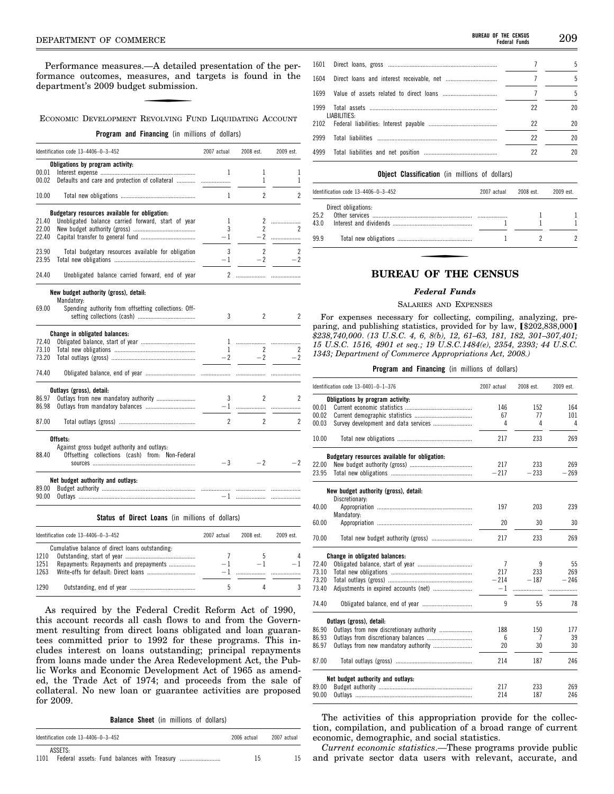Performance measures.—A detailed presentation of the performance outcomes, measures, and targets is found in the department's 2009 budget submission.

# ECONOMIC DEVELOPMENT REVOLVING FUND LIQUIDATING ACCOUNT

# **Program and Financing** (in millions of dollars)

|       | Identification code 13-4406-0-3-452                                | 2007 actual  | 2008 est.      | 2009 est.      |
|-------|--------------------------------------------------------------------|--------------|----------------|----------------|
|       | Obligations by program activity:                                   |              |                |                |
| 00.01 |                                                                    | 1            | 1              | 1              |
| 00.02 | Defaults and care and protection of collateral                     |              | 1              | 1              |
| 10.00 |                                                                    | 1            | $\overline{c}$ | $\overline{c}$ |
|       | Budgetary resources available for obligation:                      |              |                |                |
| 21.40 | Unobligated balance carried forward, start of year                 | 1            |                |                |
| 22.00 |                                                                    | 3            | $\overline{2}$ | 2              |
| 22.40 |                                                                    | $-1$         |                |                |
| 23.90 | Total budgetary resources available for obligation                 | 3            | $\overline{2}$ | $\overline{c}$ |
| 23.95 |                                                                    | $-1$         | $-2$           | $-2$           |
| 24.40 | Unobligated balance carried forward, end of year                   |              |                |                |
|       |                                                                    |              |                |                |
|       | New budget authority (gross), detail:                              |              |                |                |
| 69.00 | Mandatory:<br>Spending authority from offsetting collections: Off- |              |                |                |
|       |                                                                    | 3            | $\overline{2}$ | $\overline{c}$ |
|       |                                                                    |              |                |                |
|       | Change in obligated balances:                                      |              |                |                |
| 72.40 |                                                                    |              |                |                |
| 73.10 |                                                                    | $\mathbf{1}$ | 2              | 2              |
| 73.20 |                                                                    | $-2$         | $-2$           | $-2$           |
| 74.40 |                                                                    |              |                |                |
|       | Outlays (gross), detail:                                           |              |                |                |
| 86.97 | Outlays from new mandatory authority                               | 3            | $\overline{2}$ | 2              |
| 86.98 |                                                                    |              |                |                |
|       |                                                                    |              |                |                |
| 87.00 |                                                                    | $\mathbf{2}$ | $\overline{2}$ | $\overline{c}$ |
|       | Offsets:                                                           |              |                |                |
|       | Against gross budget authority and outlays:                        |              |                |                |
| 88.40 | Offsetting collections (cash) from: Non-Federal                    |              |                |                |
|       |                                                                    | $-3$         | $-2$           | - 2            |
|       | Net budget authority and outlays:                                  |              |                |                |
| 89.00 |                                                                    |              |                |                |
| 90.00 |                                                                    |              |                |                |
|       |                                                                    |              |                |                |

**Status of Direct Loans** (in millions of dollars)

|                      | Identification code $13-4406-0-3-452$                                                     | 2007 actual | $2008$ est | 2009 est. |
|----------------------|-------------------------------------------------------------------------------------------|-------------|------------|-----------|
| 1210<br>1251<br>1263 | Cumulative balance of direct loans outstanding:<br>Repayments: Repayments and prepayments |             |            |           |
| 1290                 |                                                                                           |             |            |           |

As required by the Federal Credit Reform Act of 1990, this account records all cash flows to and from the Government resulting from direct loans obligated and loan guarantees committed prior to 1992 for these programs. This includes interest on loans outstanding; principal repayments from loans made under the Area Redevelopment Act, the Public Works and Economic Development Act of 1965 as amended, the Trade Act of 1974; and proceeds from the sale of collateral. No new loan or guarantee activities are proposed for 2009.

**Balance Sheet** (in millions of dollars)

| Identification code 13-4406-0-3-452 | 2006 actual | 2007 actual |
|-------------------------------------|-------------|-------------|
| ASSETS:<br>1101                     | 15          |             |

| 1604 Direct loans and interest receivable, net   |    | 5. |
|--------------------------------------------------|----|----|
| 1699     Value of assets related to direct loans |    | 5  |
| LIABILITIES:                                     | 22 | 20 |
|                                                  | 22 | 20 |
|                                                  | 22 | 20 |
|                                                  | 22 | 20 |

#### **Object Classification** (in millions of dollars)

|      | Identification code 13-4406-0-3-452 |  | 2008 est. | 2009 est. |
|------|-------------------------------------|--|-----------|-----------|
|      | Direct obligations:                 |  |           |           |
| 25.2 |                                     |  |           |           |
| 43.0 |                                     |  |           |           |
| 99.9 |                                     |  |           |           |

# **BUREAU OF THE CENSUS**

### *Federal Funds*

#### SALARIES AND EXPENSES

For expenses necessary for collecting, compiling, analyzing, preparing, and publishing statistics, provided for by law,  $$202,838,000]$ *\$238,740,000*. *(13 U.S.C. 4, 6, 8(b), 12, 61–63, 181, 182, 301–307,401; 15 U.S.C. 1516, 4901 et seq.; 19 U.S.C.1484(e), 2354, 2393; 44 U.S.C. 1343; Department of Commerce Appropriations Act, 2008.)* 

#### **Program and Financing** (in millions of dollars)

|       | Identification code 13-0401-0-1-376           |                | 2008 est. | 2009 est. |
|-------|-----------------------------------------------|----------------|-----------|-----------|
|       | Obligations by program activity:              |                |           |           |
| 00.01 |                                               | 146            | 152       | 164       |
| 00.02 |                                               | 67             | 77        | 101       |
| 00.03 |                                               | 4              | 4         | 4         |
| 10.00 |                                               | 217            | 233       | 269       |
|       | Budgetary resources available for obligation: |                |           |           |
| 22.00 |                                               | 217            | 233       | 269       |
| 23.95 |                                               | $-217$         | $-233$    | $-269$    |
|       | New budget authority (gross), detail:         |                |           |           |
|       | Discretionary:                                |                |           |           |
| 40.00 | Mandatory:                                    | 197            | 203       | 239       |
| 60.00 |                                               | 20             | 30        | 30        |
| 70.00 |                                               | 217            | 233       | 269       |
|       | Change in obligated balances:                 |                |           |           |
| 72.40 |                                               | $\overline{7}$ | 9         | 55        |
| 73.10 |                                               | 217            | 233       | 269       |
| 73.20 |                                               | $-214$         | $-187$    | $-246$    |
| 73.40 |                                               | -1             | .         |           |
| 74.40 |                                               | 9              | 55        | 78        |
|       | Outlays (gross), detail:                      |                |           |           |
| 86.90 | Outlays from new discretionary authority      | 188            | 150       | 177       |
| 86.93 |                                               | 6              | 7         | 39        |
| 86.97 |                                               | 20             | 30        | 30        |
| 87.00 |                                               | 214            | 187       | 246       |
|       | Net budget authority and outlays:             |                |           |           |
| 89.00 |                                               | 217            | 233       | 269       |
| 90.00 |                                               | 214            | 187       | 246       |

The activities of this appropriation provide for the collection, compilation, and publication of a broad range of current economic, demographic, and social statistics.

*Current economic statistics*.—These programs provide public and private sector data users with relevant, accurate, and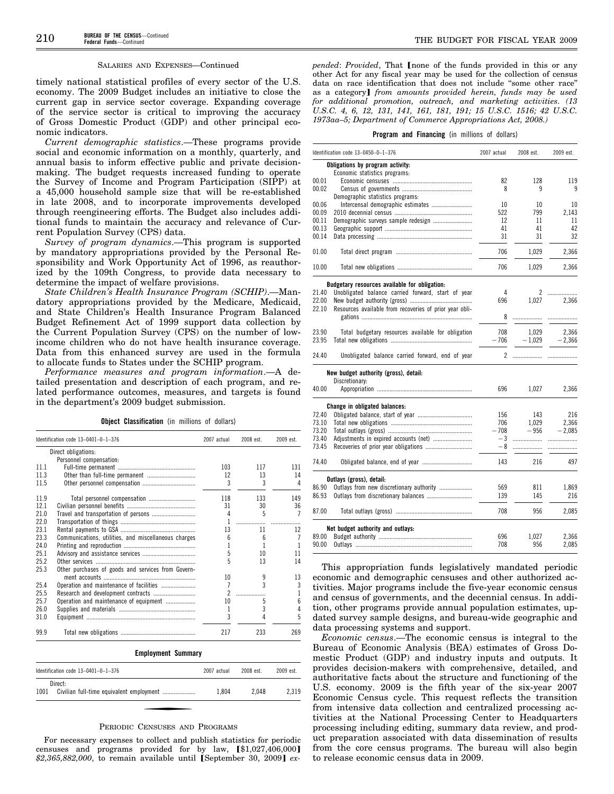#### SALARIES AND EXPENSES—Continued

timely national statistical profiles of every sector of the U.S. economy. The 2009 Budget includes an initiative to close the current gap in service sector coverage. Expanding coverage of the service sector is critical to improving the accuracy of Gross Domestic Product (GDP) and other principal economic indicators.

*Current demographic statistics*.—These programs provide social and economic information on a monthly, quarterly, and annual basis to inform effective public and private decisionmaking. The budget requests increased funding to operate the Survey of Income and Program Participation (SIPP) at a 45,000 household sample size that will be re-established in late 2008, and to incorporate improvements developed through reengineering efforts. The Budget also includes additional funds to maintain the accuracy and relevance of Current Population Survey (CPS) data.

*Survey of program dynamics*.—This program is supported by mandatory appropriations provided by the Personal Responsibility and Work Opportunity Act of 1996, as reauthorized by the 109th Congress, to provide data necessary to determine the impact of welfare provisions.

*State Children's Health Insurance Program (SCHIP)*.—Mandatory appropriations provided by the Medicare, Medicaid, and State Children's Health Insurance Program Balanced Budget Refinement Act of 1999 support data collection by the Current Population Survey (CPS) on the number of lowincome children who do not have health insurance coverage. Data from this enhanced survey are used in the formula to allocate funds to States under the SCHIP program.

*Performance measures and program information*.—A detailed presentation and description of each program, and related performance outcomes, measures, and targets is found in the department's 2009 budget submission.

**Object Classification** (in millions of dollars)

|      | Identification code 13-0401-0-1-376                  | 2007 actual    | 2008 est. | 2009 est. |
|------|------------------------------------------------------|----------------|-----------|-----------|
|      | Direct obligations:                                  |                |           |           |
|      | Personnel compensation:                              |                |           |           |
| 111  |                                                      | 103            | 117       | 131       |
| 11.3 |                                                      | 12             | 13        | 14        |
| 11.5 |                                                      | 3              | 3         | 4         |
| 11.9 |                                                      | 118            | 133       | 149       |
| 12.1 |                                                      | 31             | 30        | 36        |
| 21.0 |                                                      | 4              | 5         |           |
| 22.0 |                                                      |                | .         |           |
| 23.1 |                                                      | 13             | 11        | 12        |
| 23.3 | Communications, utilities, and miscellaneous charges | հ              | ĥ         |           |
| 24.0 |                                                      |                | 1         |           |
| 25.1 |                                                      | 5              | 10        | 11        |
| 25.2 |                                                      | 5              | 13        | 14        |
| 25.3 | Other purchases of goods and services from Govern-   |                |           |           |
|      |                                                      | 10             | 9         | 13        |
| 25.4 | Operation and maintenance of facilities              | 7              | 3         | 3         |
| 25.5 | Research and development contracts                   | $\mathfrak{p}$ |           | L         |
| 25.7 | Operation and maintenance of equipment               | 10             | 5         | 6         |
| 26.0 |                                                      |                | 3         | 4         |
| 31.0 |                                                      | 3              |           | 5         |
| 99.9 |                                                      | 217            | 233       | 269       |

#### **Employment Summary**

| Identification code $13-0401-0-1-376$ | 2007 actual | 2008 est. | 2009 est. |
|---------------------------------------|-------------|-----------|-----------|
| Direct:<br>1001                       | 1.804       | 2.048     | 2.319     |

#### PERIODIC CENSUSES AND PROGRAMS

For necessary expenses to collect and publish statistics for periodic censuses and programs provided for by law,  $[\$1,027,406,000]$ \$2,365,882,000, to remain available until [September 30, 2009] ex*pended: Provided*, That *[none of the funds provided in this or any* other Act for any fiscal year may be used for the collection of census data on race identification that does not include ''some other race'' as a category] *from amounts provided herein, funds may be used for additional promotion, outreach, and marketing activities*. *(13 U.S.C. 4, 6, 12, 131, 141, 161, 181, 191; 15 U.S.C. 1516; 42 U.S.C. 1973aa–5; Department of Commerce Appropriations Act, 2008.)* 

#### **Program and Financing** (in millions of dollars)

|       | Identification code 13-0450-0-1-376                     | 2007 actual | 2008 est.             | 2009 est. |
|-------|---------------------------------------------------------|-------------|-----------------------|-----------|
|       | Obligations by program activity:                        |             |                       |           |
|       | Economic statistics programs:                           |             |                       |           |
| 00.01 |                                                         | 82          | 128                   | 119       |
| 00.02 |                                                         | 8           | 9                     | 9         |
|       | Demographic statistics programs:                        |             |                       |           |
| 00.06 | Intercensal demographic estimates                       | 10          | 10                    | 10        |
| 00.09 |                                                         | 522         | 799                   | 2.143     |
| 00.11 | Demographic surveys sample redesign                     | 12          | 11                    | 11        |
| 00.13 |                                                         | 41          | 41                    | 42        |
| 00.14 |                                                         | 31          | 31                    | 32        |
| 01.00 |                                                         | 706         | 1,029                 | 2,366     |
| 10.00 |                                                         | 706         | 1,029                 | 2,366     |
|       | Budgetary resources available for obligation:           |             |                       |           |
| 21.40 | Unobligated balance carried forward, start of year      | 4           | $\mathbf{2}^{\prime}$ | .         |
| 22.00 |                                                         | 696         | 1.027                 | 2.366     |
| 22.10 | Resources available from recoveries of prior year obli- |             |                       |           |
|       |                                                         | 8           | .                     |           |
| 23.90 | Total budgetary resources available for obligation      | 708         | 1,029                 | 2,366     |
| 23.95 |                                                         | $-706$      | $-1,029$              | $-2,366$  |
|       |                                                         |             |                       |           |
| 24.40 | Unobligated balance carried forward, end of year        | 2           |                       |           |
|       | New budget authority (gross), detail:                   |             |                       |           |
|       | Discretionary:                                          |             |                       |           |
| 40.00 |                                                         | 696         | 1,027                 | 2,366     |
|       | Change in obligated balances:                           |             |                       |           |
| 72.40 |                                                         | 156         | 143                   | 216       |
| 73.10 |                                                         | 706         | 1.029                 | 2,366     |
| 73.20 |                                                         | $-708$      | $-956$                | $-2,085$  |
| 73.40 |                                                         | $-3$        | .                     | .         |
| 73.45 |                                                         | - 8         |                       |           |
| 74.40 |                                                         | 143         | 216                   | 497       |
|       | Outlays (gross), detail:                                |             |                       |           |
| 86.90 | Outlays from new discretionary authority                | 569         | 811                   | 1,869     |
| 86.93 |                                                         | 139         | 145                   | 216       |
| 87.00 |                                                         | 708         | 956                   | 2.085     |
|       | Net budget authority and outlays:                       |             |                       |           |
| 89.00 |                                                         | 696         | 1.027                 | 2.366     |
| 90.00 |                                                         | 708         | 956                   | 2,085     |
|       |                                                         |             |                       |           |

This appropriation funds legislatively mandated periodic economic and demographic censuses and other authorized activities. Major programs include the five-year economic census and census of governments, and the decennial census. In addition, other programs provide annual population estimates, updated survey sample designs, and bureau-wide geographic and data processing systems and support.

*Economic census*.—The economic census is integral to the Bureau of Economic Analysis (BEA) estimates of Gross Domestic Product (GDP) and industry inputs and outputs. It provides decision-makers with comprehensive, detailed, and authoritative facts about the structure and functioning of the U.S. economy. 2009 is the fifth year of the six-year 2007 Economic Census cycle. This request reflects the transition from intensive data collection and centralized processing activities at the National Processing Center to Headquarters processing including editing, summary data review, and product preparation associated with data dissemination of results from the core census programs. The bureau will also begin to release economic census data in 2009.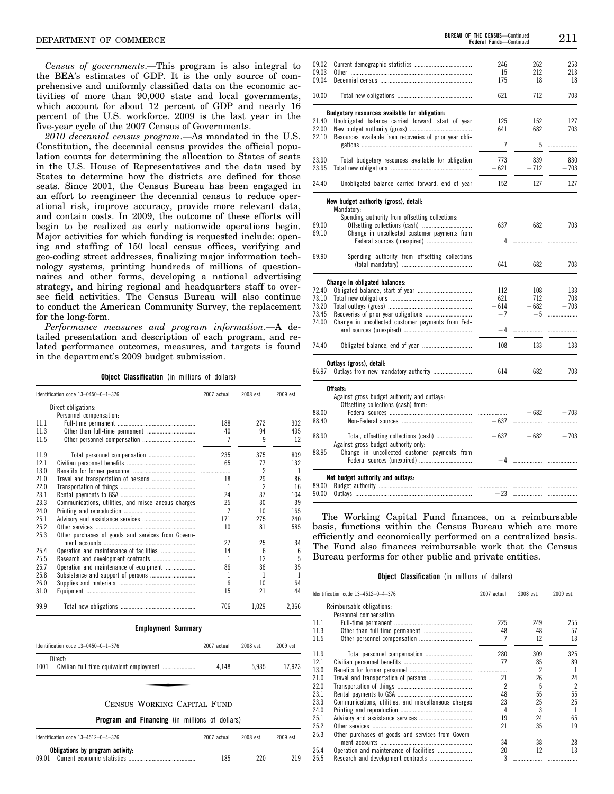*Census of governments*.—This program is also integral to the BEA's estimates of GDP. It is the only source of comprehensive and uniformly classified data on the economic activities of more than 90,000 state and local governments, which account for about 12 percent of GDP and nearly 16 percent of the U.S. workforce. 2009 is the last year in the five-year cycle of the 2007 Census of Governments.

*2010 decennial census program*.—As mandated in the U.S. Constitution, the decennial census provides the official population counts for determining the allocation to States of seats in the U.S. House of Representatives and the data used by States to determine how the districts are defined for those seats. Since 2001, the Census Bureau has been engaged in an effort to reengineer the decennial census to reduce operational risk, improve accuracy, provide more relevant data, and contain costs. In 2009, the outcome of these efforts will begin to be realized as early nationwide operations begin. Major activities for which funding is requested include: opening and staffing of 150 local census offices, verifying and geo-coding street addresses, finalizing major information technology systems, printing hundreds of millions of questionnaires and other forms, developing a national advertising strategy, and hiring regional and headquarters staff to oversee field activities. The Census Bureau will also continue to conduct the American Community Survey, the replacement for the long-form.

*Performance measures and program information*.—A detailed presentation and description of each program, and related performance outcomes, measures, and targets is found in the department's 2009 budget submission.

**Object Classification** (in millions of dollars)

| Identification code 13-0450-0-1-376 |                                                      | 2007 actual    | 2008 est.      | 2009 est. |
|-------------------------------------|------------------------------------------------------|----------------|----------------|-----------|
|                                     | Direct obligations:                                  |                |                |           |
|                                     | Personnel compensation:                              |                |                |           |
| 111                                 |                                                      | 188            | 272            | 302       |
| 11.3                                |                                                      | 40             | 94             | 495       |
| 11.5                                |                                                      | 7              | 9              | 12        |
| 11.9                                | Total personnel compensation                         | 235            | 375            | 809       |
| 121                                 |                                                      | 65             | 77             | 132       |
| 13.0                                |                                                      |                | $\overline{c}$ | 1         |
| 210                                 | Travel and transportation of persons                 | 18             | 29             | 86        |
| 22.0                                |                                                      | 1              | $\overline{c}$ | 16        |
| 23.1                                |                                                      | 24             | 37             | 104       |
| 23.3                                | Communications, utilities, and miscellaneous charges | 25             | 30             | 39        |
| 240                                 |                                                      | $\overline{7}$ | 10             | 165       |
| 25.1                                |                                                      | 171            | 275            | 240       |
| 25.2                                |                                                      | 10             | 81             | 585       |
| 25.3                                | Other purchases of goods and services from Govern-   |                |                |           |
|                                     |                                                      | 27             | 25             | 34        |
| 25.4                                | Operation and maintenance of facilities              | 14             | ĥ              | 6         |
| 25.5                                |                                                      | 1              | 12             | 5         |
| 25.7                                | Operation and maintenance of equipment               | 86             | 36             | 35        |
| 25.8                                | Subsistence and support of persons                   | 1              | 1              | 1         |
| 26.0                                |                                                      | 6              | 10             | 64        |
| 31.0                                |                                                      | 15             | 21             | 44        |
| 99.9                                |                                                      | 706            | 1.029          | 2.366     |

#### **Employment Summary**

| Identification code $13-0450-0-1-376$ |         | 2007 actual | 2008 est. | 2009 est. |
|---------------------------------------|---------|-------------|-----------|-----------|
| 1001                                  | Direct: | 4.148       | 5.935     | 17.923    |
|                                       |         |             |           |           |

#### CENSUS WORKING CAPITAL FUND

**Program and Financing** (in millions of dollars)

| Identification code 13-4512-0-4-376                                      | 2007 actual | 2008 est | 2009 est. |
|--------------------------------------------------------------------------|-------------|----------|-----------|
| Obligations by program activity:<br>Current economic statistics<br>09 01 | 185         | 220      | 219       |

|  | <b>BUREAU OF THE CENSUS-Continued</b> | 211 |  |
|--|---------------------------------------|-----|--|
|  | <b>Federal Funds-Continued</b>        |     |  |

| 09.02 |                                                         | 246    | 262    | 253    |
|-------|---------------------------------------------------------|--------|--------|--------|
| 09.03 |                                                         | 15     | 212    | 213    |
| 09.04 |                                                         | 175    | 18     | 18     |
| 10.00 |                                                         | 621    | 712    | 703    |
|       | Budgetary resources available for obligation:           |        |        |        |
| 21.40 | Unobligated balance carried forward, start of year      | 125    | 152    | 127    |
| 22.00 |                                                         | 641    | 682    | 703    |
| 22.10 | Resources available from recoveries of prior year obli- | 7      | 5      | .      |
| 23.90 | Total budgetary resources available for obligation      | 773    | 839    | 830    |
| 23.95 |                                                         | $-621$ | $-712$ | $-703$ |
| 24.40 | Unobligated balance carried forward, end of year        | 152    | 127    | 127    |
|       | New budget authority (gross), detail:<br>Mandatory:     |        |        |        |
|       | Spending authority from offsetting collections:         |        |        |        |
| 69.00 |                                                         | 637    | 682    | 703    |
| 69.10 | Change in uncollected customer payments from            |        |        |        |
|       | Federal sources (unexpired)                             | 4      | .      |        |
| 69.90 | Spending authority from offsetting collections          |        |        |        |
|       |                                                         | 641    | 682    | 703    |
|       | Change in obligated balances:                           |        |        |        |
| 72.40 |                                                         | 112    | 108    | 133    |
| 73.10 |                                                         | 621    | 712    | 703    |
| 73.20 |                                                         | $-614$ | $-682$ | $-703$ |
| 73.45 |                                                         | $-7$   | $-5$   | .      |
| 74.00 | Change in uncollected customer payments from Fed-       |        |        |        |
|       |                                                         | -4     | .      | .      |
| 74.40 |                                                         | 108    | 133    | 133    |
|       | Outlays (gross), detail:                                |        |        |        |
| 86.97 |                                                         | 614    | 682    | 703    |
|       | Offsets:                                                |        |        |        |
|       | Against gross budget authority and outlays:             |        |        |        |
|       | Offsetting collections (cash) from:                     |        |        |        |
| 88.00 |                                                         |        | $-682$ | $-703$ |
| 88.40 |                                                         | - 637  | .      |        |
| 88.90 |                                                         | $-637$ | $-682$ | $-703$ |
|       | Against gross budget authority only.                    |        |        |        |
| 88.95 | Change in uncollected customer payments from            |        | $-4$   |        |
|       |                                                         |        |        |        |
| 89.00 | Net budget authority and outlays:                       |        |        |        |
| 90.00 |                                                         | $-23$  |        |        |
|       |                                                         |        |        |        |

The Working Capital Fund finances, on a reimbursable basis, functions within the Census Bureau which are more efficiently and economically performed on a centralized basis. The Fund also finances reimbursable work that the Census Bureau performs for other public and private entities.

#### **Object Classification** (in millions of dollars)

|      | Identification code 13-4512-0-4-376                  | 2007 actual | 2008 est.      | 2009 est.      |
|------|------------------------------------------------------|-------------|----------------|----------------|
|      | Reimbursable obligations:                            |             |                |                |
|      | Personnel compensation:                              |             |                |                |
| 11.1 |                                                      | 225         | 249            | 255            |
| 11.3 |                                                      | 48          | 48             | 57             |
| 11.5 |                                                      |             | 12             | 13             |
| 11.9 |                                                      | 280         | 309            | 325            |
| 12.1 |                                                      | 77          | 85             | 89             |
| 13.0 |                                                      |             | $\overline{c}$ | 1              |
| 21.0 |                                                      | 21          | 26             | 24             |
| 22.0 |                                                      | 2           | 5              | $\overline{2}$ |
| 23.1 |                                                      | 48          | 55             | 55             |
| 23.3 | Communications, utilities, and miscellaneous charges | 23          | 25             | 25             |
| 24.0 |                                                      | 4           | 3              | $\mathbf{1}$   |
| 25.1 |                                                      | 19          | 24             | 65             |
| 25.2 |                                                      | 21          | 35             | 19             |
| 25.3 | Other purchases of goods and services from Govern-   |             |                |                |
|      |                                                      | 34          | 38             | 28             |
| 25.4 | Operation and maintenance of facilities              | 20          | 12             | 13             |
| 25.5 |                                                      | 3           |                |                |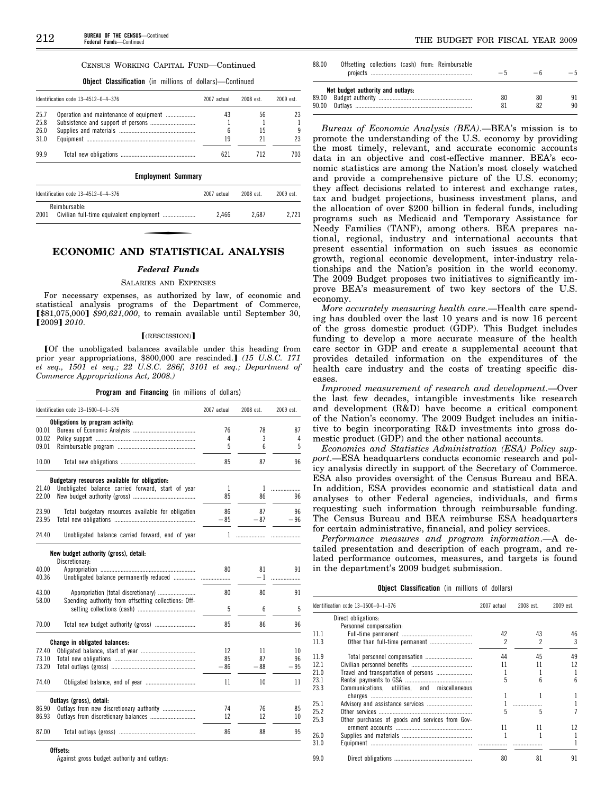#### CENSUS WORKING CAPITAL FUND—Continued

**Object Classification** (in millions of dollars)—Continued

|      | Identification code 13-4512-0-4-376    | 2007 actual | 2008 est. | 2009 est. |
|------|----------------------------------------|-------------|-----------|-----------|
| 25.7 | Operation and maintenance of equipment | 43          | 56        |           |
| 25.8 | Subsistence and support of persons     |             |           |           |
| 26.0 |                                        | ĥ           | 15        |           |
| 31.0 |                                        | 19          |           | 23        |
| 99.9 |                                        |             | 712       | 703.      |

**Employment Summary** 

| Identification code $13-4512-0-4-376$ | 2007 actual | 2008 est. | 2009 est. |
|---------------------------------------|-------------|-----------|-----------|
| Reimbursable:<br>2001                 | 2.466       | 2.687     | 2.721     |

# **ECONOMIC AND STATISTICAL ANALYSIS**

#### *Federal Funds*

#### SALARIES AND EXPENSES

For necessary expenses, as authorized by law, of economic and statistical analysis programs of the Department of Commerce, [\$81,075,000] \$90,621,000, to remain available until September 30, ø2009¿ *2010*.

#### $[$ (RESCISSION) $]$

[Of the unobligated balances available under this heading from prior year appropriations, \$800,000 are rescinded.] (15 U.S.C. 171 *et seq., 1501 et seq.; 22 U.S.C. 286f, 3101 et seq.; Department of Commerce Appropriations Act, 2008.)* 

**Program and Financing** (in millions of dollars)

|       | Identification code 13-1500-0-1-376                     | 2007 actual | 2008 est. | 2009 est. |
|-------|---------------------------------------------------------|-------------|-----------|-----------|
|       | Obligations by program activity:                        |             |           |           |
| 00.01 |                                                         | 76          | 78        | 87        |
| 00.02 |                                                         | 4           | 3         | 4         |
| 09.01 |                                                         | 5           | 6         | 5         |
| 10.00 |                                                         | 85          | 87        | 96        |
|       | Budgetary resources available for obligation:           |             |           |           |
| 21.40 | Unobligated balance carried forward, start of year      | 1           | 1         | .         |
| 22.00 |                                                         | 85          | 86        | 96        |
| 23.90 | Total budgetary resources available for obligation      | 86          | 87        | 96        |
| 23.95 |                                                         | $-85$       | $-87$     | $-96$     |
| 24.40 | Unobligated balance carried forward, end of year        | 1           |           |           |
|       | New budget authority (gross), detail:<br>Discretionary: |             |           |           |
| 40.00 |                                                         | 80          | 81        | 91        |
| 40.36 | Unobligated balance permanently reduced                 |             | $-1$      | .         |
| 43.00 | Appropriation (total discretionary)                     | 80          | 80        | 91        |
| 58.00 | Spending authority from offsetting collections: Off-    |             |           |           |
|       |                                                         | 5           | 6         | 5         |
| 70.00 |                                                         | 85          | 86        | 96        |
|       | Change in obligated balances:                           |             |           |           |
| 72.40 |                                                         | 12          | 11        | 10        |
| 73.10 |                                                         | 85          | 87        | 96        |
| 73.20 |                                                         | $-86$       | $-88$     | $-95$     |
| 74.40 |                                                         | 11          | 10        | 11        |
|       | Outlays (gross), detail:                                |             |           |           |
| 86.90 | Outlays from new discretionary authority                | 74          | 76        | 85        |
| 86.93 |                                                         | 12          | 12        | 10        |
| 87.00 |                                                         | 86          | 88        | 95        |

Against gross budget authority and outlays:

| 88.00 | Offsetting collections (cash) from: Reimbursable | $-5$ | $-6$ | $-5$ |
|-------|--------------------------------------------------|------|------|------|
|       | Net budget authority and outlays:                |      |      |      |
|       |                                                  | 80   | 80   | 91   |
|       |                                                  |      |      | 90   |

*Bureau of Economic Analysis (BEA)*.—BEA's mission is to promote the understanding of the U.S. economy by providing the most timely, relevant, and accurate economic accounts data in an objective and cost-effective manner. BEA's economic statistics are among the Nation's most closely watched and provide a comprehensive picture of the U.S. economy; they affect decisions related to interest and exchange rates, tax and budget projections, business investment plans, and the allocation of over \$200 billion in federal funds, including programs such as Medicaid and Temporary Assistance for Needy Families (TANF), among others. BEA prepares national, regional, industry and international accounts that present essential information on such issues as economic growth, regional economic development, inter-industry relationships and the Nation's position in the world economy. The 2009 Budget proposes two initiatives to significantly improve BEA's measurement of two key sectors of the U.S. economy.

*More accurately measuring health care*.—Health care spending has doubled over the last 10 years and is now 16 percent of the gross domestic product (GDP). This Budget includes funding to develop a more accurate measure of the health care sector in GDP and create a supplemental account that provides detailed information on the expenditures of the health care industry and the costs of treating specific diseases.

*Improved measurement of research and development*.—Over the last few decades, intangible investments like research and development (R&D) have become a critical component of the Nation's economy. The 2009 Budget includes an initiative to begin incorporating R&D investments into gross domestic product (GDP) and the other national accounts.

*Economics and Statistics Administration (ESA) Policy support*.—ESA headquarters conducts economic research and policy analysis directly in support of the Secretary of Commerce. ESA also provides oversight of the Census Bureau and BEA. In addition, ESA provides economic and statistical data and analyses to other Federal agencies, individuals, and firms requesting such information through reimbursable funding. The Census Bureau and BEA reimburse ESA headquarters for certain administrative, financial, and policy services.

*Performance measures and program information*.—A detailed presentation and description of each program, and related performance outcomes, measures, and targets is found in the department's 2009 budget submission.

|  | <b>Object Classification</b> (in millions of dollars) |  |  |  |  |
|--|-------------------------------------------------------|--|--|--|--|
|--|-------------------------------------------------------|--|--|--|--|

| Identification code 13-1500-0-1-376<br>2007 actual<br>2008 est. |                                                 | 2009 est.      |    |                 |
|-----------------------------------------------------------------|-------------------------------------------------|----------------|----|-----------------|
|                                                                 | Direct obligations:                             |                |    |                 |
|                                                                 | Personnel compensation:                         |                |    |                 |
| 11.1                                                            |                                                 | 42             | 43 | 46              |
| 11.3                                                            |                                                 | $\mathfrak{p}$ | 2  | 3               |
| 11.9                                                            |                                                 | 44             | 45 | 49              |
| 12.1                                                            |                                                 | 11             | 11 | 12              |
| 21.0                                                            | Travel and transportation of persons            |                |    | 1               |
| 23.1                                                            |                                                 | 5              | հ  | $6\overline{6}$ |
| 23.3                                                            | Communications, utilities, and miscellaneous    |                |    |                 |
|                                                                 |                                                 |                |    | 1               |
| 25.1                                                            |                                                 |                |    | 1               |
| 25.2                                                            |                                                 | 5              | 5  | 7               |
| 25.3                                                            | Other purchases of goods and services from Gov- |                |    |                 |
|                                                                 |                                                 | 11             | 11 | 12              |
| 26.0                                                            |                                                 | 1              |    | 1               |
| 31.0                                                            |                                                 |                |    |                 |
| 99.0                                                            |                                                 | 80             | 81 | 91              |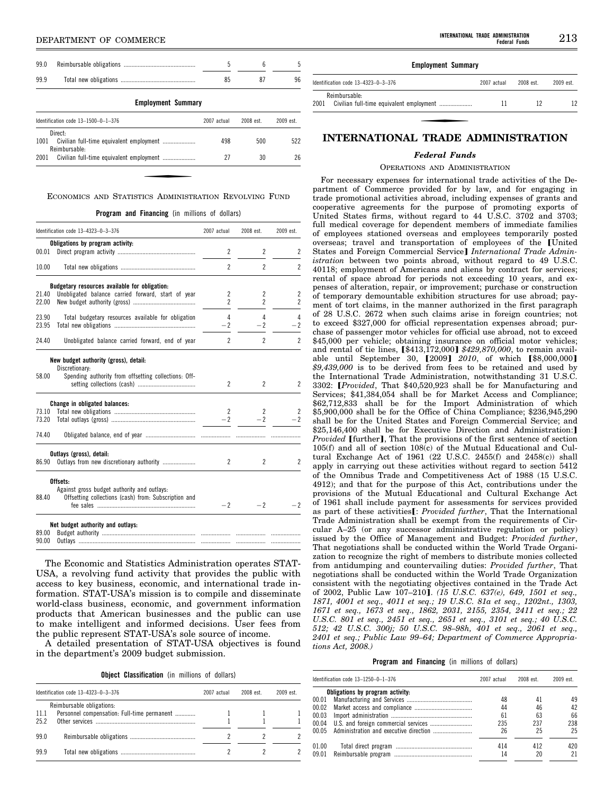# **IDEPARTMENT OF COMMERCE**

| 99.0 |                                       | 5           | 6         | 5         |  |  |
|------|---------------------------------------|-------------|-----------|-----------|--|--|
| 99.9 |                                       | 85          | 87        | 96        |  |  |
|      | <b>Employment Summary</b>             |             |           |           |  |  |
|      | Identification code $13-1500-0-1-376$ | 2007 actual | 2008 est. | 2009 est. |  |  |
| 1001 | Direct-<br>Reimbursable:              | 498         | 500       | 522       |  |  |

### ECONOMICS AND STATISTICS ADMINISTRATION REVOLVING FUND

2001 Civilian full-time equivalent employment ..................... 27 30 26

**Program and Financing** (in millions of dollars)

|       | Identification code 13-4323-0-3-376                                                                             | 2007 actual    | 2008 est.      | 2009 est.      |
|-------|-----------------------------------------------------------------------------------------------------------------|----------------|----------------|----------------|
|       | Obligations by program activity:                                                                                |                |                |                |
| 00.01 |                                                                                                                 | 2              | $\overline{c}$ | 2              |
| 10.00 |                                                                                                                 | $\overline{c}$ | $\overline{c}$ | $\overline{2}$ |
|       | Budgetary resources available for obligation:                                                                   |                |                |                |
| 21.40 | Unobligated balance carried forward, start of year                                                              | 2              | 2              | 2              |
| 22.00 |                                                                                                                 | $\overline{c}$ | $\overline{c}$ | $\overline{c}$ |
| 23.90 | Total budgetary resources available for obligation                                                              | 4              | 4              | 4              |
| 23.95 |                                                                                                                 | $-2$           | $-2$           | $-2$           |
| 24.40 | Unobligated balance carried forward, end of year                                                                | $\overline{c}$ | $\overline{2}$ | $\overline{2}$ |
| 58.00 | New budget authority (gross), detail:<br>Discretionary:<br>Spending authority from offsetting collections: Off- | 2              | 2              | 2              |
|       | Change in obligated balances:                                                                                   |                |                |                |
| 73.10 |                                                                                                                 | 2              | 2              | 2              |
| 73.20 |                                                                                                                 | $-2$           | $-2$           | $-2$           |
| 74.40 |                                                                                                                 |                |                |                |
|       | Outlays (gross), detail:                                                                                        |                |                |                |
| 86.90 |                                                                                                                 | 2              | 2              | 2              |
|       | Offsets:                                                                                                        |                |                |                |
|       | Against gross budget authority and outlays:                                                                     |                |                |                |
| 88.40 | Offsetting collections (cash) from: Subscription and                                                            | $-2$           | $-2$           | -2             |
|       | Net budget authority and outlays:                                                                               |                |                |                |
| 89.00 |                                                                                                                 |                |                |                |
| 90.00 |                                                                                                                 |                |                |                |

The Economic and Statistics Administration operates STAT-USA, a revolving fund activity that provides the public with access to key business, economic, and international trade information. STAT-USA's mission is to compile and disseminate world-class business, economic, and government information products that American businesses and the public can use to make intelligent and informed decisions. User fees from the public represent STAT-USA's sole source of income.

A detailed presentation of STAT-USA objectives is found in the department's 2009 budget submission.

**Object Classification** (in millions of dollars)

|      | Identification code $13-4323-0-3-376$<br>2007 actual |  | $2008$ est | 2009 est. |
|------|------------------------------------------------------|--|------------|-----------|
|      | Reimbursable obligations:                            |  |            |           |
| 11.1 | Personnel compensation: Full-time permanent          |  |            |           |
| 25.2 |                                                      |  |            |           |
| 99.0 |                                                      |  |            |           |
| 999  |                                                      |  |            |           |

# **Employment Summary**

| Identification code 13-4323-0-3-376 | 2007 actual | 2008 est. | 2009 est. |
|-------------------------------------|-------------|-----------|-----------|
| Reimbursable:<br>2001               |             |           |           |

# **INTERNATIONAL TRADE ADMINISTRATION**

# *Federal Funds*

### OPERATIONS AND ADMINISTRATION

For necessary expenses for international trade activities of the Department of Commerce provided for by law, and for engaging in trade promotional activities abroad, including expenses of grants and cooperative agreements for the purpose of promoting exports of United States firms, without regard to 44 U.S.C. 3702 and 3703; full medical coverage for dependent members of immediate families of employees stationed overseas and employees temporarily posted overseas; travel and transportation of employees of the [United States and Foreign Commercial Service] *International Trade Administration* between two points abroad, without regard to 49 U.S.C. 40118; employment of Americans and aliens by contract for services; rental of space abroad for periods not exceeding 10 years, and expenses of alteration, repair, or improvement; purchase or construction of temporary demountable exhibition structures for use abroad; payment of tort claims, in the manner authorized in the first paragraph of 28 U.S.C. 2672 when such claims arise in foreign countries; not to exceed \$327,000 for official representation expenses abroad; purchase of passenger motor vehicles for official use abroad, not to exceed \$45,000 per vehicle; obtaining insurance on official motor vehicles; and rental of tie lines, [\$413,172,000] \$429,870,000, to remain available until September 30, [2009] 2010, of which [\$8,000,000] *\$9,439,000* is to be derived from fees to be retained and used by the International Trade Administration, notwithstanding 31 U.S.C. 3302: *[Provided*, That \$40,520,923 shall be for Manufacturing and Services; \$41,384,054 shall be for Market Access and Compliance; \$62,712,833 shall be for the Import Administration of which \$5,900,000 shall be for the Office of China Compliance; \$236,945,290 shall be for the United States and Foreign Commercial Service; and \$25,146,400 shall be for Executive Direction and Administration: *Provided* [further], That the provisions of the first sentence of section 105(f) and all of section 108(c) of the Mutual Educational and Cultural Exchange Act of 1961 (22 U.S.C. 2455(f) and 2458(c)) shall apply in carrying out these activities without regard to section 5412 of the Omnibus Trade and Competitiveness Act of 1988 (15 U.S.C. 4912); and that for the purpose of this Act, contributions under the provisions of the Mutual Educational and Cultural Exchange Act of 1961 shall include payment for assessments for services provided as part of these activities<sup>[</sup>: *Provided further*, That the International Trade Administration shall be exempt from the requirements of Circular A–25 (or any successor administrative regulation or policy) issued by the Office of Management and Budget: *Provided further*, That negotiations shall be conducted within the World Trade Organization to recognize the right of members to distribute monies collected from antidumping and countervailing duties: *Provided further*, That negotiations shall be conducted within the World Trade Organization consistent with the negotiating objectives contained in the Trade Act of 2002, Public Law 107-210]. (15 U.S.C. 637(e), 649, 1501 et seq., *1871, 4001 et seq., 4011 et seq.; 19 U.S.C. 81a et seq., 1202nt., 1303, 1671 et seq., 1673 et seq., 1862, 2031, 2155, 2354, 2411 et seq.; 22 U.S.C. 801 et seq., 2451 et seq., 2651 et seq., 3101 et seq.; 40 U.S.C. 512; 42 U.S.C. 300j; 50 U.S.C. 98–98h, 401 et seq., 2061 et seq., 2401 et seq.; Public Law 99–64; Department of Commerce Appropriations Act, 2008.)* 

**Program and Financing** (in millions of dollars)

|       | Identification code 13-1250-0-1-376 | 2007 actual | 2008 est. | 2009 est. |
|-------|-------------------------------------|-------------|-----------|-----------|
|       | Obligations by program activity:    |             |           |           |
| 00.01 |                                     | 48          | 41        | 49        |
| 00.02 |                                     | 44          | 46        | 42        |
| 00.03 |                                     | 61          | 63        | 66        |
| 00.04 |                                     | 235         | 237       | 238       |
| 00 05 |                                     | 26          | 25        | 25        |
| 01.00 |                                     | 414         | 412       | 420       |
| 09.01 |                                     | 14          | 20        | 21        |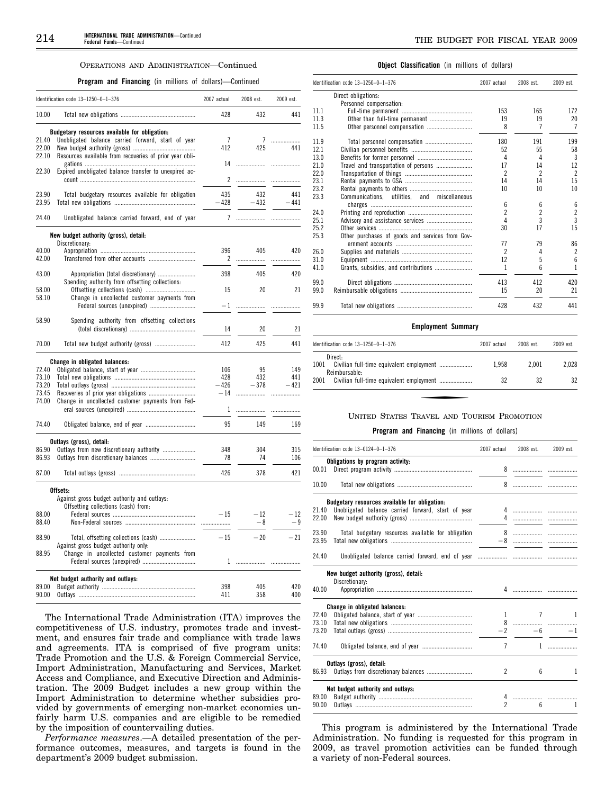#### OPERATIONS AND ADMINISTRATION—Continued

**Program and Financing** (in millions of dollars)—Continued

|       | Identification code 13-1250-0-1-376                                                    | 2007 actual | 2008 est. | 2009 est. |
|-------|----------------------------------------------------------------------------------------|-------------|-----------|-----------|
| 10.00 |                                                                                        | 428         | 432       | 441       |
|       | Budgetary resources available for obligation:                                          |             |           |           |
| 21.40 | Unobligated balance carried forward, start of year                                     | 7           | 7         | .         |
| 22.00 |                                                                                        | 412         | 425       | 441       |
| 22.10 | Resources available from recoveries of prior year obli-                                |             |           |           |
|       |                                                                                        | 14          |           |           |
| 22.30 | Expired unobligated balance transfer to unexpired ac-                                  |             |           |           |
|       |                                                                                        | 2           | .         |           |
| 23.90 |                                                                                        | 435         | 432       | 441       |
| 23.95 | Total budgetary resources available for obligation                                     | $-428$      | $-432$    | $-441$    |
|       |                                                                                        |             |           |           |
| 24.40 | Unobligated balance carried forward, end of year                                       | 7           |           |           |
|       | New budget authority (gross), detail:                                                  |             |           |           |
|       | Discretionary:                                                                         |             |           |           |
| 40.00 |                                                                                        | 396         | 405       | 420       |
| 42.00 | Transferred from other accounts                                                        | 2           | .         | .         |
| 43.00 |                                                                                        | 398         | 405       | 420       |
|       | Appropriation (total discretionary)<br>Spending authority from offsetting collections: |             |           |           |
| 58.00 |                                                                                        | 15          | 20        | 21        |
| 58.10 | Change in uncollected customer payments from                                           |             |           |           |
|       | Federal sources (unexpired)                                                            | $-1$        |           |           |
|       |                                                                                        |             |           | .         |
| 58.90 | Spending authority from offsetting collections                                         |             |           |           |
|       |                                                                                        | 14          | 20        | 21        |
|       |                                                                                        |             |           |           |
| 70.00 | Total new budget authority (gross)                                                     | 412         | 425       | 441       |
|       | Change in obligated balances:                                                          |             |           |           |
| 72.40 |                                                                                        | 106         | 95        | 149       |
| 73.10 |                                                                                        | 428         | 432       | 441       |
| 73.20 |                                                                                        | $-426$      | $-378$    | $-421$    |
| 73.45 |                                                                                        | $-14$       |           |           |
| 74.00 | Change in uncollected customer payments from Fed-                                      |             |           |           |
|       |                                                                                        | 1           |           |           |
|       |                                                                                        |             |           |           |
| 74.40 |                                                                                        | 95          | 149       | 169       |
|       | Outlays (gross), detail:                                                               |             |           |           |
| 86.90 | Outlays from new discretionary authority                                               | 348         | 304       | 315       |
| 86.93 |                                                                                        | 78          | 74        | 106       |
| 87.00 |                                                                                        | 426         | 378       | 421       |
|       | Offsets:                                                                               |             |           |           |
|       | Against gross budget authority and outlays:                                            |             |           |           |
|       | Offsetting collections (cash) from:                                                    |             |           |           |
| 88.00 |                                                                                        | $-15$       | $-12$     | $-12$     |
| 88.40 |                                                                                        |             | - 8       | - 9       |
|       |                                                                                        |             |           |           |
| 88.90 | Total, offsetting collections (cash)                                                   | $-15$       | $-20$     | $-21$     |
|       | Against gross budget authority only:                                                   |             |           |           |
| 88.95 | Change in uncollected customer payments from                                           |             |           |           |
|       |                                                                                        |             |           |           |
|       |                                                                                        |             |           |           |
| 89.00 | Net budget authority and outlays:                                                      | 398         | 405       | 420       |
| 90.00 |                                                                                        | 411         | 358       | 400       |
|       |                                                                                        |             |           |           |

The International Trade Administration (ITA) improves the competitiveness of U.S. industry, promotes trade and investment, and ensures fair trade and compliance with trade laws and agreements. ITA is comprised of five program units: Trade Promotion and the U.S. & Foreign Commercial Service, Import Administration, Manufacturing and Services, Market Access and Compliance, and Executive Direction and Administration. The 2009 Budget includes a new group within the Import Administration to determine whether subsidies provided by governments of emerging non-market economies unfairly harm U.S. companies and are eligible to be remedied by the imposition of countervailing duties.

*Performance measures*.—A detailed presentation of the performance outcomes, measures, and targets is found in the department's 2009 budget submission.

#### **Object Classification** (in millions of dollars)

| Identification code 13-1250-0-1-376 |                                                 | 2007 actual    | 2008 est.      | 2009 est.               |
|-------------------------------------|-------------------------------------------------|----------------|----------------|-------------------------|
| Direct obligations:                 |                                                 |                |                |                         |
|                                     | Personnel compensation:                         |                |                |                         |
| 11.1                                |                                                 | 153            | 165            | 172                     |
| 11.3                                | Other than full-time permanent                  | 19             | 19             | 20                      |
| 11.5                                |                                                 | 8              | 7              | $\overline{7}$          |
| 11.9                                |                                                 | 180            | 191            | 199                     |
| 12.1                                |                                                 | 52             | 55             | 58                      |
| 13.0                                |                                                 | 4              | 4              | 3                       |
| 21.0                                | Travel and transportation of persons            | 17             | 14             | 12                      |
| 22.0                                |                                                 | $\mathfrak{p}$ | $\mathfrak{p}$ | $\overline{\mathbf{c}}$ |
| 23.1                                |                                                 | 14             | 14             | 15                      |
| 23.2                                |                                                 | 10             | 10             | 10                      |
| 23.3<br>Communications.             | utilities, and miscellaneous                    |                |                |                         |
|                                     |                                                 | 6              | 6              | 6                       |
| 24.0                                |                                                 | $\overline{c}$ | $\overline{c}$ | $\overline{2}$          |
| 25.1                                |                                                 | 4              | 3              | $\overline{3}$          |
| 25.2                                |                                                 | 30             | 17             | 15                      |
| 25.3                                | Other purchases of goods and services from Gov- |                |                |                         |
|                                     |                                                 | 77             | 79             | 86                      |
| 26.0                                |                                                 | $\overline{2}$ | 4              | $\overline{c}$          |
| 31.0                                |                                                 | 12             | 5              | $6\overline{6}$         |
| 41.0                                | Grants, subsidies, and contributions            | 1              | 6              | $\mathbf{1}$            |
| 99.0                                |                                                 | 413            | 412            | 420                     |
| 99.0                                |                                                 | 15             | 20             | 21                      |
| 99.9                                |                                                 | 428            | 432            | 441                     |

#### **Employment Summary**

| Identification code $13-1250-0-1-376$ | 2007 actual | 2008 est. | 2009 est. |
|---------------------------------------|-------------|-----------|-----------|
| Direct:<br>1001<br>Reimbursable:      | 1.958       | 2.001     | 2.028     |
| 2001                                  | 32          | 32        | 32        |

#### UNITED STATES TRAVEL AND TOURISM PROMOTION

#### **Program and Financing** (in millions of dollars)

|       | Identification code 13-0124-0-1-376                | 2007 actual | 2008 est.                           | 2009 est. |
|-------|----------------------------------------------------|-------------|-------------------------------------|-----------|
|       | Obligations by program activity:                   |             |                                     |           |
| 00.01 |                                                    |             |                                     |           |
| 10.00 |                                                    | 8           | .                                   |           |
|       | Budgetary resources available for obligation:      |             |                                     |           |
| 21.40 | Unobligated balance carried forward, start of year |             |                                     |           |
| 22.00 |                                                    |             | 4                                   |           |
| 23.90 | Total budgetary resources available for obligation |             |                                     |           |
| 23.95 |                                                    |             |                                     |           |
| 24.40 |                                                    |             |                                     |           |
|       | New budget authority (gross), detail:              |             |                                     |           |
|       | Discretionary:                                     |             |                                     |           |
| 40.00 |                                                    |             |                                     |           |
|       | Change in obligated balances:                      |             |                                     |           |
| 72.40 |                                                    |             | $\overline{7}$<br>$1 \qquad \qquad$ | 1         |
| 73.10 |                                                    |             |                                     |           |
| 73.20 |                                                    | $-2$        |                                     | $-6$      |
| 74.40 |                                                    | 7           |                                     | 1         |
|       | Outlays (gross), detail:                           |             |                                     |           |
| 86.93 |                                                    | 2           | 6                                   | 1         |
|       | Net budget authority and outlays:                  |             |                                     |           |
| 89.00 |                                                    | 4           |                                     |           |
| 90.00 |                                                    | 2           | $\mathsf{f}$                        | 1         |
|       |                                                    |             |                                     |           |

This program is administered by the International Trade Administration. No funding is requested for this program in 2009, as travel promotion activities can be funded through a variety of non-Federal sources.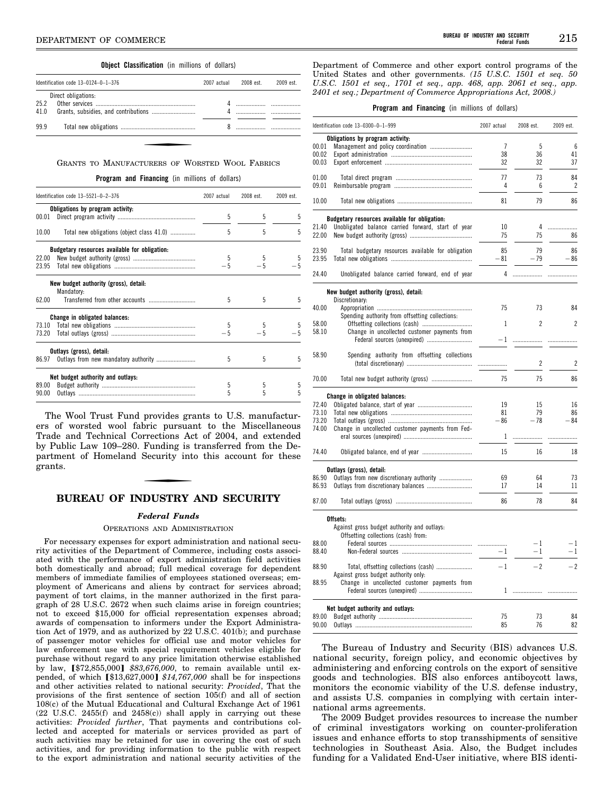# **Object Classification** (in millions of dollars)

|              | Identification code $13-0124-0-1-376$ | 2007 actual | 2008 est. | 2009 est. |
|--------------|---------------------------------------|-------------|-----------|-----------|
| 25.2<br>41.0 | Direct obligations:                   |             |           |           |
| 99.9         |                                       |             |           |           |

| GRANTS TO MANUFACTURERS OF WORSTED WOOL FABRICS |  |  |  |  |
|-------------------------------------------------|--|--|--|--|
|-------------------------------------------------|--|--|--|--|

**Program and Financing** (in millions of dollars)

|       | Identification code 13-5521-0-2-376                 | 2007 actual | 2008 est. | 2009 est. |
|-------|-----------------------------------------------------|-------------|-----------|-----------|
|       | Obligations by program activity:                    |             |           |           |
| 00.01 |                                                     | 5           | 5         | 5         |
| 10.00 | Total new obligations (object class 41.0)           | 5           | 5         | 5         |
|       | Budgetary resources available for obligation:       |             |           |           |
| 22.00 |                                                     | 5           | 5         | 5         |
| 23.95 |                                                     |             | $-5$      |           |
|       | New budget authority (gross), detail:<br>Mandatory: |             |           |           |
| 62.00 |                                                     | 5           | 5         | 5         |
|       | Change in obligated balances:                       |             |           |           |
|       |                                                     | 5           | 5         |           |
|       |                                                     |             | $-5$      |           |
|       | Outlays (gross), detail:                            |             |           |           |
| 86.97 |                                                     | 5           | 5         | 5         |
|       | Net budget authority and outlays:                   |             |           |           |
| 89.00 |                                                     | 5           | 5         | 5         |
| 90.00 |                                                     | 5           | 5         | 5         |
|       |                                                     |             |           |           |

The Wool Trust Fund provides grants to U.S. manufacturers of worsted wool fabric pursuant to the Miscellaneous Trade and Technical Corrections Act of 2004, and extended by Public Law 109–280. Funding is transferred from the Department of Homeland Security into this account for these grants.

# **BUREAU OF INDUSTRY AND SECURITY**

### *Federal Funds*

#### OPERATIONS AND ADMINISTRATION

For necessary expenses for export administration and national security activities of the Department of Commerce, including costs associated with the performance of export administration field activities both domestically and abroad; full medical coverage for dependent members of immediate families of employees stationed overseas; employment of Americans and aliens by contract for services abroad; payment of tort claims, in the manner authorized in the first paragraph of 28 U.S.C. 2672 when such claims arise in foreign countries; not to exceed \$15,000 for official representation expenses abroad; awards of compensation to informers under the Export Administration Act of 1979, and as authorized by 22 U.S.C. 401(b); and purchase of passenger motor vehicles for official use and motor vehicles for law enforcement use with special requirement vehicles eligible for purchase without regard to any price limitation otherwise established by law, [\$72,855,000] \$83,676,000, to remain available until expended, of which [\$13,627,000] \$14,767,000 shall be for inspections and other activities related to national security: *Provided*, That the provisions of the first sentence of section 105(f) and all of section 108(c) of the Mutual Educational and Cultural Exchange Act of 1961 (22 U.S.C. 2455(f) and 2458(c)) shall apply in carrying out these activities: *Provided further*, That payments and contributions collected and accepted for materials or services provided as part of such activities may be retained for use in covering the cost of such activities, and for providing information to the public with respect to the export administration and national security activities of the

Department of Commerce and other export control programs of the United States and other governments. *(15 U.S.C. 1501 et seq. 50 U.S.C. 1501 et seq., 1701 et seq., app. 468, app. 2061 et seq., app. 2401 et seq.; Department of Commerce Appropriations Act, 2008.)* 

#### **Program and Financing** (in millions of dollars)

|       | Identification code 13-0300-0-1-999                                                  | 2007 actual | 2008 est.      | 2009 est.      |
|-------|--------------------------------------------------------------------------------------|-------------|----------------|----------------|
|       | Obligations by program activity:                                                     |             |                |                |
| 00.01 | Management and policy coordination                                                   | 7           | 5              | 6              |
| 00.02 |                                                                                      | 38          | 36             | 41             |
| 00.03 |                                                                                      | 32          | 32             | 37             |
| 01.00 |                                                                                      | 77          | 73             | 84             |
| 09.01 |                                                                                      | 4           | 6              | $\overline{2}$ |
| 10.00 |                                                                                      | 81          | 79             | 86             |
|       | Budgetary resources available for obligation:                                        |             |                |                |
| 21.40 | Unobligated balance carried forward, start of year                                   | 10          | 4              | .              |
| 22.00 |                                                                                      | 75          | 75             | 86             |
| 23.90 | Total budgetary resources available for obligation                                   | 85          | 79             | 86             |
| 23.95 |                                                                                      | 81          | - 79           | - 86           |
| 24.40 | Unobligated balance carried forward, end of year                                     | 4           | .              | .              |
|       | New budget authority (gross), detail:                                                |             |                |                |
|       | Discretionary:                                                                       |             |                |                |
| 40.00 |                                                                                      | 75          | 73             | 84             |
|       | Spending authority from offsetting collections:                                      |             |                |                |
| 58.00 |                                                                                      | 1           | $\overline{c}$ | 2              |
| 58.10 | Change in uncollected customer payments from                                         |             |                |                |
|       | Federal sources (unexpired)                                                          | $-1$        | .              |                |
| 58.90 |                                                                                      |             |                |                |
|       | Spending authority from offsetting collections                                       |             | 2              | $\overline{2}$ |
|       |                                                                                      |             |                |                |
| 70.00 | Total new budget authority (gross)                                                   | 75          | 75             | 86             |
|       | Change in obligated balances:                                                        |             |                |                |
| 72.40 |                                                                                      | 19          | 15             | 16             |
| 73.10 |                                                                                      | 81          | 79             | 86             |
| 73.20 |                                                                                      | $-86$       | $-78$          | $-84$          |
|       |                                                                                      |             |                |                |
| 74.00 | Change in uncollected customer payments from Fed-                                    | 1           | .              | .              |
| 74.40 |                                                                                      | 15          | 16             | 18             |
|       |                                                                                      |             |                |                |
|       | Outlays (gross), detail:                                                             |             |                |                |
| 86.90 | Outlays from new discretionary authority                                             | 69          | 64             | 73             |
| 86.93 |                                                                                      | 17          | 14             | 11             |
| 87.00 |                                                                                      | 86          | 78             | 84             |
|       | Offsets:                                                                             |             |                |                |
|       | Against gross budget authority and outlays:                                          |             |                |                |
|       | Offsetting collections (cash) from:                                                  |             |                |                |
| 88.00 |                                                                                      |             | $-1$           | $-1$           |
| 88.40 |                                                                                      | $-1$        | $-1$           | $-1$           |
| 88.90 |                                                                                      | $-1$        | $-2$           | $-2$           |
| 88.95 | Against gross budget authority only:<br>Change in uncollected customer payments from |             |                |                |
|       |                                                                                      | 1           | .              |                |
|       | Net budget authority and outlays:                                                    |             |                |                |
| 89.00 |                                                                                      | 75          | 73             | 84             |
| 90.00 |                                                                                      | 85          | 76             | 82             |
|       |                                                                                      |             |                |                |

The Bureau of Industry and Security (BIS) advances U.S. national security, foreign policy, and economic objectives by administering and enforcing controls on the export of sensitive goods and technologies. BIS also enforces antiboycott laws, monitors the economic viability of the U.S. defense industry, and assists U.S. companies in complying with certain international arms agreements.

The 2009 Budget provides resources to increase the number of criminal investigators working on counter-proliferation issues and enhance efforts to stop transshipments of sensitive technologies in Southeast Asia. Also, the Budget includes funding for a Validated End-User initiative, where BIS identi-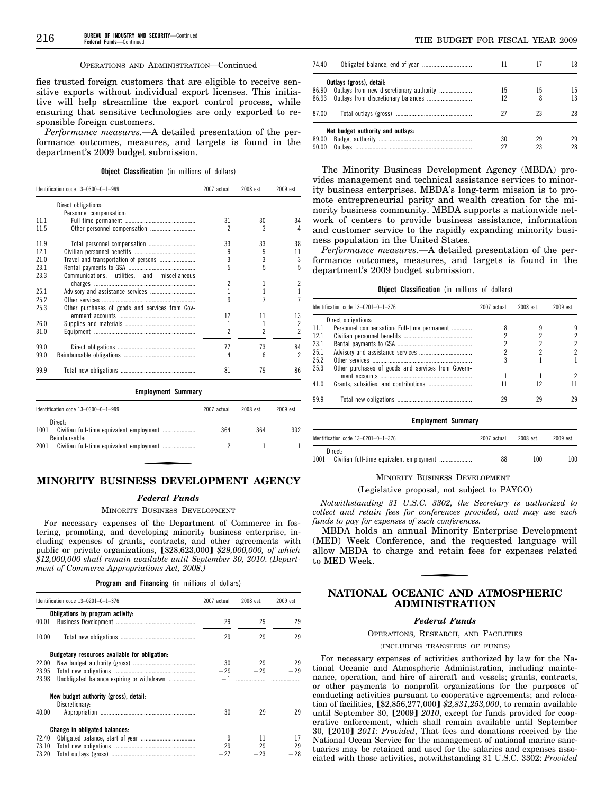#### OPERATIONS AND ADMINISTRATION—Continued

fies trusted foreign customers that are eligible to receive sensitive exports without individual export licenses. This initiative will help streamline the export control process, while ensuring that sensitive technologies are only exported to responsible foreign customers.

*Performance measures.*—A detailed presentation of the performance outcomes, measures, and targets is found in the department's 2009 budget submission.

**Object Classification** (in millions of dollars)

|      | Identification code 13-0300-0-1-999             | 2007 actual | 2008 est. | 2009 est. |
|------|-------------------------------------------------|-------------|-----------|-----------|
|      | Direct obligations:                             |             |           |           |
|      | Personnel compensation:                         |             |           |           |
| 1111 |                                                 | 31          | 30        | 34        |
| 11.5 | Other personnel compensation                    | 2           | 3         | 4         |
| 11.9 |                                                 | 33          | 33        | 38        |
| 121  |                                                 |             | 9         | 11        |
| 210  | Travel and transportation of persons            | 3           | 3         | 3         |
| 23.1 |                                                 |             | 5         | 5         |
| 23.3 | Communications, utilities, and miscellaneous    |             |           |           |
|      |                                                 | 2           | 1         | 2         |
| 25.1 |                                                 |             |           |           |
| 25.2 |                                                 | g           |           |           |
| 25.3 | Other purchases of goods and services from Gov- |             |           |           |
|      |                                                 | 12          | 11        | 13        |
| 26.0 |                                                 |             |           | 2         |
| 31.0 |                                                 | 2           |           | 2         |
| 99.0 |                                                 | 77          | 73        | 84        |
| 99.0 |                                                 | 4           | 6         | 2         |
| 99.9 |                                                 | 81          | 79        | 86        |

**Employment Summary** 

| Identification code $13-0300-0-1-999$ | 2007 actual | $2008$ est | $2009$ est |
|---------------------------------------|-------------|------------|------------|
| Direct:<br>1001<br>Reimbursable-      | 364         | 364        | 392        |
| 2001                                  |             |            |            |

# **MINORITY BUSINESS DEVELOPMENT AGENCY**

#### *Federal Funds*

#### MINORITY BUSINESS DEVELOPMENT

For necessary expenses of the Department of Commerce in fostering, promoting, and developing minority business enterprise, including expenses of grants, contracts, and other agreements with public or private organizations, [\$28,623,000] \$29,000,000, of which *\$12,000,000 shall remain available until September 30, 2010*. *(Department of Commerce Appropriations Act, 2008.)* 

| <b>Program and Financing</b> (in millions of dollars) |  |  |  |  |
|-------------------------------------------------------|--|--|--|--|
|-------------------------------------------------------|--|--|--|--|

| 29        | 29    |
|-----------|-------|
|           |       |
|           |       |
| 29        | 29    |
|           |       |
| 29        | 29    |
| $-29 -29$ | $-29$ |
|           |       |
|           |       |
|           |       |
| 29        | 29    |
|           |       |
| 11        | 17    |
| 29        | 29    |
|           | $-28$ |
|           | $-23$ |

| 74.40 |                                   |    |    | 18  |
|-------|-----------------------------------|----|----|-----|
|       | Outlays (gross), detail:          |    |    |     |
| 86.90 |                                   | 15 | 15 | 15  |
| 86.93 |                                   | 12 | 8  | 13  |
| 87.00 |                                   | 27 | 23 | 28  |
|       | Net budget authority and outlays: |    |    |     |
| 89.00 |                                   | 30 | 29 | 29. |
| 90.00 |                                   | 27 | 23 | 28  |

The Minority Business Development Agency (MBDA) provides management and technical assistance services to minority business enterprises. MBDA's long-term mission is to promote entrepreneurial parity and wealth creation for the minority business community. MBDA supports a nationwide network of centers to provide business assistance, information and customer service to the rapidly expanding minority business population in the United States.

*Performance measures*.—A detailed presentation of the performance outcomes, measures, and targets is found in the department's 2009 budget submission.

| <b>Object Classification</b> (in millions of dollars) |  |  |  |  |  |
|-------------------------------------------------------|--|--|--|--|--|
|-------------------------------------------------------|--|--|--|--|--|

|       | Identification code $13-0201-0-1-376$              |    | 2008 est. | 2009 est. |
|-------|----------------------------------------------------|----|-----------|-----------|
|       | Direct obligations:                                |    |           |           |
| -11.1 | Personnel compensation: Full-time permanent        |    |           |           |
| 12.1  |                                                    |    |           |           |
| 23.1  |                                                    |    |           |           |
| 25.1  |                                                    |    |           |           |
| 25.2  |                                                    |    |           |           |
| 25.3  | Other purchases of goods and services from Govern- |    |           |           |
|       |                                                    |    |           |           |
| 41 0  |                                                    |    | 12        |           |
| 999   |                                                    | 29 | 29        | 29        |
|       |                                                    |    |           |           |

# **Employment Summary**

| Identification code 13-0201-0-1-376 | 2007 actual | 2008 est. | 2009 est. |
|-------------------------------------|-------------|-----------|-----------|
| Direct:<br>1001                     | 88          | 100       | 100       |

# MINORITY BUSINESS DEVELOPMENT

#### (Legislative proposal, not subject to PAYGO)

*Notwithstanding 31 U.S.C. 3302, the Secretary is authorized to collect and retain fees for conferences provided, and may use such funds to pay for expenses of such conferences.* 

MBDA holds an annual Minority Enterprise Development (MED) Week Conference, and the requested language will allow MBDA to charge and retain fees for expenses related to MED Week.

# **NATIONAL OCEANIC AND ATMOSPHERIC ADMINISTRATION**

#### *Federal Funds*

OPERATIONS, RESEARCH, AND FACILITIES

# (INCLUDING TRANSFERS OF FUNDS)

For necessary expenses of activities authorized by law for the National Oceanic and Atmospheric Administration, including maintenance, operation, and hire of aircraft and vessels; grants, contracts, or other payments to nonprofit organizations for the purposes of conducting activities pursuant to cooperative agreements; and relocation of facilities,  $$2,856,277,000]$   $$2,831,253,000$ , to remain available until September 30, [2009] 2010, except for funds provided for cooperative enforcement, which shall remain available until September 30, [2010] *2011: Provided*, That fees and donations received by the National Ocean Service for the management of national marine sanctuaries may be retained and used for the salaries and expenses associated with those activities, notwithstanding 31 U.S.C. 3302: *Provided*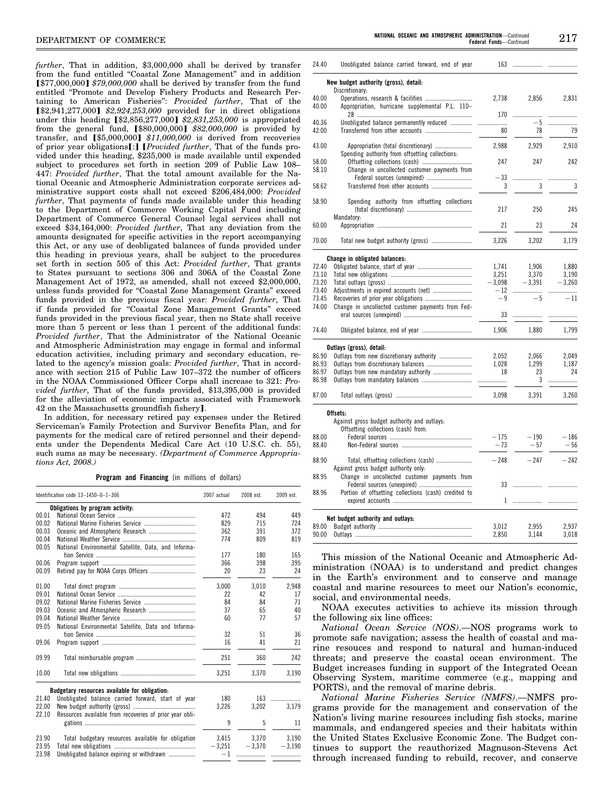*further*, That in addition, \$3,000,000 shall be derived by transfer from the fund entitled "Coastal Zone Management" and in addition **[\$77,000,000] \$79,000,000 shall be derived by transfer from the fund** entitled ''Promote and Develop Fishery Products and Research Pertaining to American Fisheries'': *Provided further*, That of the ø\$2,941,277,000¿ *\$2,924,253,000* provided for in direct obligations under this heading [\$2,856,277,000] \$2,831,253,000 is appropriated from the general fund, [\$80,000,000] \$82,000,000 is provided by transfer, and [\$5,000,000] \$11,000,000 is derived from recoveries of prior year obligations<sup>[:]</sup> [*Provided further*, That of the funds provided under this heading, \$235,000 is made available until expended subject to procedures set forth in section 209 of Public Law 108– 447: *Provided further*, That the total amount available for the National Oceanic and Atmospheric Administration corporate services administrative support costs shall not exceed \$206,484,000: *Provided further*, That payments of funds made available under this heading to the Department of Commerce Working Capital Fund including Department of Commerce General Counsel legal services shall not exceed \$34,164,000: *Provided further*, That any deviation from the amounts designated for specific activities in the report accompanying this Act, or any use of deobligated balances of funds provided under this heading in previous years, shall be subject to the procedures set forth in section 505 of this Act: *Provided further*, That grants to States pursuant to sections 306 and 306A of the Coastal Zone Management Act of 1972, as amended, shall not exceed \$2,000,000, unless funds provided for ''Coastal Zone Management Grants'' exceed funds provided in the previous fiscal year: *Provided further*, That if funds provided for ''Coastal Zone Management Grants'' exceed funds provided in the previous fiscal year, then no State shall receive more than 5 percent or less than 1 percent of the additional funds: *Provided further*, That the Administrator of the National Oceanic and Atmospheric Administration may engage in formal and informal education activities, including primary and secondary education, related to the agency's mission goals: *Provided further*, That in accordance with section 215 of Public Law 107–372 the number of officers in the NOAA Commissioned Officer Corps shall increase to 321: *Provided further*, That of the funds provided, \$13,395,000 is provided for the alleviation of economic impacts associated with Framework 42 on the Massachusetts groundfish fishery].

In addition, for necessary retired pay expenses under the Retired Serviceman's Family Protection and Survivor Benefits Plan, and for payments for the medical care of retired personnel and their dependents under the Dependents Medical Care Act (10 U.S.C. ch. 55), such sums as may be necessary. *(Department of Commerce Appropriations Act, 2008.)* 

**Program and Financing** (in millions of dollars)

|       | Identification code 13-1450-0-1-306                     |          | 2008 est. | 2009 est. |
|-------|---------------------------------------------------------|----------|-----------|-----------|
|       | Obligations by program activity:                        |          |           |           |
| 00.01 |                                                         | 472      | 494       | 449       |
| 00.02 |                                                         | 829      | 715       | 724       |
| 00.03 |                                                         | 362      | 391       | 372       |
| 00.04 |                                                         | 774      | 809       | 819       |
| 00.05 | National Environmental Satellite, Data, and Informa-    |          |           |           |
|       |                                                         | 177      | 180       | 165       |
| 00.06 |                                                         | 366      | 398       | 395       |
| 00.09 |                                                         | 20       | 23        | 24        |
| 01.00 |                                                         | 3.000    | 3.010     | 2,948     |
| 09.01 |                                                         | 22       | 42        | 17        |
| 09.02 |                                                         | 84       | 84        | 71        |
| 09.03 |                                                         | 37       | 65        | 40        |
| 09.04 |                                                         | 60       | 77        | 57        |
| 09.05 | National Environmental Satellite, Data and Informa-     |          |           |           |
|       |                                                         | 32       | 51        | 36        |
| 09.06 |                                                         | 16       | 41        | 21        |
| 09.99 |                                                         | 251      | 360       | 242       |
| 10.00 |                                                         | 3,251    | 3,370     | 3,190     |
|       | Budgetary resources available for obligation:           |          |           |           |
| 21.40 | Unobligated balance carried forward, start of year      | 180      | 163       | .         |
| 22.00 |                                                         | 3.226    | 3.202     | 3.179     |
| 22.10 | Resources available from recoveries of prior vear obli- |          |           |           |
|       |                                                         | 9        | 5         | 11        |
| 23.90 | Total budgetary resources available for obligation      | 3,415    | 3.370     | 3.190     |
| 23.95 |                                                         | $-3,251$ | $-3,370$  | $-3,190$  |
| 23.98 | Unobligated balance expiring or withdrawn               | $-1$     |           |           |
|       |                                                         |          |           |           |

| 24.40          | Unobligated balance carried forward, end of year                           |          | 163        |          |
|----------------|----------------------------------------------------------------------------|----------|------------|----------|
|                | New budget authority (gross), detail:<br>Discretionary:                    |          |            |          |
| 40.00<br>40.00 | Appropriation, hurricane supplemental P.L. 110-                            | 2,738    | 2,856      | 2,831    |
|                |                                                                            | 170      | .          |          |
| 40.36<br>42.00 | Unobligated balance permanently reduced<br>Transferred from other accounts | .<br>80  | $-5$<br>78 | .<br>79  |
|                |                                                                            |          |            |          |
| 43.00          | Spending authority from offsetting collections:                            | 2,988    | 2,929      | 2,910    |
| 58.00<br>58.10 | Change in uncollected customer payments from                               | 247      | 247        | 242      |
|                | Federal sources (unexpired)                                                | $-33$    |            |          |
| 58.62          |                                                                            | 3        | 3          | 3        |
| 58.90          | Spending authority from offsetting collections                             | 217      | 250        | 245      |
| 60.00          | Mandatory:                                                                 | 21       | 23         | 24       |
| 70.00          |                                                                            | 3.226    | 3,202      | 3.179    |
|                | Change in obligated balances:                                              |          |            |          |
| 72.40          |                                                                            | 1,741    | 1,906      | 1,880    |
| 73.10          |                                                                            | 3,251    | 3,370      | 3,190    |
| 73.20          |                                                                            | $-3,098$ | $-3,391$   | $-3,260$ |
| 73.40          |                                                                            | $-12$    |            |          |
| 73.45          |                                                                            | $-9$     | $-5$       | $-11$    |
| 74.00          | Change in uncollected customer payments from Fed-                          |          |            |          |
|                |                                                                            | 33       | .          |          |
| 74.40          |                                                                            | 1,906    | 1,880      | 1,799    |
|                | Outlays (gross), detail:                                                   |          |            |          |
| 86.90          | Outlays from new discretionary authority                                   | 2,052    | 2.066      | 2.049    |
| 86.93          |                                                                            | 1.028    | 1.299      | 1.187    |
| 86.97          | Outlays from new mandatory authority                                       | 18       | 23         | 24       |
| 86.98          |                                                                            |          | 3          |          |
| 87.00          |                                                                            | 3,098    | 3,391      | 3,260    |
|                | Offsets:<br>Against gross budget authority and outlays:                    |          |            |          |
|                | Offsetting collections (cash) from:                                        |          |            |          |
| 88.00          |                                                                            | $-175$   | $-190$     | $-186$   |
| 88.40          |                                                                            | $-73$    | $-57$      | $-56$    |
| 88.90          | Against gross budget authority only:                                       | $-248$   | $-247$     | $-242$   |
| 88.95          | Change in uncollected customer payments from                               |          |            |          |
|                |                                                                            | 33       | .          | .        |
| 88.96          | Portion of offsetting collections (cash) credited to                       |          |            |          |
|                | Net budget authority and outlays:                                          |          |            |          |
| 89.00          |                                                                            | 3,012    | 2,955      | 2,937    |
| 90.00          |                                                                            | 2,850    | 3,144      | 3,018    |
|                |                                                                            |          |            |          |

This mission of the National Oceanic and Atmospheric Administration (NOAA) is to understand and predict changes in the Earth's environment and to conserve and manage coastal and marine resources to meet our Nation's economic, social, and environmental needs.

NOAA executes activities to achieve its mission through the following six line offices:

*National Ocean Service (NOS)*.—NOS programs work to promote safe navigation; assess the health of coastal and marine resouces and respond to natural and human-induced threats; and preserve the coastal ocean environment. The Budget increases funding in support of the Integrated Ocean Observing System, maritime commerce (e.g., mapping and PORTS), and the removal of marine debris.

*National Marine Fisheries Service (NMFS)*.—NMFS programs provide for the management and conservation of the Nation's living marine resources including fish stocks, marine mammals, and endangered species and their habitats within the United States Exclusive Economic Zone. The Budget continues to support the reauthorized Magnuson-Stevens Act through increased funding to rebuild, recover, and conserve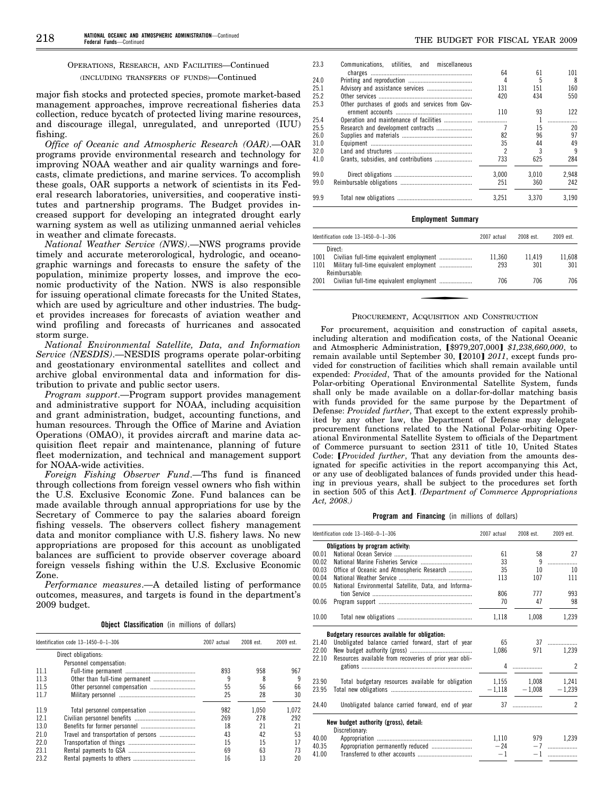# OPERATIONS, RESEARCH, AND FACILITIES—Continued (INCLUDING TRANSFERS OF FUNDS)—Continued

major fish stocks and protected species, promote market-based management approaches, improve recreational fisheries data collection, reduce bycatch of protected living marine resources, and discourage illegal, unregulated, and unreported (IUU) fishing.

*Office of Oceanic and Atmospheric Research (OAR)*.—OAR programs provide environmental research and technology for improving NOAA weather and air quality warnings and forecasts, climate predictions, and marine services. To accomplish these goals, OAR supports a network of scientists in its Federal research laboratories, universities, and cooperative institutes and partnership programs. The Budget provides increased support for developing an integrated drought early warning system as well as utilizing unmanned aerial vehicles in weather and climate forecasts.

*National Weather Service (NWS)*.—NWS programs provide timely and accurate meterorological, hydrologic, and oceanographic warnings and forecasts to ensure the safety of the population, minimize property losses, and improve the economic productivity of the Nation. NWS is also responsible for issuing operational climate forecasts for the United States, which are used by agriculture and other industries. The budget provides increases for forecasts of aviation weather and wind profiling and forecasts of hurricanes and assocated storm surge.

*National Environmental Satellite, Data, and Information Service (NESDIS)*.—NESDIS programs operate polar-orbiting and geostationary environmental satellites and collect and archive global environmental data and information for distribution to private and public sector users.

*Program support*.—Program support provides management and administrative support for NOAA, including acquisition and grant administration, budget, accounting functions, and human resources. Through the Office of Marine and Aviation Operations (OMAO), it provides aircraft and marine data acquisition fleet repair and maintenance, planning of future fleet modernization, and technical and management support for NOAA-wide activities.

*Foreign Fishing Observer Fund*.—Ths fund is financed through collections from foreign vessel owners who fish within the U.S. Exclusive Economic Zone. Fund balances can be made available through annual appropriations for use by the Secretary of Commerce to pay the salaries aboard foreign fishing vessels. The observers collect fishery management data and monitor compliance with U.S. fishery laws. No new appropriations are proposed for this account as unobligated balances are sufficient to provide observer coverage aboard foreign vessels fishing within the U.S. Exclusive Economic Zone.

*Performance measures*.—A detailed listing of performance outcomes, measures, and targets is found in the department's 2009 budget.

| <b>Object Classification</b> (in millions of dollars) |  |  |  |  |  |
|-------------------------------------------------------|--|--|--|--|--|
|-------------------------------------------------------|--|--|--|--|--|

|      | Identification code $13-1450-0-1-306$ |     | 2008 est. | 2009 est. |
|------|---------------------------------------|-----|-----------|-----------|
|      | Direct obligations:                   |     |           |           |
|      | Personnel compensation:               |     |           |           |
| 11.1 |                                       | 893 | 958       | 967       |
| 11.3 | Other than full-time permanent        | g   | 8         | 9         |
| 11.5 |                                       | 55  | 56        | 66        |
| 117  |                                       | 25  | 28        | 30        |
| 11.9 | Total personnel compensation          | 982 | 1.050     | 1.072     |
| 121  |                                       | 269 | 278       | 292       |
| 13.0 |                                       | 18  | 21        | 21        |
| 210  | Travel and transportation of persons  | 43  | 42        | 53        |
| 220  |                                       | 15  | 15        | 17        |
| 23 1 |                                       | 69  | 63        | 73        |
| 23.2 |                                       | 16  | 13        | 20        |

| THE BUDGET FOR FISCAL YEAR 200 |  |  |
|--------------------------------|--|--|
|                                |  |  |

| 23.3 | Communications, utilities, and miscellaneous    |                |       |       |
|------|-------------------------------------------------|----------------|-------|-------|
|      |                                                 | 64             | 61    | 101   |
| 24.0 |                                                 | 4              | 5     | 8     |
| 25.1 |                                                 | 131            | 151   | 160   |
| 25.2 |                                                 | 420            | 434   | 550   |
| 25.3 | Other purchases of goods and services from Gov- |                |       |       |
|      |                                                 | 110            | 93    | 122   |
| 25.4 |                                                 |                |       | .     |
| 25.5 | Research and development contracts              |                | 15    | 20    |
| 26.0 |                                                 | 82             | 96    | 97    |
| 31.0 |                                                 | 35             | 44    | 49    |
| 32.0 |                                                 | $\mathfrak{p}$ | 3     | 9     |
| 41.0 |                                                 | 733            | 625   | 284   |
| 99.0 |                                                 | 3.000          | 3.010 | 2.948 |
| 99.0 |                                                 | 251            | 360   | 242   |
| 99.9 |                                                 | 3.251          | 3.370 | 3.190 |

#### **Employment Summary**

| Identification code $13-1450-0-1-306$ | 2007 actual | 2008 est. | 2009 est. |
|---------------------------------------|-------------|-----------|-----------|
| Direct:                               |             |           |           |
| 1001                                  | 11.360      | 11.419    | 11.608    |
| 1101<br>Reimbursable:                 | 293         | 301       | 301       |
| 2001                                  | 706         | 706       | 706       |

#### PROCUREMENT, ACQUISITION AND CONSTRUCTION

For procurement, acquisition and construction of capital assets, including alteration and modification costs, of the National Oceanic and Atmospheric Administration, [\$979,207,000] \$1,238,660,000, to remain available until September 30, [2010] 2011, except funds provided for construction of facilities which shall remain available until expended: *Provided*, That of the amounts provided for the National Polar-orbiting Operational Environmental Satellite System, funds shall only be made available on a dollar-for-dollar matching basis with funds provided for the same purpose by the Department of Defense: *Provided further*, That except to the extent expressly prohibited by any other law, the Department of Defense may delegate procurement functions related to the National Polar-orbiting Operational Environmental Satellite System to officials of the Department of Commerce pursuant to section 2311 of title 10, United States Code: *[Provided further*, That any deviation from the amounts designated for specific activities in the report accompanying this Act, or any use of deobligated balances of funds provided under this heading in previous years, shall be subject to the procedures set forth in section 505 of this Act]. *(Department of Commerce Appropriations Act, 2008.)* 

#### **Program and Financing** (in millions of dollars)

|       | Identification code 13-1460-0-1-306                     |       | 2008 est.         | 2009 est.      |
|-------|---------------------------------------------------------|-------|-------------------|----------------|
|       | Obligations by program activity:                        |       |                   |                |
| 00.01 |                                                         | 61    | 58                | 27             |
| 00.02 |                                                         | 33    | 9                 | .              |
| 00.03 | Office of Oceanic and Atmospheric Research              | 35    | 10                | 10             |
| 00.04 |                                                         | 113   | 107               | 111            |
| 00.05 | National Environmental Satellite, Data, and Informa-    |       |                   |                |
|       |                                                         | 806   | 777               | 993            |
| 00.06 |                                                         | 70    | 47                | 98             |
| 10.00 |                                                         | 1,118 | 1,008             | 1,239          |
|       | Budgetary resources available for obligation:           |       |                   |                |
| 21.40 | Unobligated balance carried forward, start of year      | 65    |                   |                |
| 22.00 |                                                         | 1,086 | 971               | 1,239          |
| 22.10 | Resources available from recoveries of prior year obli- |       |                   |                |
|       |                                                         |       |                   | $\overline{2}$ |
| 23.90 | Total budgetary resources available for obligation      |       | 1,155 1,008 1,241 |                |
| 23.95 |                                                         |       | $-1,118 - 1,008$  | $-1,239$       |
| 24.40 | Unobligated balance carried forward, end of year        |       | $37$              | $\overline{2}$ |
|       | New budget authority (gross), detail:                   |       |                   |                |
|       | Discretionary:                                          |       |                   |                |
| 40.00 |                                                         | 1,110 |                   | 979 1,239      |
| 40.35 | Appropriation permanently reduced                       | $-24$ |                   |                |
| 41.00 |                                                         | $-1$  |                   | $-1$           |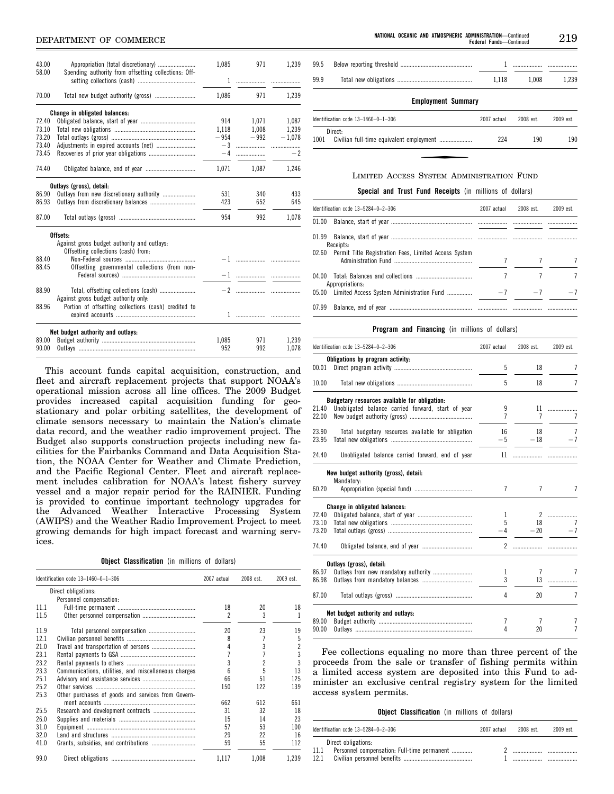# **NEPARTMENT OF COMMERCE**

| 43.00<br>58.00 |                                                                                    | 1,085 | 971             | 1,239       |
|----------------|------------------------------------------------------------------------------------|-------|-----------------|-------------|
|                | Spending authority from offsetting collections: Off-                               |       |                 |             |
| 70.00          |                                                                                    | 1,086 | 971             | 1,239       |
|                | Change in obligated balances:                                                      |       |                 |             |
| 72.40          |                                                                                    |       | 914 1.071 1.087 |             |
| 73.10          |                                                                                    |       | 1.118 1.008     | 1.239       |
| 73.20          |                                                                                    |       | $-954 -992$     | $-1,078$    |
| 73.40          |                                                                                    |       |                 |             |
| 73.45          |                                                                                    |       |                 | $-2$        |
| 74.40          |                                                                                    | 1,071 |                 | 1,087 1,246 |
|                | Outlays (gross), detail:                                                           |       |                 |             |
| 86.90          | Outlays from new discretionary authority                                           | 531   | 340             | 433         |
| 86.93          |                                                                                    | 423   | 652             | 645         |
| 87.00          |                                                                                    | 954   | 992             | 1,078       |
|                | Offsets:                                                                           |       |                 |             |
|                | Against gross budget authority and outlays:<br>Offsetting collections (cash) from: |       |                 |             |
| 88.40          |                                                                                    |       |                 |             |
| 88.45          | Offsetting governmental collections (from non-                                     |       |                 |             |
|                |                                                                                    |       |                 |             |
| 88.90          | Total, offsetting collections (cash)                                               |       |                 |             |
|                | Against gross budget authority only.                                               |       |                 |             |
| 88.96          | Portion of offsetting collections (cash) credited to                               |       |                 |             |
|                |                                                                                    |       |                 |             |
|                | Net budget authority and outlays:                                                  |       |                 |             |
| 89.00          |                                                                                    | 1.085 | 971             | 1.239       |
| 90.00          |                                                                                    | 952   | 992             | 1,078       |
|                |                                                                                    |       |                 |             |

This account funds capital acquisition, construction, and fleet and aircraft replacement projects that support NOAA's operational mission across all line offices. The 2009 Budget provides increased capital acquisition funding for geostationary and polar orbiting satellites, the development of climate sensors necessary to maintain the Nation's climate data record, and the weather radio improvement project. The Budget also supports construction projects including new facilities for the Fairbanks Command and Data Acquisition Station, the NOAA Center for Weather and Climate Prediction, and the Pacific Regional Center. Fleet and aircraft replacement includes calibration for NOAA's latest fishery survey vessel and a major repair period for the RAINIER. Funding is provided to continue important technology upgrades for the Advanced Weather Interactive Processing System (AWIPS) and the Weather Radio Improvement Project to meet growing demands for high impact forecast and warning services.

**Object Classification** (in millions of dollars)

|      | Identification code 13-1460-0-1-306                  | 2007 actual | 2008 est. | 2009 est. |
|------|------------------------------------------------------|-------------|-----------|-----------|
|      | Direct obligations:                                  |             |           |           |
|      | Personnel compensation:                              |             |           |           |
| 11.1 |                                                      | 18          | 20        | 18        |
| 11.5 |                                                      | 2           | 3         | ı         |
| 11.9 |                                                      | 20          | 23        | 19        |
| 12.1 |                                                      | 8           |           | 5         |
| 21.0 |                                                      | 4           | 3         | 2         |
| 23.1 |                                                      |             |           | 3         |
| 23.2 |                                                      | 3           | 2         | 3         |
| 23.3 | Communications, utilities, and miscellaneous charges | ĥ           | 5         | 13        |
| 25.1 |                                                      | 66          | 51        | 125       |
| 25.2 |                                                      | 150         | 122       | 139       |
| 25.3 | Other purchases of goods and services from Govern-   |             |           |           |
|      |                                                      | 662         | 612       | 661       |
| 25.5 |                                                      | 31          | 32        | 18        |
| 26.0 |                                                      | 15          | 14        | 23        |
| 31.0 |                                                      | 57          | 53        | 100       |
| 32.0 |                                                      | 29          | 22        | 16        |
| 41.0 |                                                      | 59          | 55        | 112       |
| 99.0 |                                                      | 1.117       | 1.008     | 1,239     |

219 **Federal Funds**—Continued

| 99.5 |                                       |             |           |           |  |  |  |  |
|------|---------------------------------------|-------------|-----------|-----------|--|--|--|--|
| 99.9 |                                       | 1.118       | 1.008     | 1.239     |  |  |  |  |
|      | <b>Employment Summary</b>             |             |           |           |  |  |  |  |
|      | Identification code $13-1460-0-1-306$ | 2007 actual | 2008 est. | 2009 est. |  |  |  |  |
| 1001 | Direct:                               | 224         | 190       | 190       |  |  |  |  |

#### LIMITED ACCESS SYSTEM ADMINISTRATION FUND

**Special and Trust Fund Receipts** (in millions of dollars)

| Identification code 13-5284-0-2-306                         | 2007 actual | 2008 est. | $2009$ est. |
|-------------------------------------------------------------|-------------|-----------|-------------|
|                                                             |             |           |             |
| Receipts:                                                   |             |           |             |
| 02.60 Permit Title Registration Fees, Limited Access System |             |           | 7           |
| Appropriations:                                             |             |           |             |
| 05.00 Limited Access System Administration Fund             | $-7$        | $-7$      | $-7$        |
|                                                             |             |           |             |

#### **Program and Financing** (in millions of dollars)

|       | Identification code 13-5284-0-2-306                | 2007 actual    | 2008 est.      | 2009 est.      |
|-------|----------------------------------------------------|----------------|----------------|----------------|
|       | Obligations by program activity:                   |                |                |                |
| 00.01 |                                                    | 5              | 18             | 7              |
| 10.00 |                                                    | 5              | 18             | 7              |
|       | Budgetary resources available for obligation:      |                |                |                |
| 21.40 | Unobligated balance carried forward, start of year | 9              | 11             | .              |
| 22.00 |                                                    | $\overline{7}$ | $\overline{7}$ | $\overline{7}$ |
| 23.90 | Total budgetary resources available for obligation | 16             | 18             | 7              |
| 23.95 |                                                    | $-5$           | $-18$          | $-7$           |
| 24.40 | Unobligated balance carried forward, end of year   |                | 11             |                |
|       | New budget authority (gross), detail:              |                |                |                |
|       | Mandatory:                                         |                |                |                |
| 60.20 |                                                    | $\overline{1}$ | $\overline{7}$ | 7              |
|       | Change in obligated balances:                      |                |                |                |
| 72.40 |                                                    | $\mathbf{1}$   |                | 2              |
| 73.10 |                                                    | 5              | 18             |                |
| 73.20 |                                                    | $-4$           | $-20$          | $-7$           |
| 74.40 |                                                    |                |                |                |
|       | Outlays (gross), detail:                           |                |                |                |
| 86.97 | Outlays from new mandatory authority               | 1              | $\overline{7}$ | 7              |
| 86.98 |                                                    | 3              | 13             | .              |
| 87.00 |                                                    | 4              | 20             | $\overline{7}$ |
|       | Net budget authority and outlays:                  |                |                |                |
| 89.00 |                                                    | 7              | 7              | 7              |
| 90.00 |                                                    | 4              | 20             | 7              |

Fee collections equaling no more than three percent of the proceeds from the sale or transfer of fishing permits within a limited access system are deposited into this Fund to administer an exclusive central registry system for the limited access system permits.

|  | <b>Object Classification</b> (in millions of dollars) |  |  |  |  |
|--|-------------------------------------------------------|--|--|--|--|
|--|-------------------------------------------------------|--|--|--|--|

|      | Identification code 13-5284-0-2-306         | 2007 actual | 2008 est | 2009 est. |
|------|---------------------------------------------|-------------|----------|-----------|
|      | Direct obligations:                         |             |          |           |
|      | Personnel compensation: Full-time permanent |             |          |           |
| 12.1 |                                             |             |          |           |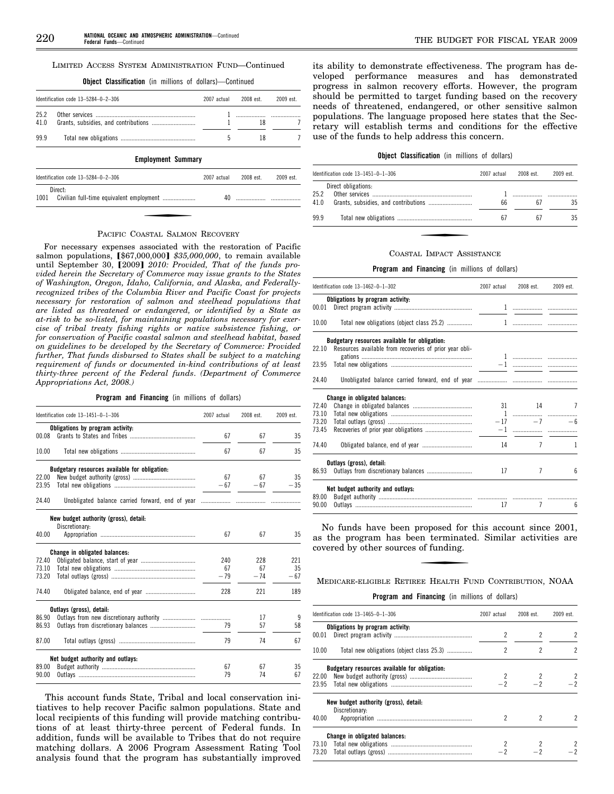#### LIMITED ACCESS SYSTEM ADMINISTRATION FUND—Continued

**Object Classification** (in millions of dollars)—Continued

|                           | Identification code $13-5284-0-2-306$<br>2007 actual |  | 2008 est. | 2009 est. |  |
|---------------------------|------------------------------------------------------|--|-----------|-----------|--|
| 25.2<br>41.0              |                                                      |  | 18        |           |  |
| 99.9                      |                                                      |  | 18        |           |  |
| <b>Employment Summary</b> |                                                      |  |           |           |  |

| Identification code $13-5284-0-2-306$                       | 2007 actual | 2008 est. | 2009 est. |
|-------------------------------------------------------------|-------------|-----------|-----------|
| Direct:<br>1001<br>Civilian full-time equivalent employment |             |           |           |

#### PACIFIC COASTAL SALMON RECOVERY

For necessary expenses associated with the restoration of Pacific salmon populations, [\$67,000,000] \$35,000,000, to remain available until September 30, [2009] 2010: Provided, That of the funds pro*vided herein the Secretary of Commerce may issue grants to the States of Washington, Oregon, Idaho, California, and Alaska, and Federallyrecognized tribes of the Columbia River and Pacific Coast for projects necessary for restoration of salmon and steelhead populations that are listed as threatened or endangered, or identified by a State as at-risk to be so-listed, for maintaining populations necessary for exercise of tribal treaty fishing rights or native subsistence fishing, or for conservation of Pacific coastal salmon and steelhead habitat, based on guidelines to be developed by the Secretary of Commerce: Provided further, That funds disbursed to States shall be subject to a matching requirement of funds or documented in-kind contributions of at least thirty-three percent of the Federal funds*. *(Department of Commerce Appropriations Act, 2008.)* 

#### **Program and Financing** (in millions of dollars)

|       | Identification code 13-1451-0-1-306           | 2007 actual | 2008 est. | 2009 est. |
|-------|-----------------------------------------------|-------------|-----------|-----------|
|       | Obligations by program activity:              |             |           |           |
| 00.08 |                                               | 67          | 67        | 35        |
| 10.00 |                                               | 67          | 67        | 35        |
|       | Budgetary resources available for obligation: |             |           |           |
| 22.00 |                                               | 67          | 67        | 35        |
| 23.95 |                                               | $-67$       | $-67$     | $-35$     |
| 24.40 |                                               |             |           |           |
|       | New budget authority (gross), detail:         |             |           |           |
|       | Discretionary:                                |             |           |           |
| 40.00 |                                               | 67          | 67        | 35        |
|       | Change in obligated balances:                 |             |           |           |
| 72.40 |                                               | 240         | 228       | 221       |
| 73.10 |                                               | 67          | 67        | 35        |
| 73.20 |                                               | $-79$       | $-74$     | $-67$     |
| 74.40 |                                               | 228         | 221       | 189       |
|       | Outlays (gross), detail:                      |             |           |           |
| 86.90 |                                               |             | 17        | 9         |
| 86.93 |                                               | 79          | 57        | 58        |
| 87.00 |                                               | 79          | 74        | 67        |
|       | Net budget authority and outlays:             |             |           |           |
| 89.00 |                                               | 67          | 67        | 35        |
| 90.00 |                                               | 79          | 74        | 67        |

This account funds State, Tribal and local conservation initiatives to help recover Pacific salmon populations. State and local recipients of this funding will provide matching contributions of at least thirty-three percent of Federal funds. In addition, funds will be available to Tribes that do not require matching dollars. A 2006 Program Assessment Rating Tool analysis found that the program has substantially improved

its ability to demonstrate effectiveness. The program has developed performance measures and has demonstrated progress in salmon recovery efforts. However, the program should be permitted to target funding based on the recovery needs of threatened, endangered, or other sensitive salmon populations. The language proposed here states that the Secretary will establish terms and conditions for the effective use of the funds to help address this concern.

# **Object Classification** (in millions of dollars)

|              | Identification code $13-1451-0-1-306$ | 2007 actual | 2008 est | 2009 est |
|--------------|---------------------------------------|-------------|----------|----------|
| 25.2<br>41.0 | Direct obligations:                   | 66          | Б.       | 35       |
| 99.9         |                                       | 67          | 67       | 35       |

#### COASTAL IMPACT ASSISTANCE

#### **Program and Financing** (in millions of dollars)

|       | Identification code 13-1462-0-1-302                     | 2007 actual | 2008 est.      | 2009 est.      |
|-------|---------------------------------------------------------|-------------|----------------|----------------|
|       | Obligations by program activity:                        |             |                |                |
| 00.01 |                                                         |             |                |                |
| 10.00 | Total new obligations (object class 25.2)               |             |                |                |
|       | Budgetary resources available for obligation:           |             |                |                |
| 22.10 | Resources available from recoveries of prior year obli- |             |                |                |
| 23.95 |                                                         |             |                |                |
| 24.40 |                                                         |             |                |                |
|       | Change in obligated balances:                           |             |                |                |
| 72.40 |                                                         |             | 31 14          | $\overline{7}$ |
| 73.10 |                                                         |             |                |                |
| 73.20 |                                                         |             | $-17$          | $-7$<br>$-6$   |
| 73.45 |                                                         |             |                |                |
| 74.40 |                                                         | 14          | 7              | 1              |
|       | Outlays (gross), detail:                                |             |                |                |
| 86.93 |                                                         | 17          | 7              | ĥ              |
|       | Net budget authority and outlays:                       |             |                |                |
| 89.00 |                                                         |             |                |                |
| 90.00 |                                                         | 17          | $\overline{7}$ | 6              |

No funds have been proposed for this account since 2001, as the program has been terminated. Similar activities are covered by other sources of funding.

#### MEDICARE-ELIGIBLE RETIREE HEALTH FUND CONTRIBUTION, NOAA

#### **Program and Financing** (in millions of dollars)

|       | Identification code $13-1465-0-1-306$         |                         | 2008 est. | 2009 est.      |  |
|-------|-----------------------------------------------|-------------------------|-----------|----------------|--|
| 00.01 | Obligations by program activity:              | $\overline{\mathbf{c}}$ | 2         | 2              |  |
| 10.00 | Total new obligations (object class 25.3)     | 2                       | 2         | $\overline{c}$ |  |
|       | Budgetary resources available for obligation: |                         |           |                |  |
| 22.00 |                                               |                         |           |                |  |
| 23.95 |                                               | $-2$                    | $-2$      |                |  |
|       | New budget authority (gross), detail:         |                         |           |                |  |
|       | Discretionary:                                |                         |           |                |  |
| 40.00 |                                               |                         | 2         |                |  |
|       | Change in obligated balances:                 |                         |           |                |  |
|       |                                               |                         |           | 2              |  |
| 73.20 |                                               |                         |           |                |  |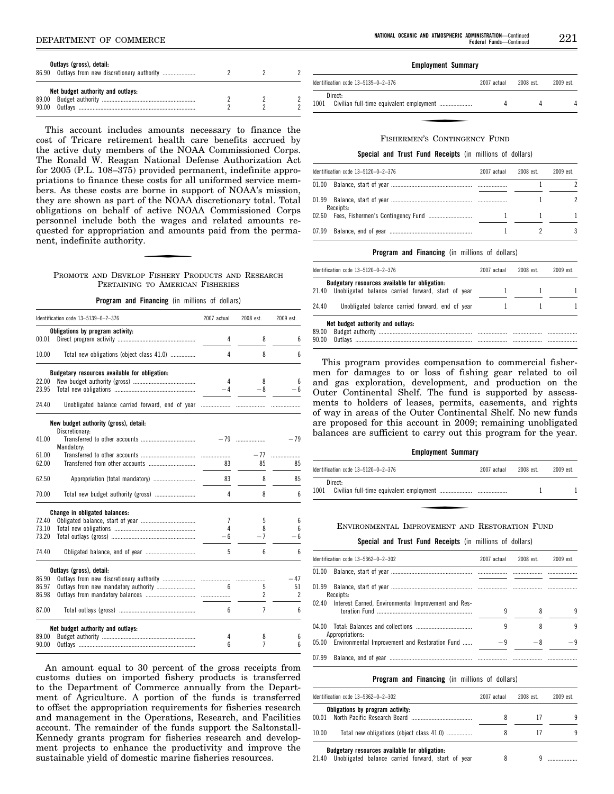| Outlays (gross), detail:<br>86.90 Outlays from new discretionary authority |  |  |
|----------------------------------------------------------------------------|--|--|
| Net budget authority and outlays:                                          |  |  |

This account includes amounts necessary to finance the cost of Tricare retirement health care benefits accrued by the active duty members of the NOAA Commissioned Corps. The Ronald W. Reagan National Defense Authorization Act for 2005 (P.L. 108–375) provided permanent, indefinite appropriations to finance these costs for all uniformed service members. As these costs are borne in support of NOAA's mission, they are shown as part of the NOAA discretionary total. Total obligations on behalf of active NOAA Commissioned Corps personnel include both the wages and related amounts requested for appropriation and amounts paid from the permanent, indefinite authority.

#### PROMOTE AND DEVELOP FISHERY PRODUCTS AND RESEARCH PERTAINING TO AMERICAN FISHERIES

**Program and Financing** (in millions of dollars)

|       | Identification code 13-5139-0-2-376           | 2007 actual | 2008 est.      | 2009 est. |
|-------|-----------------------------------------------|-------------|----------------|-----------|
|       | Obligations by program activity:              |             |                |           |
| 00.01 |                                               | 4           | 8              | 6         |
|       |                                               |             |                |           |
| 10.00 | Total new obligations (object class 41.0)     | 4           | 8              | 6         |
|       | Budgetary resources available for obligation: |             |                |           |
| 22.00 |                                               | 4           | 8              | 6         |
| 23.95 |                                               | $-4$        | $-8$           | $-6$      |
| 24.40 |                                               |             |                |           |
|       | New budget authority (gross), detail:         |             |                |           |
|       | Discretionary:                                |             |                |           |
| 41.00 |                                               |             |                | $-79$     |
|       | Mandatory:                                    |             |                |           |
| 61.00 |                                               |             | $-77$          | .         |
| 62.00 |                                               | 83          | 85             | 85        |
| 62.50 | Appropriation (total mandatory)               | 83          | 8              | 85        |
| 70.00 |                                               | 4           | 8              | 6         |
|       | Change in obligated balances:                 |             |                |           |
| 72.40 |                                               | 7           | 5              | 6         |
| 73.10 |                                               | 4           | 8              | 6         |
| 73.20 |                                               | $-6$        | $-7$           | - 6       |
|       |                                               |             |                |           |
| 74.40 |                                               | 5           | 6              | 6         |
|       | Outlays (gross), detail:                      |             |                |           |
| 86.90 |                                               |             |                | $-47$     |
| 86.97 |                                               | 6           | 5              | 51        |
| 86.98 |                                               |             | 2              | 2         |
| 87.00 |                                               | 6           | $\overline{7}$ | 6         |
|       | Net budget authority and outlays:             |             |                |           |
| 89.00 |                                               | 4           | 8              | 6         |
| 90.00 |                                               | 6           | 7              | 6         |
|       |                                               |             |                |           |

An amount equal to 30 percent of the gross receipts from customs duties on imported fishery products is transferred to the Department of Commerce annually from the Department of Agriculture. A portion of the funds is transferred to offset the appropriation requirements for fisheries research and management in the Operations, Research, and Facilities account. The remainder of the funds support the Saltonstall-Kennedy grants program for fisheries research and development projects to enhance the productivity and improve the sustainable yield of domestic marine fisheries resources.

#### **Employment Summary**

| Identification code 13-5139-0-2-376 | 2007 actual | 2008 est. | 2009 est. |
|-------------------------------------|-------------|-----------|-----------|
| Direct:<br>1001                     |             |           |           |

#### FISHERMEN'S CONTINGENCY FUND

### **Special and Trust Fund Receipts** (in millions of dollars)

| Identification code 13-5120-0-2-376<br>01.00<br>Receipts: | 2007 actual | 2008 est. | 2009 est. |  |
|-----------------------------------------------------------|-------------|-----------|-----------|--|
|                                                           |             |           |           |  |
|                                                           |             |           |           |  |
|                                                           |             |           |           |  |
| 07.99                                                     |             |           |           |  |

### **Program and Financing** (in millions of dollars)

|       | Identification code $13-5120-0-2-376$                                                               | 2007 actual | 2008 est. | 2009 est. |
|-------|-----------------------------------------------------------------------------------------------------|-------------|-----------|-----------|
| 21.40 | Budgetary resources available for obligation:<br>Unobligated balance carried forward, start of year |             |           |           |
| 24.40 | Unobligated balance carried forward, end of year                                                    |             |           |           |
| 89.00 | Net budget authority and outlays:                                                                   |             |           |           |
| 90.00 |                                                                                                     |             |           |           |

This program provides compensation to commercial fishermen for damages to or loss of fishing gear related to oil and gas exploration, development, and production on the Outer Continental Shelf. The fund is supported by assessments to holders of leases, permits, easements, and rights of way in areas of the Outer Continental Shelf. No new funds are proposed for this account in 2009; remaining unobligated balances are sufficient to carry out this program for the year.

#### **Employment Summary**

| Identification code 13-5120-0-2-376 | 2007 actual | 2008 est. | 2009 est. |
|-------------------------------------|-------------|-----------|-----------|
| Direct:<br>1001                     |             |           |           |

#### ENVIRONMENTAL IMPROVEMENT AND RESTORATION FUND

#### **Special and Trust Fund Receipts** (in millions of dollars)

|       | Identification code 13-5362-0-2-302                       | 2007 actual | 2008 est. | 2009 est. |
|-------|-----------------------------------------------------------|-------------|-----------|-----------|
| 01.00 |                                                           |             |           |           |
| 01.99 | Receipts:                                                 |             |           |           |
|       | 02.40 Interest Earned, Environmental Improvement and Res- | 9           | 8         | 9         |
|       | Appropriations:                                           | 9           | 8         | 9         |
|       | 05.00 Environmental Improvement and Restoration Fund      | $-9$        | -8        | — q       |
| 07.99 |                                                           |             |           |           |

#### **Program and Financing** (in millions of dollars)

|       | Identification code $13-5362-0-2-302$<br>Obligations by program activity: | 2007 actual | 2008 est | 2009 est |  |
|-------|---------------------------------------------------------------------------|-------------|----------|----------|--|
| 00 01 |                                                                           | 8           |          | q        |  |
| 10.00 | Total new obligations (object class 41.0)                                 |             |          | q        |  |
|       | <b>Budgetary resources available for obligation:</b>                      |             |          |          |  |

 $21.40$  Unobligated balance carried forward, start of year  $8$  9...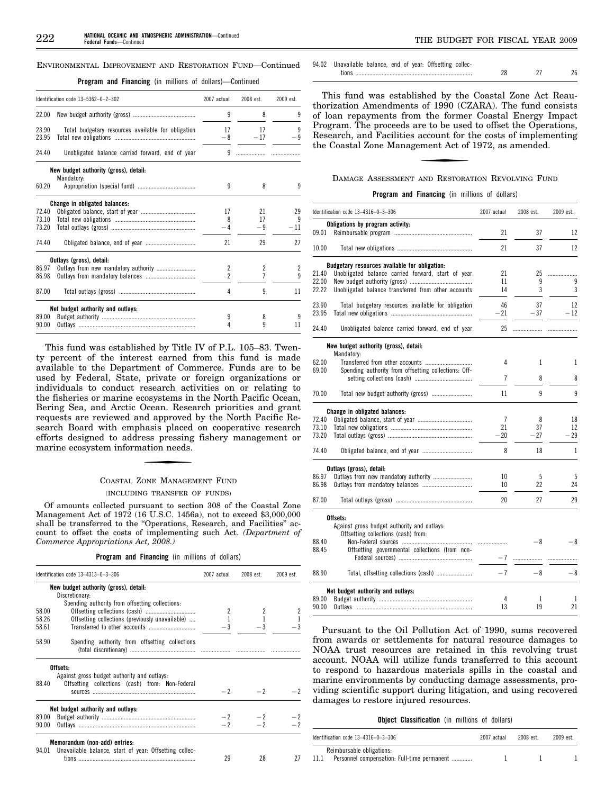#### ENVIRONMENTAL IMPROVEMENT AND RESTORATION FUND—Continued

**Program and Financing** (in millions of dollars)—Continued

|                | Identification code 13-5362-0-2-302                | 2007 actual    | 2008 est.   | 2009 est.      |
|----------------|----------------------------------------------------|----------------|-------------|----------------|
| 22.00          |                                                    | 9              | 8           | 9              |
| 23.90<br>23.95 | Total budgetary resources available for obligation | 17<br>$-8$     | 17<br>$-17$ | 9<br>$-9$      |
| 24.40          | Unobligated balance carried forward, end of year   | 9              |             |                |
|                | New budget authority (gross), detail:              |                |             |                |
| 60.20          | Mandatory:                                         | 9              | 8           | 9              |
|                | Change in obligated balances:                      |                |             |                |
| 72.40          |                                                    | 17             | 21          | 29             |
| 73.10          |                                                    | 8              | 17          | 9              |
| 73.20          |                                                    | -4             | -9          | $-11$          |
| 74.40          |                                                    | 21             | 29          | 27             |
|                | Outlays (gross), detail:                           |                |             |                |
| 86.97          |                                                    | 2              | 2           | $\overline{c}$ |
| 86.98          |                                                    | $\overline{c}$ | 7           | 9              |
| 87.00          |                                                    | 4              | 9           | 11             |
|                | Net budget authority and outlays:                  |                |             |                |
| 89.00          |                                                    | 9              | 8           | 9              |
| 90.00          |                                                    | 4              | 9           | 11             |

This fund was established by Title IV of P.L. 105–83. Twenty percent of the interest earned from this fund is made available to the Department of Commerce. Funds are to be used by Federal, State, private or foreign organizations or individuals to conduct research activities on or relating to the fisheries or marine ecosystems in the North Pacific Ocean, Bering Sea, and Arctic Ocean. Research priorities and grant requests are reviewed and approved by the North Pacific Research Board with emphasis placed on cooperative research efforts designed to address pressing fishery management or marine ecosystem information needs.

# COASTAL ZONE MANAGEMENT FUND (INCLUDING TRANSFER OF FUNDS)

Of amounts collected pursuant to section 308 of the Coastal Zone Management Act of 1972 (16 U.S.C. 1456a), not to exceed \$3,000,000 shall be transferred to the "Operations, Research, and Facilities" account to offset the costs of implementing such Act. *(Department of Commerce Appropriations Act, 2008.)* 

|  |  | <b>Program and Financing</b> (in millions of dollars) |  |  |  |  |  |
|--|--|-------------------------------------------------------|--|--|--|--|--|
|--|--|-------------------------------------------------------|--|--|--|--|--|

|       | Identification code 13-4313-0-3-306                                                                                                                                                                                            | 2007 actual<br>2008 est. |           | 2009 est.      |  |
|-------|--------------------------------------------------------------------------------------------------------------------------------------------------------------------------------------------------------------------------------|--------------------------|-----------|----------------|--|
|       | New budget authority (gross), detail:                                                                                                                                                                                          |                          |           |                |  |
|       | Discretionary:                                                                                                                                                                                                                 |                          |           |                |  |
|       | Spending authority from offsetting collections:                                                                                                                                                                                |                          |           |                |  |
| 58.00 |                                                                                                                                                                                                                                |                          |           |                |  |
| 58.26 | Offsetting collections (previously unavailable)                                                                                                                                                                                | $\mathbf{1}$             |           |                |  |
| 58.61 |                                                                                                                                                                                                                                | $-3$                     |           |                |  |
|       |                                                                                                                                                                                                                                |                          |           |                |  |
| 58.90 | Spending authority from offsetting collections                                                                                                                                                                                 |                          |           |                |  |
|       |                                                                                                                                                                                                                                |                          |           |                |  |
|       | Offsets:                                                                                                                                                                                                                       |                          |           |                |  |
|       | Against gross budget authority and outlays:                                                                                                                                                                                    |                          |           |                |  |
| 88.40 | Offsetting collections (cash) from: Non-Federal                                                                                                                                                                                |                          |           |                |  |
|       | SOUTCES AND RESIDENCE OF A STRONG CONTROL CONTROL CONTROL CONTROL CONTROL CONTROL CONTROL CONTROL CONTROL CONTROL CONTROL CONTROL CONTROL CONTROL CONTROL CONTROL CONTROL CONTROL CONTROL CONTROL CONTROL CONTROL CONTROL CONT | $-2$                     | $-2$      |                |  |
|       |                                                                                                                                                                                                                                |                          |           |                |  |
|       | Net budget authority and outlays:                                                                                                                                                                                              |                          |           |                |  |
| 89.00 |                                                                                                                                                                                                                                |                          | $-2$ $-2$ |                |  |
| 90.00 |                                                                                                                                                                                                                                |                          |           | $\frac{-2}{2}$ |  |
|       |                                                                                                                                                                                                                                |                          |           |                |  |
|       | Memorandum (non-add) entries:                                                                                                                                                                                                  |                          |           |                |  |
| 94.01 | Unavailable balance, start of year: Offsetting collec-                                                                                                                                                                         |                          |           |                |  |
|       |                                                                                                                                                                                                                                | 29                       | 28        | 27             |  |

| Unavailable balance, end of year: Offsetting collec- |  |  |
|------------------------------------------------------|--|--|
|                                                      |  |  |

This fund was established by the Coastal Zone Act Reauthorization Amendments of 1990 (CZARA). The fund consists of loan repayments from the former Coastal Energy Impact Program. The proceeds are to be used to offset the Operations, Research, and Facilities account for the costs of implementing the Coastal Zone Management Act of 1972, as amended.

DAMAGE ASSESSMENT AND RESTORATION REVOLVING FUND

**Program and Financing** (in millions of dollars)

| Obligations by program activity:<br>09.01<br>21<br>21<br>10.00<br>Budgetary resources available for obligation:<br>21.40<br>Unobligated balance carried forward, start of year<br>21<br>22.00<br>11<br>22.22<br>Unobligated balance transferred from other accounts<br>14 | 37<br>37<br>25<br>9<br>3<br>37<br>$-37$ | 12<br>12<br>.<br>9<br>3 |
|---------------------------------------------------------------------------------------------------------------------------------------------------------------------------------------------------------------------------------------------------------------------------|-----------------------------------------|-------------------------|
|                                                                                                                                                                                                                                                                           |                                         |                         |
|                                                                                                                                                                                                                                                                           |                                         |                         |
|                                                                                                                                                                                                                                                                           |                                         |                         |
|                                                                                                                                                                                                                                                                           |                                         |                         |
|                                                                                                                                                                                                                                                                           |                                         |                         |
|                                                                                                                                                                                                                                                                           |                                         |                         |
|                                                                                                                                                                                                                                                                           |                                         |                         |
| 23.90<br>46<br>Total budgetary resources available for obligation                                                                                                                                                                                                         |                                         | 12                      |
| 23.95<br>$-21$                                                                                                                                                                                                                                                            |                                         | $-12$                   |
| 24.40<br>Unobligated balance carried forward, end of year<br>25                                                                                                                                                                                                           | .                                       |                         |
| New budget authority (gross), detail:                                                                                                                                                                                                                                     |                                         |                         |
| Mandatory:<br>62.00<br>4                                                                                                                                                                                                                                                  | 1                                       | 1                       |
| Spending authority from offsetting collections: Off-<br>69.00                                                                                                                                                                                                             |                                         |                         |
| 7                                                                                                                                                                                                                                                                         | 8                                       | 8                       |
| 11<br>70.00                                                                                                                                                                                                                                                               | 9                                       | 9                       |
|                                                                                                                                                                                                                                                                           |                                         |                         |
| Change in obligated balances:<br>72.40<br>7                                                                                                                                                                                                                               | 8                                       | 18                      |
| 73.10<br>21                                                                                                                                                                                                                                                               | 37                                      | 12                      |
| 73.20<br>$-20$                                                                                                                                                                                                                                                            | $-27$                                   | $-29$                   |
| 74.40<br>Obligated balance, end of year<br>8                                                                                                                                                                                                                              | 18                                      | $\mathbf{1}$            |
| Outlays (gross), detail:                                                                                                                                                                                                                                                  |                                         |                         |
| 86.97<br>Outlays from new mandatory authority<br>10                                                                                                                                                                                                                       | 5                                       | 5                       |
| 86.98<br>10                                                                                                                                                                                                                                                               | 22                                      | 24                      |
| 87.00<br>20                                                                                                                                                                                                                                                               | 27                                      | 29                      |
| Offsets:                                                                                                                                                                                                                                                                  |                                         |                         |
| Against gross budget authority and outlays:                                                                                                                                                                                                                               |                                         |                         |
| Offsetting collections (cash) from:                                                                                                                                                                                                                                       |                                         |                         |
| 88.40<br>Offsetting governmental collections (from non-<br>88.45                                                                                                                                                                                                          | - 8                                     | - 8                     |
| $-7$                                                                                                                                                                                                                                                                      | $\ldots \ldots \ldots \ldots$           |                         |
| $-7$<br>88.90                                                                                                                                                                                                                                                             | $-8$                                    | $-8$                    |
|                                                                                                                                                                                                                                                                           |                                         |                         |
| Net budget authority and outlays:<br>89.00<br>4                                                                                                                                                                                                                           | 1                                       | 1                       |
| 13<br>90.00                                                                                                                                                                                                                                                               | 19                                      | 21                      |

Pursuant to the Oil Pollution Act of 1990, sums recovered from awards or settlements for natural resource damages to NOAA trust resources are retained in this revolving trust account. NOAA will utilize funds transferred to this account to respond to hazardous materials spills in the coastal and marine environments by conducting damage assessments, providing scientific support during litigation, and using recovered damages to restore injured resources.

| <b>Object Classification</b> (in millions of dollars) |  |  |  |  |  |
|-------------------------------------------------------|--|--|--|--|--|
|-------------------------------------------------------|--|--|--|--|--|

| Identification code $13-4316-0-3-306$               | 2007 actual | 2008 est. | 2009 est. |
|-----------------------------------------------------|-------------|-----------|-----------|
| Reimbursable obligations:                           |             |           |           |
| 11.1<br>Personnel compensation: Full-time permanent |             |           |           |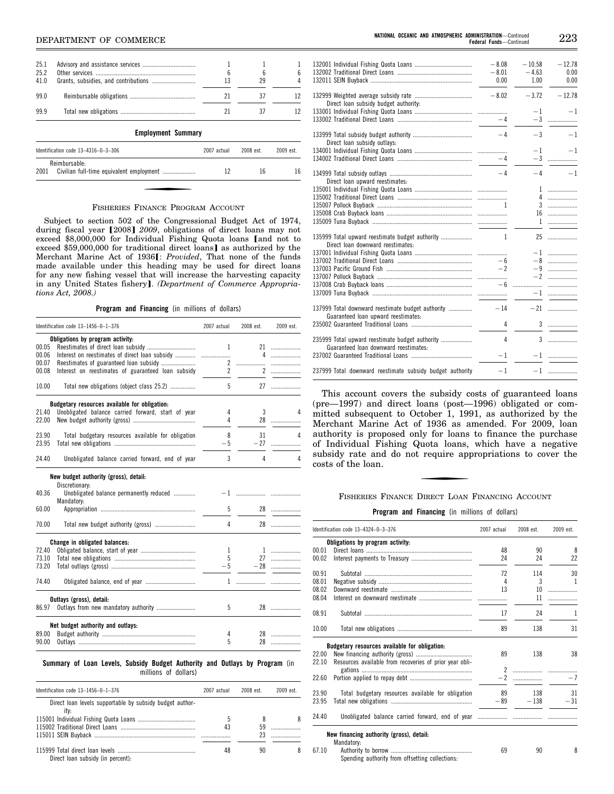# **NBEPARTMENT OF COMMERCE**

|                      | <b>Employment Summary</b> |         |    |  |
|----------------------|---------------------------|---------|----|--|
| 999                  |                           |         |    |  |
| 99.0                 |                           | 21      |    |  |
| 25.1<br>25.2<br>41.0 |                           | 6<br>13 | 29 |  |

| Identification code $13-4316-0-3-306$ | 2007 actual | 2008 est. | 2009 est. |
|---------------------------------------|-------------|-----------|-----------|
| Reimbursable:<br>2001                 |             | 16        |           |

#### FISHERIES FINANCE PROGRAM ACCOUNT

Subject to section 502 of the Congressional Budget Act of 1974, during fiscal year [2008] 2009, obligations of direct loans may not  $exceed$ \$8,000,000 for Individual Fishing Quota loans  $[$ and not to exceed \$59,000,000 for traditional direct loans] as authorized by the Merchant Marine Act of 1936**J**: *Provided*, That none of the funds made available under this heading may be used for direct loans for any new fishing vessel that will increase the harvesting capacity in any United States fishery]. *(Department of Commerce Appropriations Act, 2008.)* 

# **Program and Financing** (in millions of dollars)

|       | Identification code 13-1456-0-1-376                                                                | 2007 actual    | 2008 est. | 2009 est. |
|-------|----------------------------------------------------------------------------------------------------|----------------|-----------|-----------|
|       | Obligations by program activity:                                                                   |                |           |           |
| 00.05 |                                                                                                    | 1              |           | 21        |
| 00.06 |                                                                                                    |                |           | 4         |
| 00.07 |                                                                                                    |                | 2         | .         |
| 00.08 | Interest on reestimates of guaranteed loan subsidy                                                 | $\overline{2}$ |           | 2         |
|       |                                                                                                    |                |           |           |
| 10.00 | Total new obligations (object class 25.2)                                                          | 5              |           |           |
|       | Budgetary resources available for obligation:                                                      |                |           |           |
| 21.40 | Unobligated balance carried forward, start of year                                                 | 4              | 3         | 4         |
| 22.00 |                                                                                                    | 4              |           | 28        |
|       |                                                                                                    |                |           |           |
| 23.90 | Total budgetary resources available for obligation                                                 | 8              | 31        | Δ         |
| 23.95 |                                                                                                    | $-5$           | $-27$     | .         |
| 24.40 | Unobligated balance carried forward, end of year                                                   | 3              | 4         | 4         |
| 40.36 | New budget authority (gross), detail:<br>Discretionary:<br>Unobligated balance permanently reduced |                |           |           |
| 60.00 | Mandatory:                                                                                         | 5              |           | 28        |
|       |                                                                                                    |                |           |           |
| 70.00 |                                                                                                    | 4              |           | 28        |
|       | Change in obligated balances:                                                                      |                |           |           |
| 72.40 |                                                                                                    | $\mathbf{1}$   |           |           |
| 73.10 |                                                                                                    | 5              |           | 27        |
| 73.20 |                                                                                                    | $-5$           |           | $-28$     |
| 74.40 |                                                                                                    |                |           |           |
|       | Outlays (gross), detail:                                                                           |                |           |           |
| 86.97 |                                                                                                    | 5              |           | 28        |
|       | Net budget authority and outlays:                                                                  |                |           |           |
| 89.00 |                                                                                                    | 4              |           |           |
| 90.00 |                                                                                                    | 5              | 28        | .         |
|       |                                                                                                    |                |           |           |

**Summary of Loan Levels, Subsidy Budget Authority and Outlays by Program** (in millions of dollars)

| Identification code $13-1456-0-1-376$                    | 2007 actual | 2008 est | $2009$ est |  |
|----------------------------------------------------------|-------------|----------|------------|--|
| Direct loan levels supportable by subsidy budget author- |             |          |            |  |
| itv:                                                     |             |          |            |  |
|                                                          | 5           |          |            |  |
|                                                          | 43          | 59       |            |  |
|                                                          |             | 23       |            |  |
|                                                          | 48          | 90       |            |  |
| Direct loan subsidy (in percent):                        |             |          |            |  |

|                                                                                          | $-8.08$<br>$-8.01$<br>0.00 | $-10.58$<br>$-4.63$<br>1.00 | $-12.78$<br>0.00<br>0.00 |
|------------------------------------------------------------------------------------------|----------------------------|-----------------------------|--------------------------|
| Direct loan subsidy budget authority:                                                    | $-8.02$                    | $-3.72$                     | $-12.78$                 |
|                                                                                          | $-4$                       | $-1$                        | $-1$                     |
| Direct loan subsidy outlays:                                                             | $-4$                       | $-3$                        | $-1$                     |
|                                                                                          | $-4$                       |                             | $-1$<br>$-1$<br>$-3$     |
| Direct loan upward reestimates:                                                          | $-4$                       | $-4$                        | $-1$                     |
|                                                                                          |                            |                             | $1$<br>4                 |
|                                                                                          | 1                          |                             | 16                       |
|                                                                                          |                            |                             |                          |
| 135999 Total upward reestimate budget authority<br>Direct loan downward reestimates:     | 1                          |                             |                          |
|                                                                                          |                            |                             |                          |
|                                                                                          | $-6$                       |                             | $-8$                     |
|                                                                                          | $-2$                       |                             | $-9$<br>$-2$             |
|                                                                                          | $-6$                       |                             |                          |
|                                                                                          |                            |                             |                          |
|                                                                                          |                            |                             |                          |
| 137999 Total downward reestimate budget authority<br>Guaranteed loan upward reestimates: | $-14$                      |                             |                          |
|                                                                                          | 4                          |                             | 3                        |
| 235999 Total upward reestimate budget authority<br>Guaranteed loan downward reestimates: | 4                          |                             |                          |
|                                                                                          | $-1$                       |                             |                          |
| 237999 Total downward reestimate subsidy budget authority                                | -1                         |                             |                          |

This account covers the subsidy costs of guaranteed loans (pre—1997) and direct loans (post—1996) obligated or committed subsequent to October 1, 1991, as authorized by the Merchant Marine Act of 1936 as amended. For 2009, loan authority is proposed only for loans to finance the purchase of Individual Fishing Quota loans, which have a negative subsidy rate and do not require appropriations to cover the costs of the loan.

# FISHERIES FINANCE DIRECT LOAN FINANCING ACCOUNT

**Program and Financing** (in millions of dollars)

|       | Identification code 13-4324-0-3-376                     | 2007 actual | 2008 est.   | 2009 est.      |
|-------|---------------------------------------------------------|-------------|-------------|----------------|
|       | Obligations by program activity:                        |             |             |                |
| 00.01 |                                                         | 48          | 90          | 8              |
| 00.02 |                                                         | 24          | 24          | 22             |
| 00.91 |                                                         | 72          | 114         | 30             |
| 08.01 |                                                         | 4           | 3           | $\overline{1}$ |
| 08.02 |                                                         | 13          | 10          | .              |
| 08.04 |                                                         |             | 11          |                |
| 08.91 |                                                         | 17          | 24          | $\mathbf{1}$   |
| 10.00 |                                                         | 89          | 138         | 31             |
|       | Budgetary resources available for obligation:           |             |             |                |
| 22.00 |                                                         | 89          | 138         | 38             |
| 22.10 | Resources available from recoveries of prior year obli- |             |             |                |
|       |                                                         |             |             |                |
| 22.60 |                                                         |             |             | $-7$           |
| 23.90 | Total budgetary resources available for obligation      | 89          | 138         | 31             |
| 23.95 |                                                         |             | $-89 - 138$ | $-31$          |
| 24.40 |                                                         |             |             |                |
|       | New financing authority (gross), detail:<br>Mandatory.  |             |             |                |

| 67.10 | _________                                       |  |  |
|-------|-------------------------------------------------|--|--|
|       | Spending authority from offsetting collections: |  |  |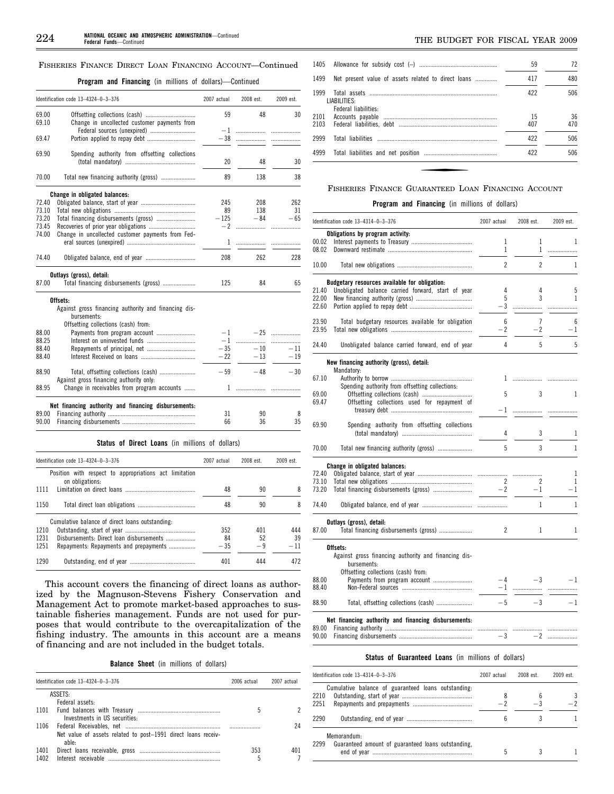#### FISHERIES FINANCE DIRECT LOAN FINANCING ACCOUNT—Continued

**Program and Financing** (in millions of dollars)—Continued

|                | Identification code 13-4324-0-3-376                                                                                    | 2007 actual | 2008 est. | 2009 est. |
|----------------|------------------------------------------------------------------------------------------------------------------------|-------------|-----------|-----------|
| 69.00<br>69.10 | Change in uncollected customer payments from                                                                           | 59          | 48        | 30        |
| 69.47          | Federal sources (unexpired)                                                                                            | -1<br>$-38$ | <br>.     | .         |
| 69.90          | Spending authority from offsetting collections                                                                         | 20          | 48        | 30        |
| 70.00          | Total new financing authority (gross)                                                                                  | 89          | 138       | 38        |
|                | Change in obligated balances:                                                                                          |             |           |           |
| 72.40          |                                                                                                                        | 245         | 208       | 262       |
| 73.10          |                                                                                                                        | 89          | 138       | 31        |
| 73.20          |                                                                                                                        | $-125$      | $-84$     | $-65$     |
| 73.45          |                                                                                                                        | $-2$        | .         | .         |
| 74.00          | Change in uncollected customer payments from Fed-                                                                      |             |           |           |
|                |                                                                                                                        | 1           | .         |           |
| 74.40          |                                                                                                                        | 208         | 262       | 228       |
|                | Outlays (gross), detail:                                                                                               |             |           |           |
| 87.00          | Total financing disbursements (gross)                                                                                  | 125         | 84        | 65        |
|                | Offsets:<br>Against gross financing authority and financing dis-<br>bursements:<br>Offsetting collections (cash) from: |             |           |           |
| 88.00          |                                                                                                                        | -1          | $-25$     | .         |
| 88.25          |                                                                                                                        | $-1$        | .         | .         |
| 88.40          |                                                                                                                        | $-35$       | $-10$     | $-11$     |
| 88.40          |                                                                                                                        | $-22$       | $-13$     | $-19$     |
|                |                                                                                                                        |             |           |           |
| 88.90          | Against gross financing authority only:                                                                                | $-59$       | $-48$     | $-30$     |
| 88.95          | Change in receivables from program accounts                                                                            | 1           |           |           |
|                | Net financing authority and financing disbursements:                                                                   |             |           |           |
| 89.00          |                                                                                                                        | 31          | 90        | 8         |
| 90.00          |                                                                                                                        | 66          | 36        | 35        |
|                | Status of Direct Loans (in millions of dollars)                                                                        |             |           |           |
|                | Identification code 13-4324-0-3-376                                                                                    | 2007 actual | 2008 est. | 2009 est. |
|                | Position with respect to appropriations act limitation                                                                 |             |           |           |
|                | on obligations:                                                                                                        |             |           |           |
| 1111           |                                                                                                                        | 48          | 90        | 8         |
| 1150           |                                                                                                                        | 48          | 90        | 8         |
|                | Cumulative halance of direct leans outstanding.                                                                        |             |           |           |

|      | Cumulative balance of direct loans outstanding: |       |      |       |
|------|-------------------------------------------------|-------|------|-------|
| 1210 |                                                 | 352   | 401  | 444   |
| 1231 | Disbursements: Direct loan disbursements        | 84    | 52   | 39    |
| 1251 | Repayments: Repayments and prepayments          | $-35$ | $-9$ | $-11$ |
|      |                                                 |       |      |       |
| 1290 |                                                 | 401   | 444  | 472   |

This account covers the financing of direct loans as authorized by the Magnuson-Stevens Fishery Conservation and Management Act to promote market-based approaches to sustainable fisheries management. Funds are not used for purposes that would contribute to the overcapitalization of the fishing industry. The amounts in this account are a means of financing and are not included in the budget totals.

**Balance Sheet** (in millions of dollars)

|              | Identification code 13-4324-0-3-376                                    |     | 2007 actual |  |
|--------------|------------------------------------------------------------------------|-----|-------------|--|
|              | ASSETS:                                                                |     |             |  |
|              | Federal assets:                                                        |     |             |  |
|              | Investments in US securities:                                          | h   |             |  |
|              | Net value of assets related to post-1991 direct loans receiv-<br>able: |     | 24          |  |
| 1401<br>1402 | Interest receivable                                                    | 353 | 401         |  |

|                                                             | 59        | 72        |
|-------------------------------------------------------------|-----------|-----------|
| 1499<br>Net present value of assets related to direct loans | 417       | 480       |
| 1999<br>LIABILITIES:<br>Federal liabilities:                | 422       | 506       |
| 2101<br>2103                                                | 15<br>407 | 36<br>470 |
| 2999                                                        | 422       | 506       |
| 4999                                                        | 422       | 506       |

# FISHERIES FINANCE GUARANTEED LOAN FINANCING ACCOUNT

# **Program and Financing** (in millions of dollars)

|                | Identification code 13-4314-0-3-376                                 | 2007 actual<br>2008 est. |                | 2009 est. |  |
|----------------|---------------------------------------------------------------------|--------------------------|----------------|-----------|--|
|                | Obligations by program activity:                                    |                          |                |           |  |
| 00.02          |                                                                     | 1                        | 1              | 1         |  |
| 08.02          |                                                                     | 1                        | 1              | .         |  |
| 10.00          |                                                                     | $\overline{c}$           | $\overline{c}$ | 1         |  |
|                | Budgetary resources available for obligation:                       |                          |                |           |  |
| 21.40          | Unobligated balance carried forward, start of year                  | 4                        | 4              | 5         |  |
| 22.00          |                                                                     | 5                        | 3              | 1         |  |
| 22.60          |                                                                     | $-3$                     |                |           |  |
| 23.90          | Total budgetary resources available for obligation                  | 6                        | $\overline{7}$ | 6         |  |
| 23.95          |                                                                     | $-2$                     | $-2$           | - 1       |  |
| 24.40          | Unobligated balance carried forward, end of year                    | 4                        | 5              | 5         |  |
|                |                                                                     |                          |                |           |  |
|                | New financing authority (gross), detail:<br>Mandatory:              |                          |                |           |  |
| 67.10          |                                                                     | 1                        | .              |           |  |
|                | Spending authority from offsetting collections:                     |                          |                |           |  |
| 69.00          |                                                                     | 5                        | 3              | 1         |  |
| 69.47          | Offsetting collections used for repayment of                        | $-1$                     | .              |           |  |
|                |                                                                     |                          |                |           |  |
| 69.90          | Spending authority from offsetting collections                      |                          |                |           |  |
|                |                                                                     | 4                        | 3              | 1         |  |
| 70.00          | Total new financing authority (gross)                               | 5                        | 3              | 1         |  |
|                | Change in obligated balances:                                       |                          |                |           |  |
| 72.40          |                                                                     |                          |                | 1         |  |
| 73.10          |                                                                     | 2                        | 2              | 1         |  |
| 73.20          |                                                                     | $-2$                     | $-1$           | $-1$      |  |
| 74.40          |                                                                     |                          | 1              | 1         |  |
|                |                                                                     |                          |                |           |  |
|                | Outlays (gross), detail:                                            |                          |                |           |  |
| 87.00          | Total financing disbursements (gross)                               | $\overline{c}$           | 1              | 1         |  |
|                | Offsets:                                                            |                          |                |           |  |
|                | Against gross financing authority and financing dis-<br>bursements: |                          |                |           |  |
|                | Offsetting collections (cash) from:                                 |                          |                |           |  |
| 88.00          | Payments from program account                                       | $-4$                     | $-3$           | $-1$      |  |
| 88.40          |                                                                     | $-1$                     |                |           |  |
| 88.90          | Total, offsetting collections (cash)                                | $-5$                     | $-3$           | $-1$      |  |
|                |                                                                     |                          |                |           |  |
|                | Net financing authority and financing disbursements:                |                          |                |           |  |
| 89.00<br>90.00 |                                                                     | -3                       | $-2$           |           |  |
|                |                                                                     |                          |                |           |  |

# **Status of Guaranteed Loans** (in millions of dollars)

| Identification code $13-4314-0-3-376$                                     | 2007 actual | 2008 est. | 2009 est. |
|---------------------------------------------------------------------------|-------------|-----------|-----------|
| Cumulative balance of guaranteed loans outstanding.<br>2210<br>2251       | 8           | 6<br>$-3$ | 3         |
| 2290                                                                      |             |           |           |
| Memorandum:<br>Guaranteed amount of guaranteed loans outstanding.<br>2299 |             |           |           |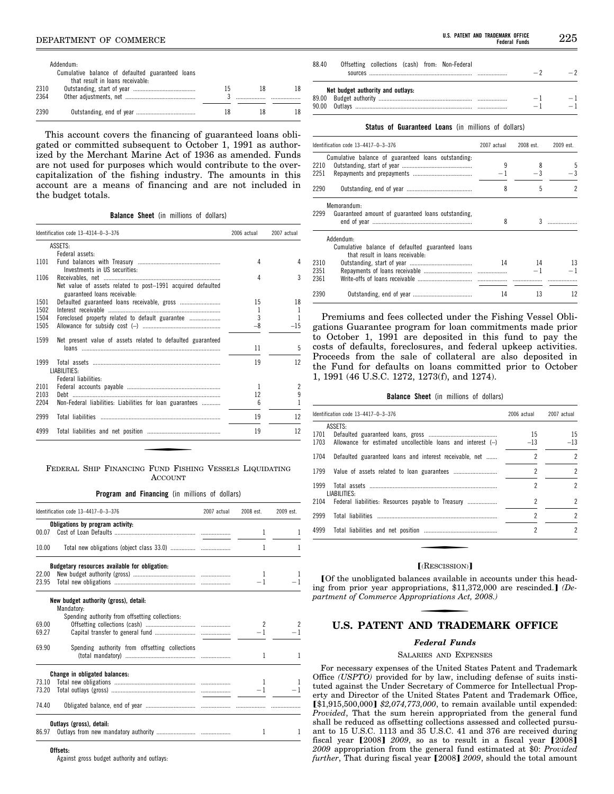|      | Addendum:                                        |    |    |  |
|------|--------------------------------------------------|----|----|--|
|      | Cumulative balance of defaulted guaranteed loans |    |    |  |
|      | that result in loans receivable:                 |    |    |  |
| 2310 |                                                  | 15 | 18 |  |
| 2364 |                                                  |    |    |  |
|      |                                                  |    |    |  |
| 2390 |                                                  |    | 18 |  |

This account covers the financing of guaranteed loans obligated or committed subsequent to October 1, 1991 as authorized by the Merchant Marine Act of 1936 as amended. Funds are not used for purposes which would contribute to the overcapitalization of the fishing industry. The amounts in this account are a means of financing and are not included in the budget totals.

**Balance Sheet** (in millions of dollars)

|      | Identification code 13-4314-0-3-376                                                         | 2006 actual | 2007 actual    |
|------|---------------------------------------------------------------------------------------------|-------------|----------------|
|      | ASSETS:                                                                                     |             |                |
|      | Federal assets:                                                                             |             |                |
| 1101 |                                                                                             | 4           | Δ              |
|      | Investments in US securities:                                                               |             |                |
| 1106 |                                                                                             | 4           | 3              |
|      | Net value of assets related to post-1991 acquired defaulted<br>guaranteed loans receivable: |             |                |
| 1501 | Defaulted guaranteed loans receivable, gross                                                | 15          | 18             |
| 1502 |                                                                                             | 1           |                |
| 1504 | Foreclosed property related to default guarantee                                            | 3           |                |
| 1505 |                                                                                             | $-8$        | -15            |
| 1599 | Net present value of assets related to defaulted guaranteed                                 |             |                |
|      |                                                                                             | 11          | 5              |
| 1999 |                                                                                             | 19          | 12             |
|      | LIABILITIES:                                                                                |             |                |
|      | Federal liabilities:                                                                        |             |                |
| 2101 |                                                                                             | 1           | $\overline{c}$ |
| 2103 |                                                                                             | 12          | 9              |
| 2204 | Non-Federal liabilities: Liabilities for loan guarantees                                    | 6           |                |
| 2999 |                                                                                             | 19          | 12             |
| 4999 |                                                                                             | 19          | 12             |

#### FEDERAL SHIP FINANCING FUND FISHING VESSELS LIQUIDATING ACCOUNT

**Program and Financing** (in millions of dollars)

|       | Identification code 13-4417-0-3-376                 | 2007 actual | 2008 est.    | 2009 est.     |
|-------|-----------------------------------------------------|-------------|--------------|---------------|
|       | Obligations by program activity:                    |             |              |               |
| 00.07 |                                                     |             | 1            | 1             |
| 10.00 |                                                     |             | 1            | ı             |
|       | Budgetary resources available for obligation:       |             |              |               |
| 22.00 |                                                     |             | $\mathbf{1}$ | 1             |
| 23.95 |                                                     |             | $-1$         |               |
|       | New budget authority (gross), detail:<br>Mandatory: |             |              |               |
|       | Spending authority from offsetting collections:     |             |              |               |
| 69.00 |                                                     |             | 2            |               |
| 69.27 |                                                     |             | $-1$         |               |
| 69.90 | Spending authority from offsetting collections      |             | 1            | 1             |
|       | Change in obligated balances:                       |             |              |               |
| 73.10 |                                                     |             |              |               |
| 73.20 |                                                     |             |              | $-1$ and $-1$ |
| 74.40 |                                                     |             |              |               |
|       | Outlays (gross), detail:                            |             |              |               |
| 86.97 |                                                     |             | 1            | 1             |

#### **Offsets:**

Against gross budget authority and outlays:

| 88 40 |                                   |  | Offsetting collections (cash) from: Non-Federal |  |  |
|-------|-----------------------------------|--|-------------------------------------------------|--|--|
|       | Net budget authority and outlays: |  |                                                 |  |  |
|       |                                   |  |                                                 |  |  |
|       |                                   |  |                                                 |  |  |

**Status of Guaranteed Loans** (in millions of dollars)

|              | Identification code 13-4417-0-3-376                                                               | 2007 actual | 2008 est. | 2009 est. |
|--------------|---------------------------------------------------------------------------------------------------|-------------|-----------|-----------|
| 2210         | Cumulative balance of guaranteed loans outstanding:                                               | 9           | 8         | 5         |
| 2251         |                                                                                                   | $-1$        | $-3$      | $-3$      |
| 2290         |                                                                                                   | 8           | 5         | 2         |
| 2299         | Memorandum:<br>Guaranteed amount of guaranteed loans outstanding,                                 | 8           | 3         |           |
|              | Addendum:<br>Cumulative balance of defaulted guaranteed loans<br>that result in loans receivable: |             |           |           |
| 2310         |                                                                                                   | 14          | 14        | 13        |
| 2351<br>2361 |                                                                                                   |             | $-1$      |           |
| 2390         |                                                                                                   | 14          | 13        | 12        |

Premiums and fees collected under the Fishing Vessel Obligations Guarantee program for loan commitments made prior to October 1, 1991 are deposited in this fund to pay the costs of defaults, foreclosures, and federal upkeep activities. Proceeds from the sale of collateral are also deposited in the Fund for defaults on loans committed prior to October 1, 1991 (46 U.S.C. 1272, 1273(f), and 1274).

**Balance Sheet** (in millions of dollars)

| Identification code $13-4417-0-3-376$                                                     | 2006 actual    | 2007 actual    |  |
|-------------------------------------------------------------------------------------------|----------------|----------------|--|
| ASSETS:<br>1701<br>1703<br>Allowance for estimated uncollectible loans and interest $(-)$ | 15<br>$-13$    | 15<br>$-13$    |  |
| 1704<br>Defaulted guaranteed loans and interest receivable, net                           | $\overline{c}$ | $\mathfrak{p}$ |  |
| 1799                                                                                      | $\overline{c}$ | $\overline{2}$ |  |
| 1999<br>LIABILITIES:                                                                      | 2              | $\overline{2}$ |  |
| 2104 Federal liabilities: Resources payable to Treasury                                   | $\overline{c}$ | $\mathfrak{p}$ |  |
| 2999                                                                                      | $\overline{c}$ | $\mathfrak{p}$ |  |
| 4999                                                                                      | 2              | $\mathfrak{p}$ |  |

#### $[$ (RESCISSION) $]$

[Of the unobligated balances available in accounts under this heading from prior year appropriations, \$11,372,000 are rescinded.] (De*partment of Commerce Appropriations Act, 2008.)* 

# **U.S. PATENT AND TRADEMARK OFFICE**

#### *Federal Funds*

#### SALARIES AND EXPENSES

For necessary expenses of the United States Patent and Trademark Office *(USPTO)* provided for by law, including defense of suits instituted against the Under Secretary of Commerce for Intellectual Property and Director of the United States Patent and Trademark Office,  $\left[ $1,915,500,000 \right] $2,074,773,000$ , to remain available until expended: *Provided*, That the sum herein appropriated from the general fund shall be reduced as offsetting collections assessed and collected pursuant to 15 U.S.C. 1113 and 35 U.S.C. 41 and 376 are received during fiscal year  $[2008]$   $2009$ , so as to result in a fiscal year  $[2008]$ *2009* appropriation from the general fund estimated at \$0: *Provided further*, That during fiscal year [2008] 2009, should the total amount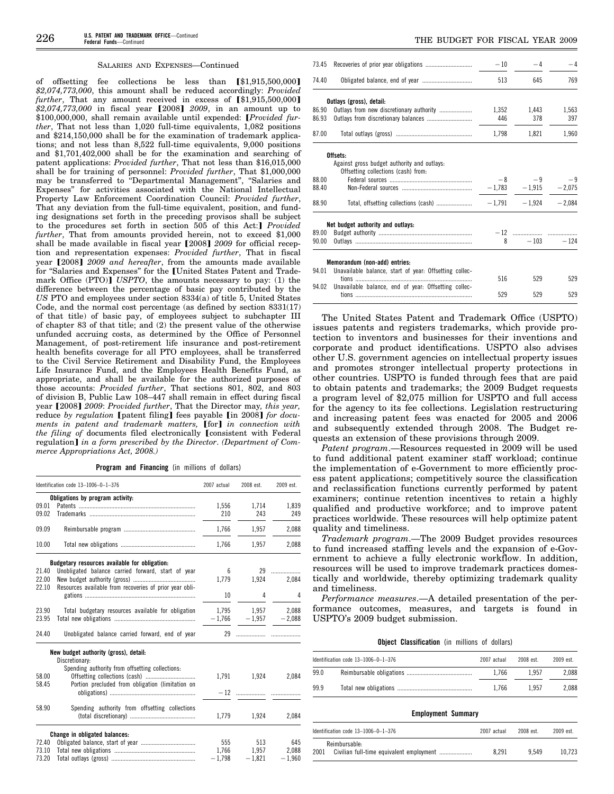#### SALARIES AND EXPENSES—Continued

offsetting fee collections be less than  $$\mathfrak{g}1,915,500,000$$ *\$2,074,773,000*, this amount shall be reduced accordingly: *Provided*   $further$ , That any amount received in excess of  $[\$1,915,500,000]$ \$2,074,773,000 in fiscal year [2008] 2009, in an amount up to \$100,000,000, shall remain available until expended: [Provided fur*ther*, That not less than 1,020 full-time equivalents, 1,082 positions and \$214,150,000 shall be for the examination of trademark applications; and not less than 8,522 full-time equivalents, 9,000 positions and \$1,701,402,000 shall be for the examination and searching of patent applications: *Provided further*, That not less than \$16,015,000 shall be for training of personnel: *Provided further*, That \$1,000,000 may be transferred to ''Departmental Management'', ''Salaries and Expenses'' for activities associated with the National Intellectual Property Law Enforcement Coordination Council: *Provided further*, That any deviation from the full-time equivalent, position, and funding designations set forth in the preceding provisos shall be subject to the procedures set forth in section 505 of this Act:] Provided *further*, That from amounts provided herein, not to exceed \$1,000 shall be made available in fiscal year [2008] 2009 for official reception and representation expenses: *Provided further*, That in fiscal year [2008] 2009 and hereafter, from the amounts made available for "Salaries and Expenses" for the [United States Patent and Trademark Office (PTO)] *USPTO*, the amounts necessary to pay: (1) the difference between the percentage of basic pay contributed by the *US* PTO and employees under section 8334(a) of title 5, United States Code, and the normal cost percentage (as defined by section 8331(17) of that title) of basic pay, of employees subject to subchapter III of chapter 83 of that title; and (2) the present value of the otherwise unfunded accruing costs, as determined by the Office of Personnel Management, of post-retirement life insurance and post-retirement health benefits coverage for all PTO employees, shall be transferred to the Civil Service Retirement and Disability Fund, the Employees Life Insurance Fund, and the Employees Health Benefits Fund, as appropriate, and shall be available for the authorized purposes of those accounts: *Provided further*, That sections 801, 802, and 803 of division B, Public Law 108–447 shall remain in effect during fiscal year [2008] 2009: Provided further, That the Director may, this year, reduce *by regulation* [patent filing] fees payable [in 2008] *for documents in patent and trademark matters,* [for] *in connection with the filing of documents filed electronically [consistent with Federal* regulation] in a form prescribed by the Director. (Department of Com*merce Appropriations Act, 2008.)* 

**Program and Financing** (in millions of dollars)

|       | Identification code 13-1006-0-1-376                     | 2007 actual | 2008 est.         | 2009 est.       |
|-------|---------------------------------------------------------|-------------|-------------------|-----------------|
|       | Obligations by program activity:                        |             |                   |                 |
| 09.01 |                                                         | 1,556       | 1.714             | 1,839           |
| 09.02 |                                                         | 210         | 243               | 249             |
| 09.09 |                                                         | 1.766       | 1.957             | 2,088           |
| 10.00 |                                                         | 1,766       | 1,957             | 2,088           |
|       | Budgetary resources available for obligation:           |             |                   |                 |
| 21.40 | Unobligated balance carried forward, start of year      | 6           |                   | 29              |
| 22.00 |                                                         | 1,779       | 1,924             | 2,084           |
| 22.10 | Resources available from recoveries of prior year obli- |             |                   |                 |
|       |                                                         | 10          | 4                 | 4               |
| 23.90 | Total budgetary resources available for obligation      |             | 1,795 1,957 2,088 |                 |
| 23.95 |                                                         | $-1,766$    |                   | $-1,957 -2,088$ |
| 24.40 | Unobligated balance carried forward, end of year        |             |                   |                 |
|       | New budget authority (gross), detail:                   |             |                   |                 |
|       | Discretionary:                                          |             |                   |                 |
| 58.00 | Spending authority from offsetting collections:         |             | 1,791 1,924       | 2,084           |
| 58.45 | Portion precluded from obligation (limitation on        |             |                   |                 |
|       |                                                         |             |                   |                 |
|       |                                                         |             |                   |                 |
| 58.90 | Spending authority from offsetting collections          |             |                   |                 |
|       |                                                         | 1,779       | 1,924             | 2,084           |
|       | Change in obligated balances:                           |             |                   |                 |
| 72.40 |                                                         | 555         | 513               | 645             |
| 73.10 |                                                         | 1,766       | 1,957             | 2,088           |
| 73.20 |                                                         | $-1.798$    | $-1.821$          | $-1.960$        |

|                                             | $-10$                                                                                                                                            | $-4$            | $-4$                                                                                                           |
|---------------------------------------------|--------------------------------------------------------------------------------------------------------------------------------------------------|-----------------|----------------------------------------------------------------------------------------------------------------|
|                                             | 513                                                                                                                                              | 645             | 769                                                                                                            |
|                                             |                                                                                                                                                  |                 |                                                                                                                |
|                                             |                                                                                                                                                  | 1,443           | 1,563                                                                                                          |
|                                             |                                                                                                                                                  | 378             | 397                                                                                                            |
|                                             | 1,798                                                                                                                                            | 1,821           | 1,960                                                                                                          |
| Offsets:                                    |                                                                                                                                                  |                 |                                                                                                                |
| Against gross budget authority and outlays: |                                                                                                                                                  |                 |                                                                                                                |
|                                             |                                                                                                                                                  |                 |                                                                                                                |
|                                             |                                                                                                                                                  |                 |                                                                                                                |
|                                             |                                                                                                                                                  |                 |                                                                                                                |
|                                             |                                                                                                                                                  |                 |                                                                                                                |
|                                             |                                                                                                                                                  |                 |                                                                                                                |
|                                             |                                                                                                                                                  | $8 - 103 - 124$ |                                                                                                                |
|                                             | Outlays (gross), detail:<br>Outlays from new discretionary authority<br>Offsetting collections (cash) from:<br>Net budget authority and outlays: |                 | 1,352<br>446<br>$-8$ $-9$ $-9$<br>$-\,1,783 \qquad \quad -1,915 \qquad \quad -2,075$<br>$-1,791 -1,924 -2,084$ |

| 516 | 529 | 529 |
|-----|-----|-----|
|     |     |     |
| 529 | 529 | 529 |
|     |     |     |

The United States Patent and Trademark Office (USPTO) issues patents and registers trademarks, which provide protection to inventors and businesses for their inventions and corporate and product identifications. USPTO also advises other U.S. government agencies on intellectual property issues and promotes stronger intellectual property protections in other countries. USPTO is funded through fees that are paid to obtain patents and trademarks; the 2009 Budget requests a program level of \$2,075 million for USPTO and full access for the agency to its fee collections. Legislation restructuring and increasing patent fees was enacted for 2005 and 2006 and subsequently extended through 2008. The Budget requests an extension of these provisions through 2009.

*Patent program*.—Resources requested in 2009 will be used to fund additional patent examiner staff workload; continue the implementation of e-Government to more efficiently process patent applications; competitively source the classification and reclassification functions currently performed by patent examiners; continue retention incentives to retain a highly qualified and productive workforce; and to improve patent practices worldwide. These resources will help optimize patent quality and timeliness.

*Trademark program*.—The 2009 Budget provides resources to fund increased staffing levels and the expansion of e-Government to achieve a fully electronic workflow. In addition, resources will be used to improve trademark practices domestically and worldwide, thereby optimizing trademark quality and timeliness.

*Performance measures*.—A detailed presentation of the performance outcomes, measures, and targets is found in USPTO's 2009 budget submission.

**Object Classification** (in millions of dollars)

|      | Identification code 13-1006-0-1-376 | 2007 actual | 2008 est. | 2009 est. |
|------|-------------------------------------|-------------|-----------|-----------|
| 99.0 |                                     | 1.766       | 1.957     | 2.088     |
| 99.9 |                                     | 1.766       | 1957      | 2.088     |

### **Employment Summary**

| ldentification code 13-1006-0-1-376 | 2007 actual | 2008 est. | 2009 est. |
|-------------------------------------|-------------|-----------|-----------|
| Reimbursable:<br>2001               | 8.291       | 9.549     | 10.723    |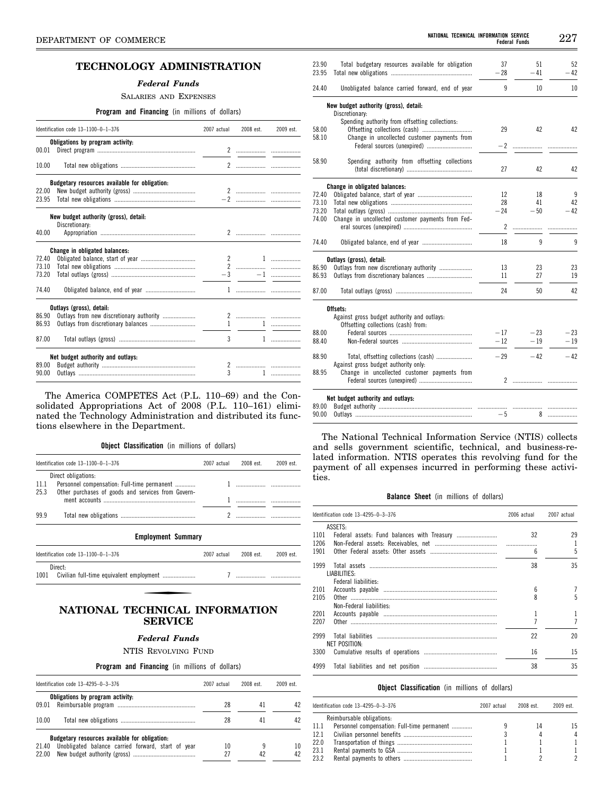# **TECHNOLOGY ADMINISTRATION**

#### *Federal Funds*

SALARIES AND EXPENSES

**Program and Financing** (in millions of dollars)

|       | Identification code 13-1100-0-1-376           | 2007 actual | 2008 est.                                                                                                                                                                                                                                                                                                           | 2009 est.         |
|-------|-----------------------------------------------|-------------|---------------------------------------------------------------------------------------------------------------------------------------------------------------------------------------------------------------------------------------------------------------------------------------------------------------------|-------------------|
|       | Obligations by program activity:              |             |                                                                                                                                                                                                                                                                                                                     |                   |
| 00.01 |                                               |             |                                                                                                                                                                                                                                                                                                                     |                   |
| 10.00 |                                               |             |                                                                                                                                                                                                                                                                                                                     |                   |
|       | Budgetary resources available for obligation: |             |                                                                                                                                                                                                                                                                                                                     |                   |
| 22.00 |                                               |             |                                                                                                                                                                                                                                                                                                                     |                   |
| 23.95 |                                               |             |                                                                                                                                                                                                                                                                                                                     |                   |
|       | New budget authority (gross), detail:         |             |                                                                                                                                                                                                                                                                                                                     |                   |
|       | Discretionary:                                |             |                                                                                                                                                                                                                                                                                                                     |                   |
| 40.00 |                                               |             |                                                                                                                                                                                                                                                                                                                     |                   |
|       | Change in obligated balances:                 |             |                                                                                                                                                                                                                                                                                                                     |                   |
| 72.40 |                                               |             |                                                                                                                                                                                                                                                                                                                     |                   |
| 73.10 |                                               |             |                                                                                                                                                                                                                                                                                                                     |                   |
| 73.20 |                                               |             |                                                                                                                                                                                                                                                                                                                     |                   |
| 74.40 |                                               |             |                                                                                                                                                                                                                                                                                                                     |                   |
|       | Outlays (gross), detail:                      |             |                                                                                                                                                                                                                                                                                                                     |                   |
| 86.90 | Outlays from new discretionary authority      |             |                                                                                                                                                                                                                                                                                                                     |                   |
| 86.93 |                                               |             | $\frac{1}{2}$ $\frac{1}{2}$ $\frac{1}{2}$ $\frac{1}{2}$ $\frac{1}{2}$ $\frac{1}{2}$ $\frac{1}{2}$ $\frac{1}{2}$ $\frac{1}{2}$ $\frac{1}{2}$ $\frac{1}{2}$ $\frac{1}{2}$ $\frac{1}{2}$ $\frac{1}{2}$ $\frac{1}{2}$ $\frac{1}{2}$ $\frac{1}{2}$ $\frac{1}{2}$ $\frac{1}{2}$ $\frac{1}{2}$ $\frac{1}{2}$ $\frac{1}{2}$ |                   |
| 87.00 |                                               | 3           |                                                                                                                                                                                                                                                                                                                     | $1 \qquad \qquad$ |
|       | Net budget authority and outlays:             |             |                                                                                                                                                                                                                                                                                                                     |                   |
| 89.00 |                                               |             |                                                                                                                                                                                                                                                                                                                     |                   |
| 90.00 |                                               | 3           |                                                                                                                                                                                                                                                                                                                     |                   |

The America COMPETES Act (P.L. 110–69) and the Consolidated Appropriations Act of 2008 (P.L. 110–161) eliminated the Technology Administration and distributed its functions elsewhere in the Department.

**Object Classification** (in millions of dollars)

|      | Identification code $13-1100-0-1-376$                                                                                              | 2007 actual 2008 est. | 2009 est. |
|------|------------------------------------------------------------------------------------------------------------------------------------|-----------------------|-----------|
|      | Direct obligations:<br>11.1 Personnel compensation: Full-time permanent<br>25.3 Other purchases of goods and services from Govern- |                       |           |
| 99.9 |                                                                                                                                    |                       |           |

| <b>Employment Summary</b>                                |             |           |           |
|----------------------------------------------------------|-------------|-----------|-----------|
| Identification code $13-1100-0-1-376$                    | 2007 actual | 2008 est. | 2009 est. |
| Direct:<br>1001 Civilian full-time equivalent employment |             |           |           |

# **NATIONAL TECHNICAL INFORMATION SERVICE**

# *Federal Funds*

NTIS REVOLVING FUND

# **Program and Financing** (in millions of dollars)

|       | Identification code 13-4295-0-3-376                | 2007 actual | 2008 est | 2009 est |
|-------|----------------------------------------------------|-------------|----------|----------|
|       | Obligations by program activity:                   |             |          |          |
| 09.01 |                                                    | 28          | 41       | 42       |
| 10.00 |                                                    | 28          | 41       |          |
|       | Budgetary resources available for obligation:      |             |          |          |
| 21.40 | Unobligated balance carried forward, start of year | 10          |          | 10       |
| 22.00 |                                                    | 27          | 42       | 42       |

| 23.90 | Total budgetary resources available for obligation | 37    | 51    | 52    |
|-------|----------------------------------------------------|-------|-------|-------|
| 23.95 |                                                    | $-28$ | $-41$ | - 42  |
|       |                                                    |       |       |       |
| 24.40 | Unobligated balance carried forward, end of year   | 9     | 10    | 10    |
|       | New budget authority (gross), detail:              |       |       |       |
|       | Discretionary:                                     |       |       |       |
|       | Spending authority from offsetting collections:    |       |       |       |
| 58.00 |                                                    | 29    | 42    | 42    |
| 58.10 | Change in uncollected customer payments from       |       |       |       |
|       | Federal sources (unexpired)                        | $-2$  |       |       |
| 58.90 | Spending authority from offsetting collections     |       |       |       |
|       |                                                    | 27    | 42    | 42    |
|       |                                                    |       |       |       |
|       | Change in obligated balances:                      |       |       |       |
| 72.40 |                                                    | 12    | 18    | 9     |
| 73.10 |                                                    | 28    | 41    | 42    |
| 73.20 |                                                    | $-24$ | $-50$ | $-42$ |
| 74.00 | Change in uncollected customer payments from Fed-  |       |       |       |
|       |                                                    | 2     |       |       |
| 74.40 |                                                    | 18    | 9     | 9     |
|       | Outlays (gross), detail:                           |       |       |       |
| 86.90 | Outlays from new discretionary authority           | 13    | 23    | 23    |
| 86.93 |                                                    | 11    | 27    | 19    |
|       |                                                    |       |       |       |
| 87.00 |                                                    | 24    | 50    | 42    |
|       | Offsets:                                           |       |       |       |
|       | Against gross budget authority and outlays:        |       |       |       |
|       | Offsetting collections (cash) from:                |       |       |       |
| 88.00 |                                                    | $-17$ | $-23$ | $-23$ |
| 88.40 |                                                    | $-12$ | $-19$ | $-19$ |
| 88.90 |                                                    | $-29$ | $-42$ | $-42$ |
|       | Against gross budget authority only:               |       |       |       |
| 88.95 | Change in uncollected customer payments from       |       |       |       |
|       |                                                    | 2     |       |       |
|       |                                                    |       |       |       |
|       | Net budget authority and outlays:                  |       |       |       |
| 00 PR | Rudget authority                                   |       |       |       |

| 89.00 | <b>Budget authority</b> | <br> |  |
|-------|-------------------------|------|--|
| 90.00 |                         |      |  |

The National Technical Information Service (NTIS) collects and sells government scientific, technical, and business-related information. NTIS operates this revolving fund for the payment of all expenses incurred in performing these activities.

#### **Balance Sheet** (in millions of dollars)

|              | Identification code 13-4295-0-3-376  | 2006 actual | 2007 actual |
|--------------|--------------------------------------|-------------|-------------|
|              | ASSETS:                              |             |             |
| 1101<br>1206 |                                      | 32          | 29          |
| 1901         |                                      | 6           | 5           |
| 1999         | LIABILITIES:<br>Federal liabilities: | 38          | 35          |
| 2101         |                                      | 6           |             |
| 2105         | Non-Federal liabilities:             | 8           |             |
| 2201         |                                      |             |             |
| 2207         |                                      |             | 7           |
| 2999         | NET POSITION:                        | 22          | 20          |
| 3300         |                                      | 16          | 15          |
| 4999         |                                      | 38          | 35          |

# **Object Classification** (in millions of dollars)

|       | Identification code 13-4295-0-3-376         | 2007 actual | 2008 est. | 2009 est. |
|-------|---------------------------------------------|-------------|-----------|-----------|
|       | Reimbursable obligations:                   |             |           |           |
| -11.1 | Personnel compensation: Full-time permanent |             | 14        |           |
| 12.1  |                                             |             |           |           |
| 22.0  |                                             |             |           |           |
| 23.1  |                                             |             |           |           |
| 23.2  |                                             |             |           |           |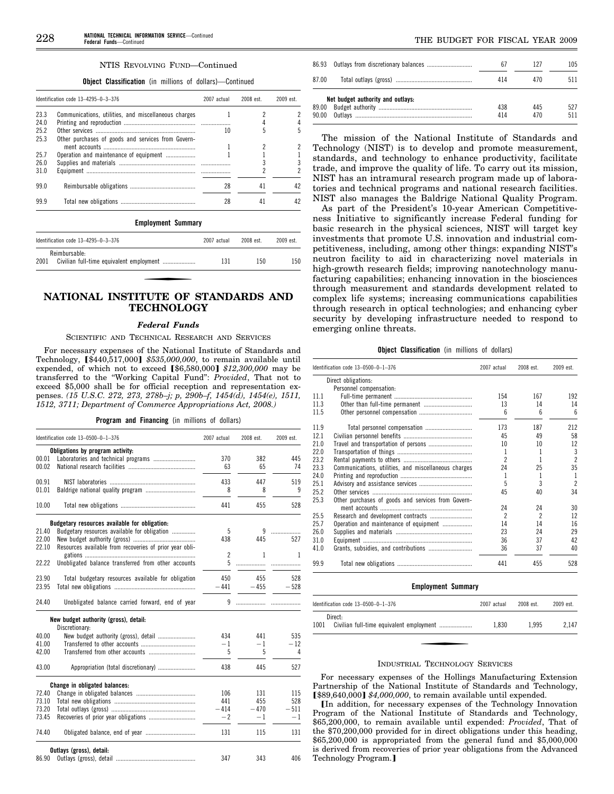#### **Object Classification** (in millions of dollars)—Continued

|      | Identification code 13-4295-0-3-376                  | 2007 actual | 2008 est. | $2009$ est |
|------|------------------------------------------------------|-------------|-----------|------------|
| 23.3 | Communications, utilities, and miscellaneous charges |             |           |            |
| 24.0 |                                                      |             |           |            |
| 25.2 |                                                      | 10          | 5         |            |
| 25.3 | Other purchases of goods and services from Govern-   |             |           |            |
|      |                                                      |             | 2         |            |
| 25.7 | Operation and maintenance of equipment               |             |           |            |
| 26.0 |                                                      |             |           |            |
| 31.0 |                                                      |             |           |            |
| 99 O |                                                      | 28          | 41        | 42         |
| 999  |                                                      | 28          | 41        | 42         |

# **Employment Summary**

| Identification code $13-4295-0-3-376$ | 2007 actual | 2008 est. | 2009 est. |
|---------------------------------------|-------------|-----------|-----------|
| Reimbursable:<br>2001                 | 131         | 150       | 150       |

# **NATIONAL INSTITUTE OF STANDARDS AND TECHNOLOGY**

#### *Federal Funds*

#### SCIENTIFIC AND TECHNICAL RESEARCH AND SERVICES

For necessary expenses of the National Institute of Standards and Technology, [\$440,517,000] \$535,000,000, to remain available until expended, of which not to exceed [\$6,580,000] \$12,300,000 may be transferred to the ''Working Capital Fund'': *Provided*, That not to exceed \$5,000 shall be for official reception and representation expenses. *(15 U.S.C. 272, 273, 278b–j; p, 290b–f, 1454(d), 1454(e), 1511, 1512, 3711; Department of Commerce Appropriations Act, 2008.)* 

**Program and Financing** (in millions of dollars)

|       | Identification code 13-0500-0-1-376                     | 2007 actual    | 2008 est. | 2009 est. |
|-------|---------------------------------------------------------|----------------|-----------|-----------|
|       | Obligations by program activity:                        |                |           |           |
| 00.01 |                                                         | 370            | 382       | 445       |
| 00.02 |                                                         | 63             | 65        | 74        |
|       |                                                         |                |           |           |
| 00.91 |                                                         | 433            | 447       | 519       |
| 01.01 |                                                         | 8              | 8         | 9         |
| 10.00 |                                                         | 441            | 455       | 528       |
|       | Budgetary resources available for obligation:           |                |           |           |
| 21.40 | Budgetary resources available for obligation            | 5              | 9         | .         |
| 22.00 |                                                         | 438            | 445       | 527       |
| 22.10 | Resources available from recoveries of prior year obli- |                |           |           |
|       |                                                         | $\overline{c}$ | 1         | 1         |
| 22.22 | Unobligated balance transferred from other accounts     | 5              |           | .         |
| 23.90 | Total budgetary resources available for obligation      | 450            | 455       | 528       |
| 23.95 |                                                         | $-441$         | $-455$    | $-528$    |
| 24.40 | Unobligated balance carried forward, end of year        | 9              |           |           |
|       | New budget authority (gross), detail:                   |                |           |           |
|       | Discretionary:                                          |                |           |           |
| 40.00 | New budget authority (gross), detail                    | 434            | 441       | 535       |
| 41.00 |                                                         | $-1$           | $-1$      | $-12$     |
| 42.00 |                                                         | 5              | 5         | 4         |
| 43.00 | Appropriation (total discretionary)                     | 438            | 445       | 527       |
|       | Change in obligated balances:                           |                |           |           |
| 72.40 |                                                         | 106            | 131       | 115       |
| 73.10 |                                                         | 441            | 455       | 528       |
| 73.20 |                                                         | $-414$         | $-470$    | $-511$    |
| 73.45 |                                                         | $-2$           | $-1$      | $-1$      |
| 74.40 |                                                         | 131            | 115       | 131       |
|       | Outlays (gross), detail:                                |                |           |           |
| 86.90 |                                                         | 347            | 343       | 406       |

| 86.93 |                                   |     | 127 | 105 |
|-------|-----------------------------------|-----|-----|-----|
| 87.00 |                                   | 414 | 470 | 511 |
|       | Net budget authority and outlays: |     |     |     |
| 89.00 |                                   | 438 | 445 | 527 |
| 90.00 |                                   | 414 | 470 | 511 |

The mission of the National Institute of Standards and Technology (NIST) is to develop and promote measurement, standards, and technology to enhance productivity, facilitate trade, and improve the quality of life. To carry out its mission, NIST has an intramural research program made up of laboratories and technical programs and national research facilities. NIST also manages the Baldrige National Quality Program.

As part of the President's 10-year American Competitiveness Initiative to significantly increase Federal funding for basic research in the physical sciences, NIST will target key investments that promote U.S. innovation and industrial competitiveness, including, among other things: expanding NIST's neutron facility to aid in characterizing novel materials in high-growth research fields; improving nanotechnology manufacturing capabilities; enhancing innovation in the biosciences through measurement and standards development related to complex life systems; increasing communications capabilities through research in optical technologies; and enhancing cyber security by developing infrastructure needed to respond to emerging online threats.

#### **Object Classification** (in millions of dollars)

|      | Identification code 13-0500-0-1-376                  | 2007 actual              | 2008 est.      | 2009 est.       |
|------|------------------------------------------------------|--------------------------|----------------|-----------------|
|      | Direct obligations:                                  |                          |                |                 |
|      | Personnel compensation:                              |                          |                |                 |
| 111  |                                                      | 154                      | 167            | 192             |
| 11.3 |                                                      | 13                       | 14             | 14              |
| 11.5 |                                                      | 6                        | 6              | $6\overline{6}$ |
| 11.9 |                                                      | 173                      | 187            | 212             |
| 121  |                                                      | 45                       | 49             | 58              |
| 21.0 |                                                      | 10                       | 10             | 12              |
| 22.0 |                                                      | 1                        | 1              | 3               |
| 23.2 |                                                      | $\overline{\phantom{a}}$ | 1              | $\overline{2}$  |
| 23.3 | Communications, utilities, and miscellaneous charges | 24                       | 25             | 35              |
| 24.0 |                                                      | 1                        | 1              | 1               |
| 25.1 |                                                      | 5                        | 3              | $\overline{2}$  |
| 25.2 |                                                      | 45                       | 40             | 34              |
| 25.3 | Other purchases of goods and services from Govern-   |                          |                |                 |
|      |                                                      | 24                       | 24             | 30              |
| 25.5 |                                                      | $\mathfrak{p}$           | $\mathfrak{p}$ | 12              |
| 25.7 | Operation and maintenance of equipment               | 14                       | 14             | 16              |
| 26.0 |                                                      | 23                       | 24             | 29              |
| 31.0 |                                                      | 36                       | 37             | 42              |
| 41.0 |                                                      | 36                       | 37             | 40              |
| 99.9 |                                                      | 441                      | 455            | 528             |

#### **Employment Summary**

|      | Identification code 13-0500-0-1-376 | 2007 actual | 2008 est. | 2009 est. |
|------|-------------------------------------|-------------|-----------|-----------|
|      | Direct:                             |             |           |           |
| 1001 |                                     | 1.830       | 1.995     | 2.147     |

#### INDUSTRIAL TECHNOLOGY SERVICES

For necessary expenses of the Hollings Manufacturing Extension Partnership of the National Institute of Standards and Technology, **[\$89,640,000] \$4,000,000, to remain available until expended.** 

øIn addition, for necessary expenses of the Technology Innovation Program of the National Institute of Standards and Technology, \$65,200,000, to remain available until expended: *Provided*, That of the \$70,200,000 provided for in direct obligations under this heading, \$65,200,000 is appropriated from the general fund and \$5,000,000 is derived from recoveries of prior year obligations from the Advanced Technology Program.]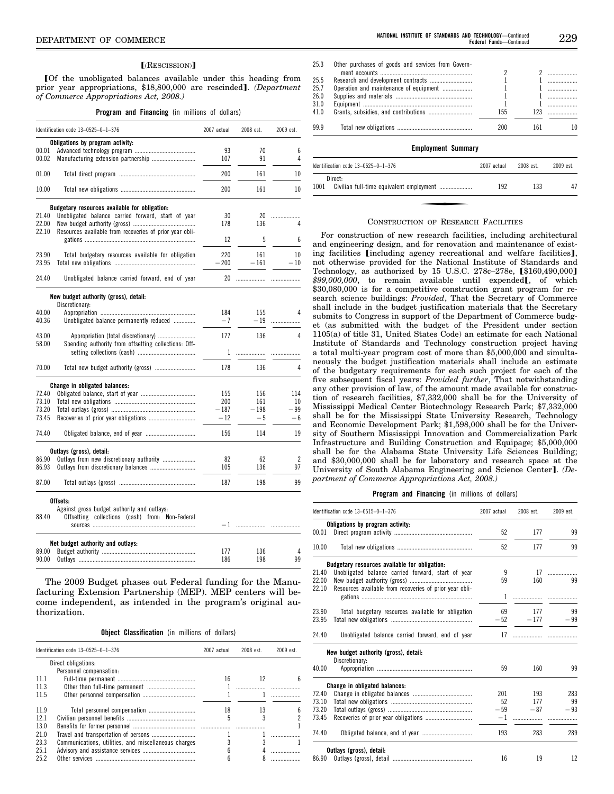#### [(RESCISSION)]

øOf the unobligated balances available under this heading from prior year appropriations, \$18,800,000 are rescinded]. *(Department of Commerce Appropriations Act, 2008.)* 

**Program and Financing** (in millions of dollars)

| Identification code 13-0525-0-1-376                                                                  | 2007 actual | 2008 est. | 2009 est. |
|------------------------------------------------------------------------------------------------------|-------------|-----------|-----------|
| Obligations by program activity:                                                                     |             |           |           |
| 00.01                                                                                                | 93          | 70        | 6         |
| 00.02<br>Manufacturing extension partnership                                                         | 107         | 91        | 4         |
| 01.00                                                                                                | 200         | 161       | 10        |
| 10.00                                                                                                | 200         | 161       | 10        |
|                                                                                                      |             |           |           |
| Budgetary resources available for obligation:                                                        |             |           |           |
| 21.40<br>Unobligated balance carried forward, start of year                                          | 30          | 20        | .         |
| 22.00                                                                                                | 178         | 136       | 4         |
| 22.10<br>Resources available from recoveries of prior year obli-                                     | 12          | 5         | 6         |
| 23.90<br>Total budgetary resources available for obligation                                          | 220         | 161       | 10        |
| 23.95                                                                                                | $-200$      | $-161$    | $-10$     |
|                                                                                                      |             |           |           |
| 24.40<br>Unobligated balance carried forward, end of year                                            | 20          | .         | .         |
| New budget authority (gross), detail:                                                                |             |           |           |
| Discretionary:                                                                                       |             |           |           |
| 40.00                                                                                                | 184         | 155       | 4         |
| 40.36<br>Unobligated balance permanently reduced                                                     | $-7$        | $-19$     | .         |
| 43.00                                                                                                |             |           | 4         |
| Appropriation (total discretionary)<br>58.00<br>Spending authority from offsetting collections: Off- | 177         | 136       |           |
|                                                                                                      | 1           |           |           |
|                                                                                                      |             | .         |           |
| 70.00<br>Total new budget authority (gross)                                                          | 178         | 136       | 4         |
| Change in obligated balances:                                                                        |             |           |           |
| 72.40                                                                                                | 155         | 156       | 114       |
| 73.10                                                                                                | 200         | 161       | 10        |
| 73.20                                                                                                | $-187$      | $-198$    | — 99      |
| 73.45                                                                                                | $-12$       | $-5$      | — 6       |
| 74.40                                                                                                | 156         |           |           |
|                                                                                                      |             | 114       | 19        |
| Outlays (gross), detail:                                                                             |             |           |           |
| 86.90<br>Outlays from new discretionary authority                                                    | 82          | 62        | 2         |
| 86.93                                                                                                | 105         | 136       | 97        |
| 87.00                                                                                                | 187         | 198       | 99        |
| Offsets:                                                                                             |             |           |           |
| Against gross budget authority and outlays:                                                          |             |           |           |
| 88.40<br>Offsetting collections (cash) from: Non-Federal                                             |             |           |           |

| Net budget authority and outlays: | 186 | 136<br>198 |  |
|-----------------------------------|-----|------------|--|

The 2009 Budget phases out Federal funding for the Manufacturing Extension Partnership (MEP). MEP centers will become independent, as intended in the program's original authorization.

**Object Classification** (in millions of dollars)

|       | Identification code $13-0525-0-1-376$                | 2007 actual | 2008 est. | 2009 est. |
|-------|------------------------------------------------------|-------------|-----------|-----------|
|       | Direct obligations:                                  |             |           |           |
|       | Personnel compensation:                              |             |           |           |
| -11.1 |                                                      | 16          | 12        |           |
| 11.3  |                                                      |             |           |           |
| 11.5  |                                                      |             |           |           |
| 11.9  |                                                      | 18          | 13        |           |
| 12.1  |                                                      |             |           |           |
| 13.0  |                                                      |             |           |           |
| 21.0  |                                                      |             |           |           |
| 23.3  | Communications, utilities, and miscellaneous charges |             |           |           |
| 25.1  |                                                      |             |           |           |
| 25.2  | Other services                                       |             |           |           |

| 25.3 | Other purchases of goods and services from Govern- |             |            |                          |
|------|----------------------------------------------------|-------------|------------|--------------------------|
|      |                                                    | 2           |            | $\overline{\phantom{a}}$ |
| 25.5 |                                                    |             |            |                          |
| 25.7 | Operation and maintenance of equipment             |             |            | .                        |
| 26.0 |                                                    |             |            | .                        |
| 31.0 |                                                    |             |            |                          |
| 41 0 |                                                    | 155         | 123        | .                        |
| 99.9 |                                                    | 200         | 161        | 10                       |
|      | <b>Employment Summary</b>                          |             |            |                          |
|      | Identification code $13-0525-0-1-376$              | 2007 actual | $2008$ est | 2009 est                 |
|      | Direct:                                            |             |            |                          |

#### CONSTRUCTION OF RESEARCH FACILITIES

1001 Civilian full-time equivalent employment ..................... 192 133 47

For construction of new research facilities, including architectural and engineering design, and for renovation and maintenance of existing facilities [including agency recreational and welfare facilities], not otherwise provided for the National Institute of Standards and Technology, as authorized by 15 U.S.C. 278c–278e,  $$160,490,000]$ \$99,000,000, to remain available until expended<sub>[, of which</sub> \$30,080,000 is for a competitive construction grant program for research science buildings: *Provided*, That the Secretary of Commerce shall include in the budget justification materials that the Secretary submits to Congress in support of the Department of Commerce budget (as submitted with the budget of the President under section 1105(a) of title 31, United States Code) an estimate for each National Institute of Standards and Technology construction project having a total multi-year program cost of more than \$5,000,000 and simultaneously the budget justification materials shall include an estimate of the budgetary requirements for each such project for each of the five subsequent fiscal years: *Provided further*, That notwithstanding any other provision of law, of the amount made available for construction of research facilities, \$7,332,000 shall be for the University of Mississippi Medical Center Biotechnology Research Park; \$7,332,000 shall be for the Mississippi State University Research, Technology and Economic Development Park; \$1,598,000 shall be for the University of Southern Mississippi Innovation and Commercialization Park Infrastructure and Building Construction and Equipage; \$5,000,000 shall be for the Alabama State University Life Sciences Building; and \$30,000,000 shall be for laboratory and research space at the University of South Alabama Engineering and Science Center]. *(Department of Commerce Appropriations Act, 2008.)* 

#### **Program and Financing** (in millions of dollars)

|       | Identification code 13-0515-0-1-376                     | 2007 actual | 2008 est.  | 2009 est. |
|-------|---------------------------------------------------------|-------------|------------|-----------|
|       | Obligations by program activity:                        |             |            |           |
| 00.01 |                                                         | 52          | 177        | 99        |
| 10.00 |                                                         | 52          | 177        | 99        |
|       | Budgetary resources available for obligation:           |             |            |           |
| 21.40 | Unobligated balance carried forward, start of year      | 9           | 17         | .         |
| 22.00 |                                                         | 59          | 160        | 99        |
| 22.10 | Resources available from recoveries of prior year obli- |             |            |           |
|       |                                                         | 1           |            |           |
| 23.90 | Total budgetary resources available for obligation      | 69          | 177        | 99        |
| 23.95 |                                                         |             | $-52 -177$ | $-99$     |
| 24.40 | Unobligated balance carried forward, end of year        | 17          |            |           |
|       | New budget authority (gross), detail:                   |             |            |           |
|       | Discretionary:                                          |             |            |           |
| 40.00 |                                                         | 59          | 160        | 99        |
|       | Change in obligated balances:                           |             |            |           |
| 72.40 |                                                         | 201         | 193        | 283       |
| 73.10 |                                                         | 52          | 177        | 99        |
| 73.20 |                                                         | $-59$       | $-87$      | $-93$     |
| 73.45 |                                                         | $-1$        |            |           |
| 74.40 |                                                         | 193         | 283        | 289       |
|       | Outlays (gross), detail:                                |             |            |           |
|       |                                                         | 16          | 19         | 12        |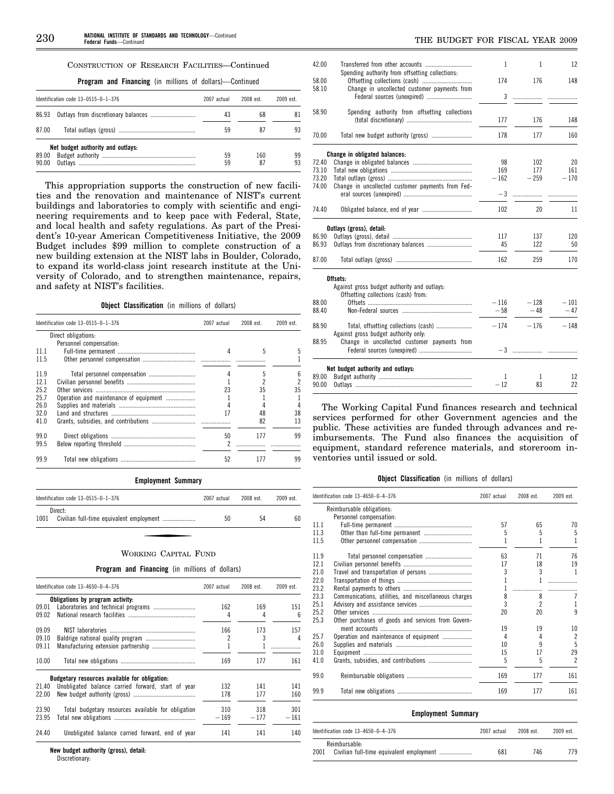# CONSTRUCTION OF RESEARCH FACILITIES—Continued

**Program and Financing** (in millions of dollars)—Continued

|                | Identification code $13-0515-0-1-376$ | 2007 actual | 2008 est  | 2009 est. |
|----------------|---------------------------------------|-------------|-----------|-----------|
| 86.93          |                                       | 43          | 68        | 81        |
| 87.00          |                                       | 59          | 87        | 93        |
| 89.00<br>90.00 | Net budget authority and outlays:     | 59<br>59    | 160<br>87 | 99<br>93  |

This appropriation supports the construction of new facilities and the renovation and maintenance of NIST's current buildings and laboratories to comply with scientific and engineering requirements and to keep pace with Federal, State, and local health and safety regulations. As part of the President's 10-year American Competitiveness Initiative, the 2009 Budget includes \$99 million to complete construction of a new building extension at the NIST labs in Boulder, Colorado, to expand its world-class joint research institute at the University of Colorado, and to strengthen maintenance, repairs, and safety at NIST's facilities.

**Object Classification** (in millions of dollars)

|      | Identification code $13-0515-0-1-376$  |    | 2008 est. | 2009 est. |
|------|----------------------------------------|----|-----------|-----------|
|      | Direct obligations:                    |    |           |           |
|      | Personnel compensation:                |    |           |           |
| 11.1 |                                        |    | 5         |           |
| 11.5 |                                        |    |           |           |
| 119  | Total personnel compensation           |    | 5         | h         |
| 12.1 |                                        |    |           |           |
| 25.2 |                                        | 23 | 35        | 35        |
| 25.7 | Operation and maintenance of equipment |    |           |           |
| 26.0 |                                        |    |           |           |
| 32.0 |                                        |    | 48        | 38        |
| 41.0 |                                        |    | 82        | 13        |
| 99.0 |                                        | 50 | 177       | 99        |
| 99.5 |                                        |    |           |           |
| 99.9 |                                        | 52 |           | 99        |

#### **Employment Summary**

| Identification code $13-0515-0-1-376$ | 2007 actual | 2008 est. | 2009 est. |
|---------------------------------------|-------------|-----------|-----------|
| Direct:<br>1001                       | 50          | 54        | 60        |

### WORKING CAPITAL FUND

#### **Program and Financing** (in millions of dollars)

|       | Identification code 13-4650-0-4-376                | 2007 actual | 2008 est. | 2009 est. |
|-------|----------------------------------------------------|-------------|-----------|-----------|
|       | Obligations by program activity:                   |             |           |           |
| 09.01 |                                                    | 162         | 169       | 151       |
| 09.02 |                                                    | 4           | 4         | 6         |
| 09.09 |                                                    | 166         | 173       | 157       |
| 09.10 |                                                    | 2           | 3         | 4         |
| 09.11 |                                                    |             |           |           |
| 10.00 |                                                    | 169         | 177       | 161       |
|       | Budgetary resources available for obligation:      |             |           |           |
| 21.40 | Unobligated balance carried forward, start of year | 132         | 141       | 141       |
| 22.00 |                                                    | 178         | 177       | 160       |
| 23.90 | Total budgetary resources available for obligation | 310         | 318       | 301       |
| 23.95 |                                                    | $-169$      | $-177$    | $-161$    |
| 24.40 | Unobligated balance carried forward, end of year   | 141         | 141       | 140       |

**New budget authority (gross), detail:**  Discretionary:

| 42.00 |                                                                                    | 1      | 1      | 12     |
|-------|------------------------------------------------------------------------------------|--------|--------|--------|
| 58.00 | Spending authority from offsetting collections:<br>Offsetting collections (cash)   | 174    | 176    | 148    |
| 58.10 | Change in uncollected customer payments from<br>Federal sources (unexpired)        | 3      | .      |        |
| 58.90 | Spending authority from offsetting collections                                     | 177    | 176    | 148    |
| 70.00 | Total new budget authority (gross)                                                 | 178    | 177    | 160    |
|       | Change in obligated balances:                                                      |        |        |        |
| 72.40 |                                                                                    | 98     | 102    | 20     |
| 73.10 |                                                                                    | 169    | 177    | 161    |
| 73.20 |                                                                                    | $-162$ | $-259$ | $-170$ |
| 74.00 |                                                                                    |        |        |        |
|       | Change in uncollected customer payments from Fed-                                  | $-3$   | .      |        |
| 74.40 |                                                                                    | 102    | 20     | 11     |
|       | Outlays (gross), detail:                                                           |        |        |        |
| 86.90 |                                                                                    | 117    | 137    | 120    |
| 86.93 |                                                                                    | 45     | 122    | 50     |
| 87.00 |                                                                                    | 162    | 259    | 170    |
|       | Offsets:                                                                           |        |        |        |
|       | Against gross budget authority and outlays:<br>Offsetting collections (cash) from: |        |        |        |
| 88.00 |                                                                                    | $-116$ | $-128$ | $-101$ |
| 88.40 |                                                                                    | $-58$  | $-48$  | $-47$  |
| 88.90 | Against gross budget authority only:                                               | $-174$ | $-176$ | $-148$ |
| 88.95 | Change in uncollected customer payments from                                       |        |        |        |
|       | Net budget authority and outlays:                                                  |        |        |        |
| 89.00 |                                                                                    | 1      | 1      | 12     |
| 90.00 |                                                                                    | $-12$  | 83     | 22     |
|       |                                                                                    |        |        |        |

The Working Capital Fund finances research and technical services performed for other Government agencies and the public. These activities are funded through advances and reimbursements. The Fund also finances the acquisition of equipment, standard reference materials, and storeroom inventories until issued or sold.

# **Object Classification** (in millions of dollars)

|      | Identification code 13-4650-0-4-376                  | 2007 actual | 2008 est.      | 2009 est.      |
|------|------------------------------------------------------|-------------|----------------|----------------|
|      | Reimbursable obligations:                            |             |                |                |
|      | Personnel compensation:                              |             |                |                |
| 11.1 |                                                      | 57          | 65             | 70             |
| 11.3 |                                                      | 5           | 5              | 5              |
| 11.5 |                                                      |             |                | 1              |
| 11.9 | Total personnel compensation                         | 63          | 71             | 76             |
| 12.1 |                                                      | 17          | 18             | 19             |
| 21.0 |                                                      | 3           | 3              | 1              |
| 22.0 |                                                      |             |                | .              |
| 23.2 |                                                      |             |                |                |
| 23.3 | Communications, utilities, and miscellaneous charges | 8           | 8              | 7              |
| 25.1 |                                                      | 3           | $\mathfrak{p}$ | 1              |
| 25.2 |                                                      | 20          | 20             | $\mathbf{q}$   |
| 25.3 | Other purchases of goods and services from Govern-   |             |                |                |
|      |                                                      | 19          | 19             | 10             |
| 25.7 | Operation and maintenance of equipment               | 4           | 4              | $\overline{2}$ |
| 26.0 |                                                      | 10          | 9              | 5              |
| 31.0 |                                                      | 15          | 17             | 29             |
| 41.0 |                                                      | 5           | 5              | $\overline{c}$ |
| 99.0 |                                                      | 169         | 177            | 161            |
| 99.9 |                                                      | 169         | 177            | 161            |

#### **Employment Summary**

|      | Identification code 13-4650-0-4-376 | 2007 actual | 2008 est. | $2009$ est. |
|------|-------------------------------------|-------------|-----------|-------------|
| 2001 | Reimbursable:                       | 681         | 746       | 779         |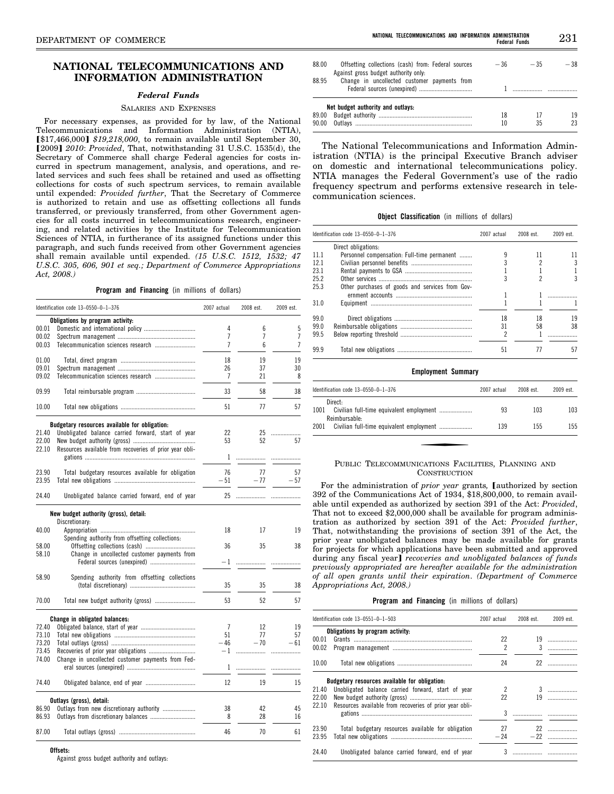# **NATIONAL TELECOMMUNICATIONS AND INFORMATION ADMINISTRATION**

### *Federal Funds*

#### SALARIES AND EXPENSES

For necessary expenses, as provided for by law, of the National Telecommunications and Information Administration (NTIA), **[\$17,466,000] \$19,218,000, to remain available until September 30,** [2009] *2010: Provided*, That, notwithstanding 31 U.S.C. 1535(d), the Secretary of Commerce shall charge Federal agencies for costs incurred in spectrum management, analysis, and operations, and related services and such fees shall be retained and used as offsetting collections for costs of such spectrum services, to remain available until expended: *Provided further*, That the Secretary of Commerce is authorized to retain and use as offsetting collections all funds transferred, or previously transferred, from other Government agencies for all costs incurred in telecommunications research, engineering, and related activities by the Institute for Telecommunication Sciences of NTIA, in furtherance of its assigned functions under this paragraph, and such funds received from other Government agencies shall remain available until expended. *(15 U.S.C. 1512, 1532; 47 U.S.C. 305, 606, 901 et seq.; Department of Commerce Appropriations Act, 2008.)* 

#### **Program and Financing** (in millions of dollars)

|       | Identification code 13-0550-0-1-376                     | 2007 actual    | 2008 est. | 2009 est. |
|-------|---------------------------------------------------------|----------------|-----------|-----------|
|       | Obligations by program activity:                        |                |           |           |
| 00.01 |                                                         | 4              | 6         | 5         |
| 00.02 |                                                         | 7              | 7         | 7         |
| 00.03 |                                                         | 7              | 6         | 7         |
| 01.00 |                                                         | 18             | 19        | 19        |
| 09.01 |                                                         | 26             | 37        | 30        |
| 09.02 |                                                         | 7              | 21        | 8         |
| 09.99 |                                                         | 33             | 58        | 38        |
| 10.00 |                                                         | 51             | 77        | 57        |
|       | Budgetary resources available for obligation:           |                |           |           |
| 21.40 | Unobligated balance carried forward, start of year      | 22             | 25        | .         |
| 22.00 |                                                         | 53             | 52        | 57        |
| 22.10 | Resources available from recoveries of prior year obli- |                |           |           |
|       |                                                         | 1              | .         | .         |
|       |                                                         |                |           |           |
| 23.90 | Total budgetary resources available for obligation      | 76             | 77        | 57        |
| 23.95 |                                                         | $-51$          | $-77$     | $-57$     |
| 24.40 | Unobligated balance carried forward, end of year        |                |           |           |
|       | New budget authority (gross), detail:                   |                |           |           |
|       | Discretionary:                                          |                |           |           |
| 40.00 |                                                         | 18             | 17        | 19        |
|       | Spending authority from offsetting collections:         |                |           |           |
| 58.00 |                                                         | 36             | 35        | 38        |
| 58.10 | Change in uncollected customer payments from            |                |           |           |
|       | Federal sources (unexpired)                             | $-1$           |           |           |
| 58.90 | Spending authority from offsetting collections          |                |           |           |
|       |                                                         | 35             | 35        |           |
|       |                                                         |                |           | 38        |
| 70.00 |                                                         | 53             | 52        | 57        |
|       | Change in obligated balances:                           |                |           |           |
| 72.40 |                                                         | $\overline{7}$ | 12        | 19        |
| 73.10 |                                                         | 51             | 77        | 57        |
| 73.20 |                                                         | - 46           | $-70$     | $-61$     |
|       |                                                         |                |           |           |
| 73.45 |                                                         |                |           |           |
| 74.00 | Change in uncollected customer payments from Fed-       |                |           |           |
|       |                                                         | 1              |           |           |
| 74.40 |                                                         | 12             | 19        | 15        |
|       | Outlays (gross), detail:                                |                |           |           |
| 86.90 | Outlays from new discretionary authority                | 38             | 42        | 45        |
| 86.93 |                                                         | 8              | 28        | 16        |
|       |                                                         |                |           |           |
| 87.00 |                                                         | 46             | 70        | 61        |

#### **Offsets:**

Against gross budget authority and outlays:

| 88.00<br>88.95 | Offsetting collections (cash) from: Federal sources<br>Against gross budget authority only.<br>Change in uncollected customer payments from | $-36$    | $-35$ | $-38$    |
|----------------|---------------------------------------------------------------------------------------------------------------------------------------------|----------|-------|----------|
| 89.00<br>90.00 | Net budget authority and outlays:                                                                                                           | 18<br>10 | 35    | 19<br>23 |

The National Telecommunications and Information Administration (NTIA) is the principal Executive Branch adviser on domestic and international telecommunications policy. NTIA manages the Federal Government's use of the radio frequency spectrum and performs extensive research in telecommunication sciences.

**Object Classification** (in millions of dollars)

|      | Identification code $13-0550-0-1-376$           | 2007 actual | 2008 est. | 2009 est. |
|------|-------------------------------------------------|-------------|-----------|-----------|
|      | Direct obligations:                             |             |           |           |
| 11 1 | Personnel compensation: Full-time permanent     |             | 11        |           |
| 121  |                                                 |             |           | 3         |
| 23.1 |                                                 |             |           |           |
| 25.2 |                                                 |             |           | 3         |
| 25.3 | Other purchases of goods and services from Gov- |             |           |           |
|      |                                                 |             |           |           |
| 31.0 |                                                 |             |           |           |
| 99.0 |                                                 | 18          | 18        | 19        |
| 99.0 |                                                 | 31          | 58        | 38        |
| 99.5 |                                                 | 2           |           |           |
| 99.9 |                                                 | 51          |           | 57        |

#### **Employment Summary**

| ldentification code 13-0550-0-1-376                                          | 2007 actual | 2008 est. | 2009 est. |
|------------------------------------------------------------------------------|-------------|-----------|-----------|
| Direct:<br>1001<br>Civilian full-time equivalent employment<br>Reimbursable: | 93          | 103       | 103       |
| 2001                                                                         | 139         | 155       | 155       |

#### PUBLIC TELECOMMUNICATIONS FACILITIES, PLANNING AND **CONSTRUCTION**

For the administration of *prior year* grants, [authorized by section 392 of the Communications Act of 1934, \$18,800,000, to remain available until expended as authorized by section 391 of the Act: *Provided*, That not to exceed \$2,000,000 shall be available for program administration as authorized by section 391 of the Act: *Provided further*, That, notwithstanding the provisions of section 391 of the Act, the prior year unobligated balances may be made available for grants for projects for which applications have been submitted and approved during any fiscal year] *recoveries and unobligated balances of funds previously appropriated are hereafter available for the administration of all open grants until their expiration*. *(Department of Commerce Appropriations Act, 2008.)* 

#### **Program and Financing** (in millions of dollars)

|       | Identification code 13-0551-0-1-503                     | 2007 actual         | 2008 est. | $2009$ est.                   |
|-------|---------------------------------------------------------|---------------------|-----------|-------------------------------|
|       | Obligations by program activity:                        |                     |           |                               |
| 00.01 |                                                         | 22                  |           |                               |
| 00.02 |                                                         | $\boldsymbol{\eta}$ | 3         | .                             |
| 10.00 |                                                         | 24                  |           |                               |
|       | Budgetary resources available for obligation:           |                     |           |                               |
| 21.40 | Unobligated balance carried forward, start of year      | $\overline{2}$      |           | $\overline{3}$ $\overline{3}$ |
| 22.00 |                                                         | 22                  |           |                               |
| 22.10 | Resources available from recoveries of prior year obli- |                     |           |                               |
|       |                                                         | 3                   |           |                               |
| 23.90 | Total budgetary resources available for obligation      | 27                  |           |                               |
| 23.95 |                                                         | $-24$               |           |                               |
| 24.40 | Unobligated balance carried forward, end of year        | 3                   |           |                               |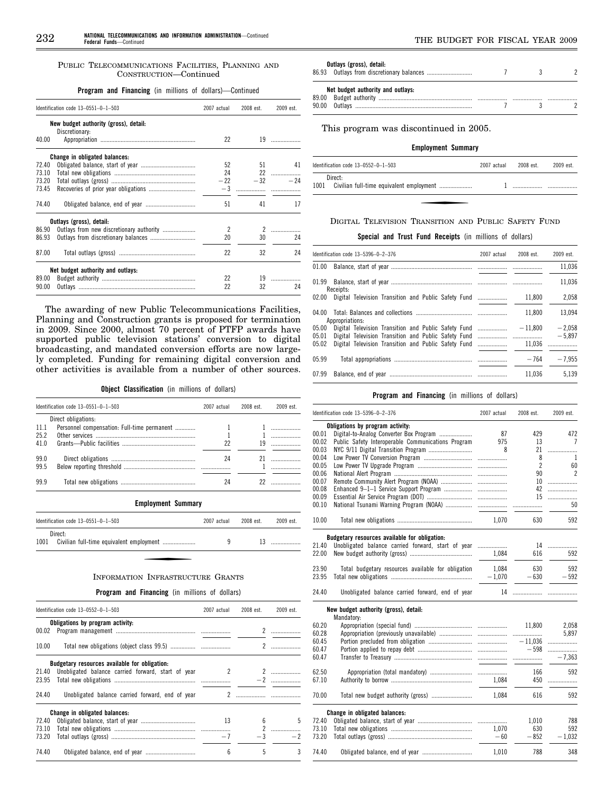PUBLIC TELECOMMUNICATIONS FACILITIES, PLANNING AND CONSTRUCTION—Continued

**Program and Financing** (in millions of dollars)—Continued

|       | Identification code 13-0551-0-1-503   | 2007 actual    | 2008 est. | 2009 est.     |
|-------|---------------------------------------|----------------|-----------|---------------|
|       | New budget authority (gross), detail: |                |           |               |
|       | Discretionary:                        |                |           |               |
| 40.00 |                                       | 22             |           | $19$ and $19$ |
|       | Change in obligated balances:         |                |           |               |
| 72.40 |                                       | 52             | 51        | 41            |
| 73.10 |                                       | 24             |           | 22            |
| 73.20 |                                       | $-22$          | $-32$     | $-24$         |
| 73.45 |                                       |                |           |               |
|       |                                       |                |           |               |
| 74.40 |                                       | 51             | 41        | 17            |
|       | Outlays (gross), detail:              |                |           |               |
| 86.90 |                                       | $\overline{c}$ | 2         |               |
| 86.93 |                                       | 20             | 30        | 24            |
|       |                                       |                |           |               |
| 87.00 |                                       | 22             | 32        | 24            |
|       | Net budget authority and outlays:     |                |           |               |
| 89.00 |                                       | 22             | 19        |               |
| 90.00 |                                       | 22             | 32        | 24            |
|       |                                       |                |           |               |

The awarding of new Public Telecommunications Facilities, Planning and Construction grants is proposed for termination in 2009. Since 2000, almost 70 percent of PTFP awards have supported public television stations' conversion to digital broadcasting, and mandated conversion efforts are now largely completed. Funding for remaining digital conversion and other activities is available from a number of other sources.

**Object Classification** (in millions of dollars)

|              | Identification code $13-0551-0-1-503$                              | 2007 actual | 2008 est. | 2009 est.                |
|--------------|--------------------------------------------------------------------|-------------|-----------|--------------------------|
| 11.1         | Direct obligations:<br>Personnel compensation: Full-time permanent |             |           |                          |
| 25.2         |                                                                    |             |           |                          |
| 41 0         |                                                                    | 22          | 19        |                          |
| 99.0<br>99.5 |                                                                    | 24          |           | $\overline{\phantom{a}}$ |
| 99.9         |                                                                    | 24          |           |                          |

**Employment Summary** 

| Identification code 13-0551-0-1-503 | 2007 actual | 2008 est. | 2009 est. |
|-------------------------------------|-------------|-----------|-----------|
| Direct:<br>1001                     | u           |           |           |

# INFORMATION INFRASTRUCTURE GRANTS

 $\overline{a}$ 

**Program and Financing** (in millions of dollars)

|       | Identification code 13-0552-0-1-503                | 2007 actual  | 2008 est. | 2009 est.    |
|-------|----------------------------------------------------|--------------|-----------|--------------|
|       | Obligations by program activity:                   |              |           |              |
| 00.02 |                                                    |              |           |              |
| 10.00 |                                                    |              |           |              |
|       | Budgetary resources available for obligation:      |              |           |              |
| 21.40 | Unobligated balance carried forward, start of year | $\mathbf{2}$ |           | 2            |
| 23.95 |                                                    |              |           |              |
| 24.40 | Unobligated balance carried forward, end of year   |              |           |              |
|       | Change in obligated balances:                      |              |           |              |
| 72.40 |                                                    | 13           | 6         | 5            |
| 73.10 |                                                    |              |           |              |
| 73.20 |                                                    | $-7$         |           | $-3$<br>$-2$ |
| 74.40 |                                                    | 6            | 5         | 3            |

| Outlays (gross), detail:          |  |  |
|-----------------------------------|--|--|
| Net budget authority and outlays: |  |  |

This program was discontinued in 2005.

# **Employment Summary**

| Direct:<br>1001 |  |
|-----------------|--|

# DIGITAL TELEVISION TRANSITION AND PUBLIC SAFETY FUND

**Special and Trust Fund Receipts** (in millions of dollars)

|                | Identification code 13-5396-0-2-376                  | 2007 actual | 2008 est. | $2009$ est.          |
|----------------|------------------------------------------------------|-------------|-----------|----------------------|
| 01.00          |                                                      |             |           | 11.036               |
| 01.99          | Receipts:                                            |             |           | 11.036               |
| 02.00          |                                                      |             | 11.800    | 2.058                |
| 04.00          | Appropriations:                                      |             | 11.800    | 13.094               |
| 05.00<br>05.01 | Digital Television Transition and Public Safety Fund |             | $-11.800$ | $-2.058$<br>$-5,897$ |
| 05.02          | Digital Television Transition and Public Safety Fund |             | 11.036    | .                    |
| 05.99          |                                                      |             | $-764$    | $-7.955$             |
| 07.99          |                                                      |             | 11.036    | 5.139                |

# **Program and Financing** (in millions of dollars)

|       | Identification code 13-5396-0-2-376                | 2007 actual | 2008 est.      | 2009 est.      |
|-------|----------------------------------------------------|-------------|----------------|----------------|
|       | Obligations by program activity:                   |             |                |                |
| 00.01 | Digital-to-Analog Converter Box Program            | 87          | 429            | 472            |
| 00.02 | Public Safety Interoperable Communications Program | 975         | 13             | $\overline{7}$ |
| 00.03 |                                                    | 8           | 21             |                |
| 00.04 |                                                    |             | 8              | 1              |
| 00.05 |                                                    |             | $\overline{c}$ | 60             |
| 00.06 |                                                    |             | 90             | $\overline{2}$ |
| 00.07 |                                                    |             | 10             | .              |
| 00.08 |                                                    |             | 42             | .              |
| 00.09 |                                                    |             | 15             | .              |
| 00.10 |                                                    |             |                | 50             |
| 10.00 |                                                    | 1,070       | 630            | 592            |
|       | Budgetary resources available for obligation:      |             |                |                |
| 21.40 | Unobligated balance carried forward, start of year |             |                | 14             |
| 22.00 |                                                    | 1.084       | 616            | 592            |
| 23.90 | Total budgetary resources available for obligation | 1.084       | 630            | 592            |
| 23.95 |                                                    | $-1,070$    | $-630$         | $-592$         |
| 24.40 | Unobligated balance carried forward, end of year   |             |                |                |
|       | New budget authority (gross), detail:              |             |                |                |
|       | Mandatory:                                         |             |                |                |
| 60.20 |                                                    |             | 11,800         | 2,058          |
| 60.28 |                                                    |             |                | 5,897          |
| 60.45 |                                                    |             |                | .              |
| 60.47 |                                                    |             | $-598$         | .              |
| 60.47 |                                                    |             |                | $-7,363$       |
| 62.50 |                                                    |             | 166            | 592            |
| 67.10 |                                                    |             | 450            | .              |
|       |                                                    |             |                |                |
| 70.00 |                                                    |             | 616            | 592            |
|       | Change in obligated balances:                      |             |                |                |
| 72.40 |                                                    |             | 1,010          | 788            |
| 73.10 |                                                    | 1,070       | 630            | 592            |
| 73.20 |                                                    | $-60$       | $-852$         | $-1.032$       |
| 74.40 |                                                    | 1,010       | 788            | 348            |
|       |                                                    |             |                |                |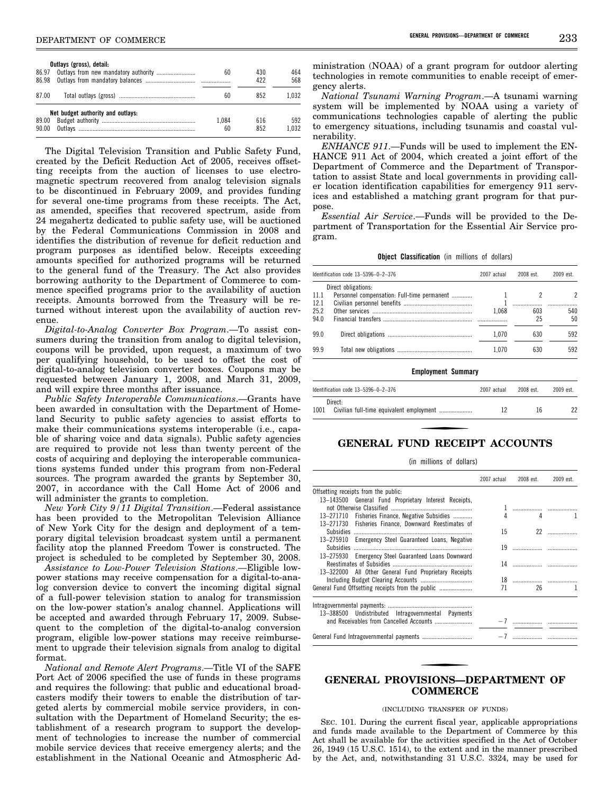|       | Outlays (gross), detail:          |       |     |       |
|-------|-----------------------------------|-------|-----|-------|
| 86.97 |                                   | 60    | 430 | 464   |
| 86.98 |                                   |       | 422 | 568   |
| 87.00 |                                   | 60    | 852 | 1.032 |
|       | Net budget authority and outlays: |       |     |       |
| 89.00 |                                   | 1.084 | 616 | 592   |
| 90.00 |                                   | 60    | 852 | 1.032 |

The Digital Television Transition and Public Safety Fund, created by the Deficit Reduction Act of 2005, receives offsetting receipts from the auction of licenses to use electromagnetic spectrum recovered from analog television signals to be discontinued in February 2009, and provides funding for several one-time programs from these receipts. The Act, as amended, specifies that recovered spectrum, aside from 24 megahertz dedicated to public safety use, will be auctioned by the Federal Communications Commission in 2008 and identifies the distribution of revenue for deficit reduction and program purposes as identified below. Receipts exceeding amounts specified for authorized programs will be returned to the general fund of the Treasury. The Act also provides borrowing authority to the Department of Commerce to commence specified programs prior to the availability of auction receipts. Amounts borrowed from the Treasury will be returned without interest upon the availability of auction revenue.

*Digital-to-Analog Converter Box Program*.—To assist consumers during the transition from analog to digital television, coupons will be provided, upon request, a maximum of two per qualifying household, to be used to offset the cost of digital-to-analog television converter boxes. Coupons may be requested between January 1, 2008, and March 31, 2009, and will expire three months after issuance.

*Public Safety Interoperable Communications*.—Grants have been awarded in consultation with the Department of Homeland Security to public safety agencies to assist efforts to make their communications systems interoperable (i.e., capable of sharing voice and data signals). Public safety agencies are required to provide not less than twenty percent of the costs of acquiring and deploying the interoperable communications systems funded under this program from non-Federal sources. The program awarded the grants by September 30, 2007, in accordance with the Call Home Act of 2006 and will administer the grants to completion.

*New York City 9/11 Digital Transition*.—Federal assistance has been provided to the Metropolitan Television Alliance of New York City for the design and deployment of a temporary digital television broadcast system until a permanent facility atop the planned Freedom Tower is constructed. The project is scheduled to be completed by September 30, 2008.

*Assistance to Low-Power Television Stations*.—Eligible lowpower stations may receive compensation for a digital-to-analog conversion device to convert the incoming digital signal of a full-power television station to analog for transmission on the low-power station's analog channel. Applications will be accepted and awarded through February 17, 2009. Subsequent to the completion of the digital-to-analog conversion program, eligible low-power stations may receive reimbursement to upgrade their television signals from analog to digital format.

*National and Remote Alert Programs*.—Title VI of the SAFE Port Act of 2006 specified the use of funds in these programs and requires the following: that public and educational broadcasters modify their towers to enable the distribution of targeted alerts by commercial mobile service providers, in consultation with the Department of Homeland Security; the establishment of a research program to support the development of technologies to increase the number of commercial mobile service devices that receive emergency alerts; and the establishment in the National Oceanic and Atmospheric Ad-

ministration (NOAA) of a grant program for outdoor alerting technologies in remote communities to enable receipt of emergency alerts.

*National Tsunami Warning Program*.—A tsunami warning system will be implemented by NOAA using a variety of communications technologies capable of alerting the public to emergency situations, including tsunamis and coastal vulnerability.

*ENHANCE 911*.—Funds will be used to implement the EN-HANCE 911 Act of 2004, which created a joint effort of the Department of Commerce and the Department of Transportation to assist State and local governments in providing caller location identification capabilities for emergency 911 services and established a matching grant program for that purpose.

*Essential Air Service*.—Funds will be provided to the Department of Transportation for the Essential Air Service program.

**Object Classification** (in millions of dollars)

| Identification code 13-5396-0-2-376 |                                             | 2007 actual | 2008 est. | 2009 est. |
|-------------------------------------|---------------------------------------------|-------------|-----------|-----------|
|                                     | Direct obligations:                         |             |           |           |
| 11.1                                | Personnel compensation: Full-time permanent |             |           |           |
| 12.1                                |                                             |             |           |           |
| 25.2                                |                                             | 1.068       | 603       | 540       |
| 94.0                                |                                             |             | 25        | 50        |
| 99.0                                |                                             | 1.070       | 630       | 592       |
| 99.9                                |                                             | 1.070       | 630       | 592       |
|                                     | <b>Employment Summary</b>                   |             |           |           |

|                 | Identification code $13-5396-0-2-376$ | 2007 actual | 2008 est. | 2009 est. |
|-----------------|---------------------------------------|-------------|-----------|-----------|
| Direct:<br>1001 |                                       |             | 16        | 22        |

# **GENERAL FUND RECEIPT ACCOUNTS**

(in millions of dollars)

|                                                       | 2007 actual | 2008 est. | 2009 est. |
|-------------------------------------------------------|-------------|-----------|-----------|
| Offsetting receipts from the public.                  |             |           |           |
| 13-143500 General Fund Proprietary Interest Receipts, |             |           |           |
|                                                       |             |           |           |
| 13-271710 Fisheries Finance, Negative Subsidies       | 4           | 4         |           |
| 13-271730 Fisheries Finance, Downward Reestimates of  |             |           |           |
| <b>Subsidies</b>                                      | 15          |           |           |
| 13-275910 Emergency Steel Guaranteed Loans, Negative  |             |           |           |
|                                                       | 19          |           |           |
| 13-275930 Emergency Steel Guaranteed Loans Downward   |             |           |           |
|                                                       |             |           |           |
| 13-322000 All Other General Fund Proprietary Receipts |             |           |           |
|                                                       |             |           |           |
|                                                       | 71          | 26        |           |
| 13-388500 Undistributed Intragovernmental Payments    |             |           |           |
|                                                       |             |           |           |
|                                                       |             |           |           |

# **GENERAL PROVISIONS—DEPARTMENT OF COMMERCE**

# (INCLUDING TRANSFER OF FUNDS)

SEC. 101. During the current fiscal year, applicable appropriations and funds made available to the Department of Commerce by this Act shall be available for the activities specified in the Act of October 26, 1949 (15 U.S.C. 1514), to the extent and in the manner prescribed by the Act, and, notwithstanding 31 U.S.C. 3324, may be used for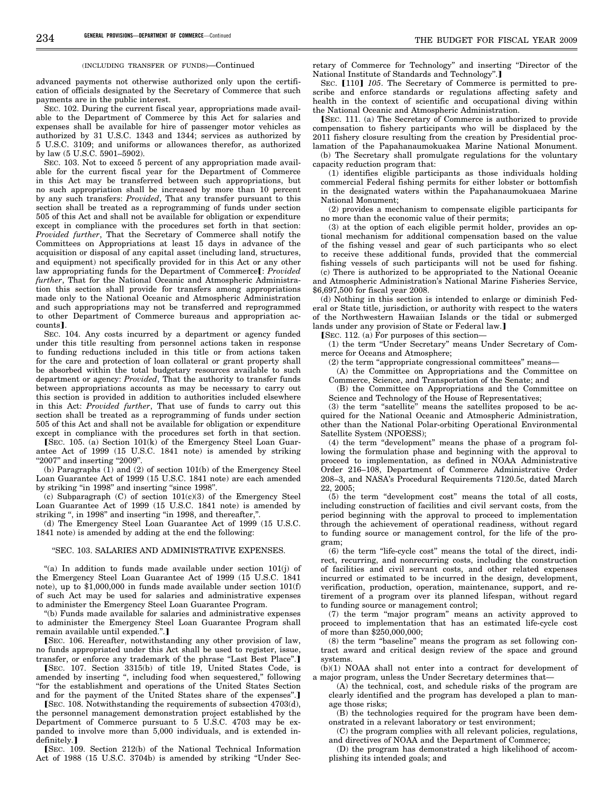#### (INCLUDING TRANSFER OF FUNDS)—Continued

advanced payments not otherwise authorized only upon the certification of officials designated by the Secretary of Commerce that such payments are in the public interest.

SEC. 102. During the current fiscal year, appropriations made available to the Department of Commerce by this Act for salaries and expenses shall be available for hire of passenger motor vehicles as authorized by 31 U.S.C. 1343 and 1344; services as authorized by 5 U.S.C. 3109; and uniforms or allowances therefor, as authorized by law (5 U.S.C. 5901–5902).

SEC. 103. Not to exceed 5 percent of any appropriation made available for the current fiscal year for the Department of Commerce in this Act may be transferred between such appropriations, but no such appropriation shall be increased by more than 10 percent by any such transfers: *Provided*, That any transfer pursuant to this section shall be treated as a reprogramming of funds under section 505 of this Act and shall not be available for obligation or expenditure except in compliance with the procedures set forth in that section: *Provided further*, That the Secretary of Commerce shall notify the Committees on Appropriations at least 15 days in advance of the acquisition or disposal of any capital asset (including land, structures, and equipment) not specifically provided for in this Act or any other law appropriating funds for the Department of Commerce<sup>[</sup>: Provided *further*, That for the National Oceanic and Atmospheric Administration this section shall provide for transfers among appropriations made only to the National Oceanic and Atmospheric Administration and such appropriations may not be transferred and reprogrammed to other Department of Commerce bureaus and appropriation accounts].

SEC. 104. Any costs incurred by a department or agency funded under this title resulting from personnel actions taken in response to funding reductions included in this title or from actions taken for the care and protection of loan collateral or grant property shall be absorbed within the total budgetary resources available to such department or agency: *Provided*, That the authority to transfer funds between appropriations accounts as may be necessary to carry out this section is provided in addition to authorities included elsewhere in this Act: *Provided further*, That use of funds to carry out this section shall be treated as a reprogramming of funds under section 505 of this Act and shall not be available for obligation or expenditure except in compliance with the procedures set forth in that section.

[SEC. 105. (a) Section  $101(k)$  of the Emergency Steel Loan Guarantee Act of 1999 (15 U.S.C. 1841 note) is amended by striking "2007" and inserting "2009".

(b) Paragraphs (1) and (2) of section 101(b) of the Emergency Steel Loan Guarantee Act of 1999 (15 U.S.C. 1841 note) are each amended by striking "in 1998" and inserting "since 1998".

(c) Subparagraph (C) of section 101(c)(3) of the Emergency Steel Loan Guarantee Act of 1999 (15 U.S.C. 1841 note) is amended by striking ", in 1998" and inserting "in 1998, and thereafter,'

(d) The Emergency Steel Loan Guarantee Act of 1999 (15 U.S.C. 1841 note) is amended by adding at the end the following:

#### ''SEC. 103. SALARIES AND ADMINISTRATIVE EXPENSES.

"(a) In addition to funds made available under section 101(j) of the Emergency Steel Loan Guarantee Act of 1999 (15 U.S.C. 1841 note), up to \$1,000,000 in funds made available under section 101(f) of such Act may be used for salaries and administrative expenses to administer the Emergency Steel Loan Guarantee Program.

''(b) Funds made available for salaries and administrative expenses to administer the Emergency Steel Loan Guarantee Program shall remain available until expended.".]

[SEC. 106. Hereafter, notwithstanding any other provision of law, no funds appropriated under this Act shall be used to register, issue, transfer, or enforce any trademark of the phrase "Last Best Place".]

øSEC. 107. Section 3315(b) of title 19, United States Code, is amended by inserting '', including food when sequestered,'' following ''for the establishment and operations of the United States Section and for the payment of the United States share of the expenses".]

 $[$ SEC. 108. Notwithstanding the requirements of subsection 4703 $(d)$ , the personnel management demonstration project established by the Department of Commerce pursuant to 5 U.S.C. 4703 may be expanded to involve more than 5,000 individuals, and is extended indefinitely.]

øSEC. 109. Section 212(b) of the National Technical Information Act of 1988 (15 U.S.C. 3704b) is amended by striking ''Under Secretary of Commerce for Technology'' and inserting ''Director of the National Institute of Standards and Technology".]

SEC. [110] 105. The Secretary of Commerce is permitted to prescribe and enforce standards or regulations affecting safety and health in the context of scientific and occupational diving within the National Oceanic and Atmospheric Administration.

SEC. 111. (a) The Secretary of Commerce is authorized to provide compensation to fishery participants who will be displaced by the 2011 fishery closure resulting from the creation by Presidential proclamation of the Papahanaumokuakea Marine National Monument.

(b) The Secretary shall promulgate regulations for the voluntary capacity reduction program that:

(1) identifies eligible participants as those individuals holding commercial Federal fishing permits for either lobster or bottomfish in the designated waters within the Papahanaumokuaea Marine National Monument;

(2) provides a mechanism to compensate eligible participants for no more than the economic value of their permits;

(3) at the option of each eligible permit holder, provides an optional mechanism for additional compensation based on the value of the fishing vessel and gear of such participants who so elect to receive these additional funds, provided that the commercial fishing vessels of such participants will not be used for fishing.

(c) There is authorized to be appropriated to the National Oceanic and Atmospheric Administration's National Marine Fisheries Service, \$6,697,500 for fiscal year 2008.

(d) Nothing in this section is intended to enlarge or diminish Federal or State title, jurisdiction, or authority with respect to the waters of the Northwestern Hawaiian Islands or the tidal or submerged lands under any provision of State or Federal law.]

 $[$ SEC. 112. (a) For purposes of this section-

(1) the term ''Under Secretary'' means Under Secretary of Commerce for Oceans and Atmosphere;

(2) the term ''appropriate congressional committees'' means—

(A) the Committee on Appropriations and the Committee on

Commerce, Science, and Transportation of the Senate; and (B) the Committee on Appropriations and the Committee on

Science and Technology of the House of Representatives;

(3) the term "satellite" means the satellites proposed to be acquired for the National Oceanic and Atmospheric Administration, other than the National Polar-orbiting Operational Environmental Satellite System (NPOESS);

(4) the term "development" means the phase of a program following the formulation phase and beginning with the approval to proceed to implementation, as defined in NOAA Administrative Order 216–108, Department of Commerce Administrative Order 208–3, and NASA's Procedural Requirements 7120.5c, dated March 22, 2005;

(5) the term ''development cost'' means the total of all costs, including construction of facilities and civil servant costs, from the period beginning with the approval to proceed to implementation through the achievement of operational readiness, without regard to funding source or management control, for the life of the program;

 $(6)$  the term "life-cycle cost" means the total of the direct, indirect, recurring, and nonrecurring costs, including the construction of facilities and civil servant costs, and other related expenses incurred or estimated to be incurred in the design, development, verification, production, operation, maintenance, support, and retirement of a program over its planned lifespan, without regard to funding source or management control;

(7) the term ''major program'' means an activity approved to proceed to implementation that has an estimated life-cycle cost of more than \$250,000,000;

(8) the term ''baseline'' means the program as set following contract award and critical design review of the space and ground systems.

(b)(1) NOAA shall not enter into a contract for development of a major program, unless the Under Secretary determines that—

(A) the technical, cost, and schedule risks of the program are clearly identified and the program has developed a plan to manage those risks;

(B) the technologies required for the program have been demonstrated in a relevant laboratory or test environment;

(C) the program complies with all relevant policies, regulations, and directives of NOAA and the Department of Commerce;

(D) the program has demonstrated a high likelihood of accomplishing its intended goals; and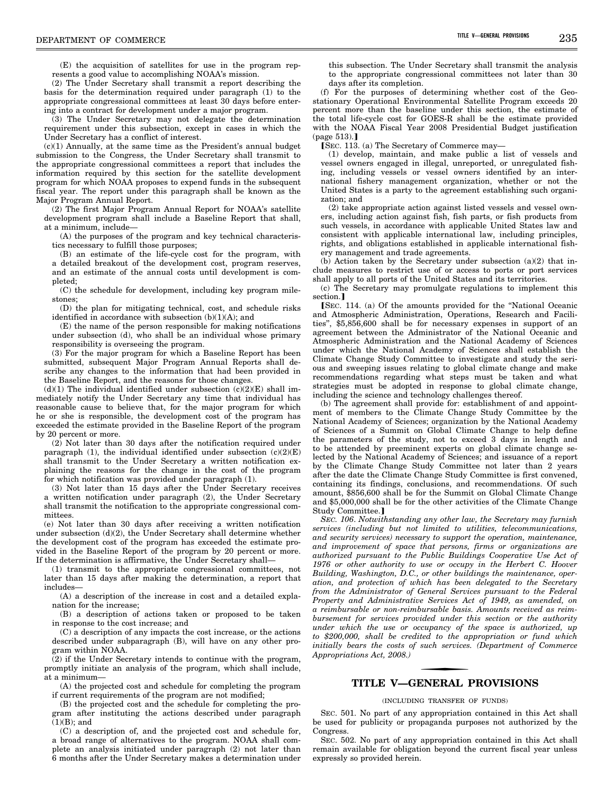(E) the acquisition of satellites for use in the program represents a good value to accomplishing NOAA's mission.

(2) The Under Secretary shall transmit a report describing the basis for the determination required under paragraph (1) to the appropriate congressional committees at least 30 days before entering into a contract for development under a major program.

(3) The Under Secretary may not delegate the determination requirement under this subsection, except in cases in which the Under Secretary has a conflict of interest.

(c)(1) Annually, at the same time as the President's annual budget submission to the Congress, the Under Secretary shall transmit to the appropriate congressional committees a report that includes the information required by this section for the satellite development program for which NOAA proposes to expend funds in the subsequent fiscal year. The report under this paragraph shall be known as the Major Program Annual Report.

(2) The first Major Program Annual Report for NOAA's satellite development program shall include a Baseline Report that shall, at a minimum, include—

(A) the purposes of the program and key technical characteristics necessary to fulfill those purposes;

(B) an estimate of the life-cycle cost for the program, with a detailed breakout of the development cost, program reserves, and an estimate of the annual costs until development is completed;

(C) the schedule for development, including key program milestones;

(D) the plan for mitigating technical, cost, and schedule risks identified in accordance with subsection  $(b)(1)(A)$ ; and

(E) the name of the person responsible for making notifications under subsection (d), who shall be an individual whose primary responsibility is overseeing the program.

(3) For the major program for which a Baseline Report has been submitted, subsequent Major Program Annual Reports shall describe any changes to the information that had been provided in the Baseline Report, and the reasons for those changes.

(d)(1) The individual identified under subsection ( $c(2)(E)$  shall immediately notify the Under Secretary any time that individual has reasonable cause to believe that, for the major program for which he or she is responsible, the development cost of the program has exceeded the estimate provided in the Baseline Report of the program by 20 percent or more.

(2) Not later than 30 days after the notification required under paragraph (1), the individual identified under subsection  $(c)(2)(E)$ shall transmit to the Under Secretary a written notification explaining the reasons for the change in the cost of the program for which notification was provided under paragraph (1).

(3) Not later than 15 days after the Under Secretary receives a written notification under paragraph (2), the Under Secretary shall transmit the notification to the appropriate congressional committees.

(e) Not later than 30 days after receiving a written notification under subsection (d)(2), the Under Secretary shall determine whether the development cost of the program has exceeded the estimate provided in the Baseline Report of the program by 20 percent or more. If the determination is affirmative, the Under Secretary shall—

(1) transmit to the appropriate congressional committees, not later than 15 days after making the determination, a report that includes—

(A) a description of the increase in cost and a detailed explanation for the increase;

(B) a description of actions taken or proposed to be taken in response to the cost increase; and

(C) a description of any impacts the cost increase, or the actions described under subparagraph (B), will have on any other program within NOAA.

(2) if the Under Secretary intends to continue with the program, promptly initiate an analysis of the program, which shall include, at a minimum—

(A) the projected cost and schedule for completing the program if current requirements of the program are not modified;

(B) the projected cost and the schedule for completing the program after instituting the actions described under paragraph  $(1)(B)$ ; and

(C) a description of, and the projected cost and schedule for, a broad range of alternatives to the program. NOAA shall complete an analysis initiated under paragraph (2) not later than 6 months after the Under Secretary makes a determination under

this subsection. The Under Secretary shall transmit the analysis to the appropriate congressional committees not later than 30 days after its completion.

(f) For the purposes of determining whether cost of the Geostationary Operational Environmental Satellite Program exceeds 20 percent more than the baseline under this section, the estimate of the total life-cycle cost for GOES-R shall be the estimate provided with the NOAA Fiscal Year 2008 Presidential Budget justification  $(page 513).$ 

[SEC. 113. (a) The Secretary of Commerce may-

(1) develop, maintain, and make public a list of vessels and vessel owners engaged in illegal, unreported, or unregulated fishing, including vessels or vessel owners identified by an international fishery management organization, whether or not the United States is a party to the agreement establishing such organization; and

(2) take appropriate action against listed vessels and vessel owners, including action against fish, fish parts, or fish products from such vessels, in accordance with applicable United States law and consistent with applicable international law, including principles, rights, and obligations established in applicable international fishery management and trade agreements.

(b) Action taken by the Secretary under subsection (a)(2) that include measures to restrict use of or access to ports or port services shall apply to all ports of the United States and its territories.

(c) The Secretary may promulgate regulations to implement this section.<sup>1</sup>

[SEC. 114. (a) Of the amounts provided for the "National Oceanic and Atmospheric Administration, Operations, Research and Facilities'', \$5,856,600 shall be for necessary expenses in support of an agreement between the Administrator of the National Oceanic and Atmospheric Administration and the National Academy of Sciences under which the National Academy of Sciences shall establish the Climate Change Study Committee to investigate and study the serious and sweeping issues relating to global climate change and make recommendations regarding what steps must be taken and what strategies must be adopted in response to global climate change, including the science and technology challenges thereof.

(b) The agreement shall provide for: establishment of and appointment of members to the Climate Change Study Committee by the National Academy of Sciences; organization by the National Academy of Sciences of a Summit on Global Climate Change to help define the parameters of the study, not to exceed 3 days in length and to be attended by preeminent experts on global climate change selected by the National Academy of Sciences; and issuance of a report by the Climate Change Study Committee not later than 2 years after the date the Climate Change Study Committee is first convened, containing its findings, conclusions, and recommendations. Of such amount, \$856,600 shall be for the Summit on Global Climate Change and \$5,000,000 shall be for the other activities of the Climate Change Study Committee.]

*SEC. 106*. *Notwithstanding any other law, the Secretary may furnish services (including but not limited to utilities, telecommunications, and security services) necessary to support the operation, maintenance, and improvement of space that persons, firms or organizations are authorized pursuant to the Public Buildings Cooperative Use Act of 1976 or other authority to use or occupy in the Herbert C. Hoover Building, Washington, D.C., or other buildings the maintenance, operation, and protection of which has been delegated to the Secretary from the Administrator of General Services pursuant to the Federal Property and Administrative Services Act of 1949, as amended, on a reimbursable or non-reimbursable basis. Amounts received as reimbursement for services provided under this section or the authority under which the use or occupancy of the space is authorized, up to \$200,000, shall be credited to the appropriation or fund which initially bears the costs of such services. (Department of Commerce Appropriations Act, 2008.)* 

# **TITLE V—GENERAL PROVISIONS**

#### (INCLUDING TRANSFER OF FUNDS)

SEC. 501. No part of any appropriation contained in this Act shall be used for publicity or propaganda purposes not authorized by the **Congress** 

SEC. 502. No part of any appropriation contained in this Act shall remain available for obligation beyond the current fiscal year unless expressly so provided herein.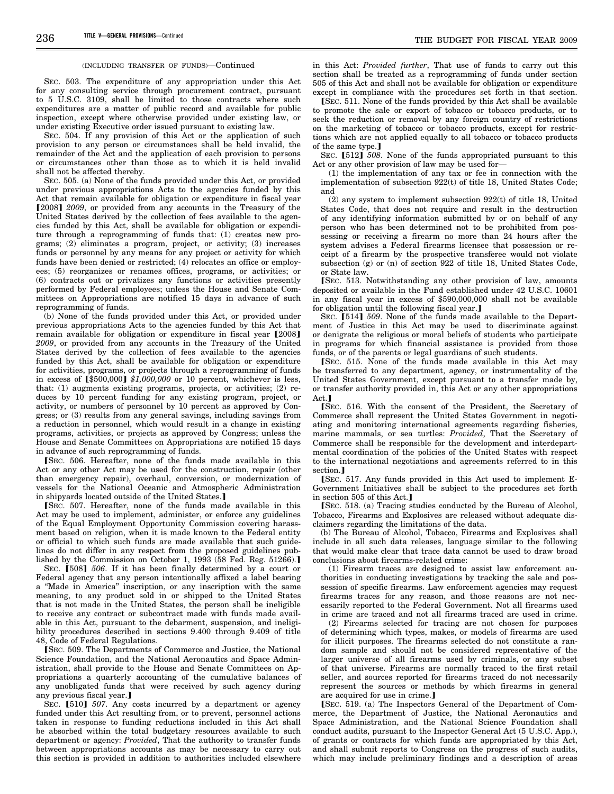#### (INCLUDING TRANSFER OF FUNDS)—Continued

SEC. 503. The expenditure of any appropriation under this Act for any consulting service through procurement contract, pursuant to 5 U.S.C. 3109, shall be limited to those contracts where such expenditures are a matter of public record and available for public inspection, except where otherwise provided under existing law, or under existing Executive order issued pursuant to existing law.

SEC. 504. If any provision of this Act or the application of such provision to any person or circumstances shall be held invalid, the remainder of the Act and the application of each provision to persons or circumstances other than those as to which it is held invalid shall not be affected thereby.

SEC. 505. (a) None of the funds provided under this Act, or provided under previous appropriations Acts to the agencies funded by this Act that remain available for obligation or expenditure in fiscal year [2008] *2009*, or provided from any accounts in the Treasury of the United States derived by the collection of fees available to the agencies funded by this Act, shall be available for obligation or expenditure through a reprogramming of funds that: (1) creates new programs; (2) eliminates a program, project, or activity; (3) increases funds or personnel by any means for any project or activity for which funds have been denied or restricted; (4) relocates an office or employees; (5) reorganizes or renames offices, programs, or activities; or (6) contracts out or privatizes any functions or activities presently performed by Federal employees; unless the House and Senate Committees on Appropriations are notified 15 days in advance of such reprogramming of funds.

(b) None of the funds provided under this Act, or provided under previous appropriations Acts to the agencies funded by this Act that remain available for obligation or expenditure in fiscal year [2008] *2009*, or provided from any accounts in the Treasury of the United States derived by the collection of fees available to the agencies funded by this Act, shall be available for obligation or expenditure for activities, programs, or projects through a reprogramming of funds in excess of  $\hat{I}$ \$500,000 $\hat{J}$  \$1,000,000 or 10 percent, whichever is less, that: (1) augments existing programs, projects, or activities; (2) reduces by 10 percent funding for any existing program, project, or activity, or numbers of personnel by 10 percent as approved by Congress; or (3) results from any general savings, including savings from a reduction in personnel, which would result in a change in existing programs, activities, or projects as approved by Congress; unless the House and Senate Committees on Appropriations are notified 15 days in advance of such reprogramming of funds.

[SEC. 506. Hereafter, none of the funds made available in this Act or any other Act may be used for the construction, repair (other than emergency repair), overhaul, conversion, or modernization of vessels for the National Oceanic and Atmospheric Administration in shipyards located outside of the United States.]

øSEC. 507. Hereafter, none of the funds made available in this Act may be used to implement, administer, or enforce any guidelines of the Equal Employment Opportunity Commission covering harassment based on religion, when it is made known to the Federal entity or official to which such funds are made available that such guidelines do not differ in any respect from the proposed guidelines published by the Commission on October 1, 1993 (58 Fed. Reg. 51266).]

SEC. [508] 506. If it has been finally determined by a court or Federal agency that any person intentionally affixed a label bearing a ''Made in America'' inscription, or any inscription with the same meaning, to any product sold in or shipped to the United States that is not made in the United States, the person shall be ineligible to receive any contract or subcontract made with funds made available in this Act, pursuant to the debarment, suspension, and ineligibility procedures described in sections 9.400 through 9.409 of title 48, Code of Federal Regulations.

øSEC. 509. The Departments of Commerce and Justice, the National Science Foundation, and the National Aeronautics and Space Administration, shall provide to the House and Senate Committees on Appropriations a quarterly accounting of the cumulative balances of any unobligated funds that were received by such agency during any previous fiscal year.]

SEC. [510] 507. Any costs incurred by a department or agency funded under this Act resulting from, or to prevent, personnel actions taken in response to funding reductions included in this Act shall be absorbed within the total budgetary resources available to such department or agency: *Provided*, That the authority to transfer funds between appropriations accounts as may be necessary to carry out this section is provided in addition to authorities included elsewhere

in this Act: *Provided further*, That use of funds to carry out this section shall be treated as a reprogramming of funds under section 505 of this Act and shall not be available for obligation or expenditure except in compliance with the procedures set forth in that section.

[SEC. 511. None of the funds provided by this Act shall be available to promote the sale or export of tobacco or tobacco products, or to seek the reduction or removal by any foreign country of restrictions on the marketing of tobacco or tobacco products, except for restrictions which are not applied equally to all tobacco or tobacco products of the same type.]

SEC. [512] 508. None of the funds appropriated pursuant to this Act or any other provision of law may be used for—

(1) the implementation of any tax or fee in connection with the implementation of subsection 922(t) of title 18, United States Code; and

(2) any system to implement subsection 922(t) of title 18, United States Code, that does not require and result in the destruction of any identifying information submitted by or on behalf of any person who has been determined not to be prohibited from possessing or receiving a firearm no more than 24 hours after the system advises a Federal firearms licensee that possession or receipt of a firearm by the prospective transferee would not violate subsection (g) or (n) of section 922 of title 18, United States Code, or State law.

SEC. 513. Notwithstanding any other provision of law, amounts deposited or available in the Fund established under 42 U.S.C. 10601 in any fiscal year in excess of \$590,000,000 shall not be available for obligation until the following fiscal year.

SEC. [514] 509. None of the funds made available to the Department of Justice in this Act may be used to discriminate against or denigrate the religious or moral beliefs of students who participate in programs for which financial assistance is provided from those funds, or of the parents or legal guardians of such students.

øSEC. 515. None of the funds made available in this Act may be transferred to any department, agency, or instrumentality of the United States Government, except pursuant to a transfer made by, or transfer authority provided in, this Act or any other appropriations  $Act.$   $\blacksquare$ 

[SEC. 516. With the consent of the President, the Secretary of Commerce shall represent the United States Government in negotiating and monitoring international agreements regarding fisheries, marine mammals, or sea turtles: *Provided*, That the Secretary of Commerce shall be responsible for the development and interdepartmental coordination of the policies of the United States with respect to the international negotiations and agreements referred to in this section.]

[SEC. 517. Any funds provided in this Act used to implement E-Government Initiatives shall be subject to the procedures set forth in section 505 of this Act.]

[SEC. 518. (a) Tracing studies conducted by the Bureau of Alcohol, Tobacco, Firearms and Explosives are released without adequate disclaimers regarding the limitations of the data.

(b) The Bureau of Alcohol, Tobacco, Firearms and Explosives shall include in all such data releases, language similar to the following that would make clear that trace data cannot be used to draw broad conclusions about firearms-related crime:

(1) Firearm traces are designed to assist law enforcement authorities in conducting investigations by tracking the sale and possession of specific firearms. Law enforcement agencies may request firearms traces for any reason, and those reasons are not necessarily reported to the Federal Government. Not all firearms used in crime are traced and not all firearms traced are used in crime.

(2) Firearms selected for tracing are not chosen for purposes of determining which types, makes, or models of firearms are used for illicit purposes. The firearms selected do not constitute a random sample and should not be considered representative of the larger universe of all firearms used by criminals, or any subset of that universe. Firearms are normally traced to the first retail seller, and sources reported for firearms traced do not necessarily represent the sources or methods by which firearms in general are acquired for use in crime.]

[SEC. 519. (a) The Inspectors General of the Department of Commerce, the Department of Justice, the National Aeronautics and Space Administration, and the National Science Foundation shall conduct audits, pursuant to the Inspector General Act (5 U.S.C. App.), of grants or contracts for which funds are appropriated by this Act, and shall submit reports to Congress on the progress of such audits, which may include preliminary findings and a description of areas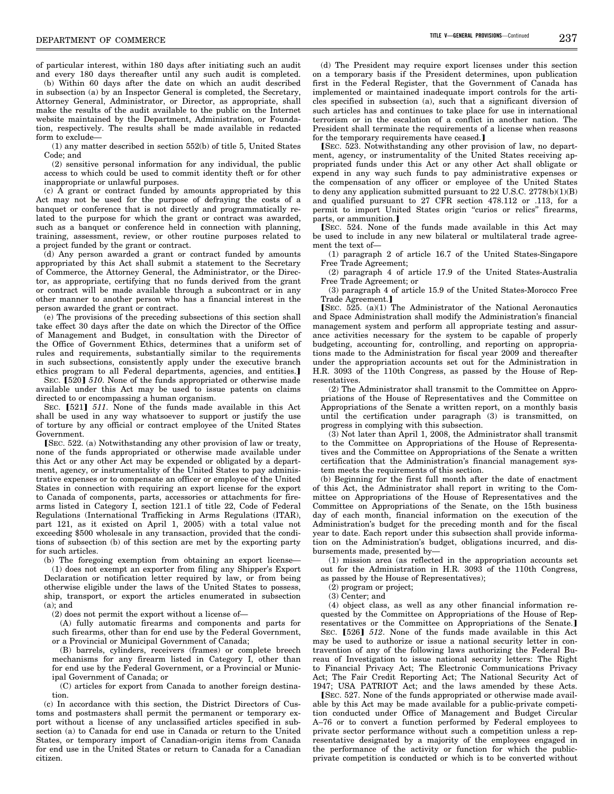of particular interest, within 180 days after initiating such an audit and every 180 days thereafter until any such audit is completed.

(b) Within 60 days after the date on which an audit described in subsection (a) by an Inspector General is completed, the Secretary, Attorney General, Administrator, or Director, as appropriate, shall make the results of the audit available to the public on the Internet website maintained by the Department, Administration, or Foundation, respectively. The results shall be made available in redacted form to exclude-

(1) any matter described in section 552(b) of title 5, United States Code; and

(2) sensitive personal information for any individual, the public access to which could be used to commit identity theft or for other inappropriate or unlawful purposes.

(c) A grant or contract funded by amounts appropriated by this Act may not be used for the purpose of defraying the costs of a banquet or conference that is not directly and programmatically related to the purpose for which the grant or contract was awarded, such as a banquet or conference held in connection with planning, training, assessment, review, or other routine purposes related to a project funded by the grant or contract.

(d) Any person awarded a grant or contract funded by amounts appropriated by this Act shall submit a statement to the Secretary of Commerce, the Attorney General, the Administrator, or the Director, as appropriate, certifying that no funds derived from the grant or contract will be made available through a subcontract or in any other manner to another person who has a financial interest in the person awarded the grant or contract.

(e) The provisions of the preceding subsections of this section shall take effect 30 days after the date on which the Director of the Office of Management and Budget, in consultation with the Director of the Office of Government Ethics, determines that a uniform set of rules and requirements, substantially similar to the requirements in such subsections, consistently apply under the executive branch ethics program to all Federal departments, agencies, and entities.

SEC. [520] 510. None of the funds appropriated or otherwise made available under this Act may be used to issue patents on claims directed to or encompassing a human organism.

SEC. [521] 511. None of the funds made available in this Act shall be used in any way whatsoever to support or justify the use of torture by any official or contract employee of the United States Government.

[SEC. 522. (a) Notwithstanding any other provision of law or treaty, none of the funds appropriated or otherwise made available under this Act or any other Act may be expended or obligated by a department, agency, or instrumentality of the United States to pay administrative expenses or to compensate an officer or employee of the United States in connection with requiring an export license for the export to Canada of components, parts, accessories or attachments for firearms listed in Category I, section 121.1 of title 22, Code of Federal Regulations (International Trafficking in Arms Regulations (ITAR), part 121, as it existed on April 1, 2005) with a total value not exceeding \$500 wholesale in any transaction, provided that the conditions of subsection (b) of this section are met by the exporting party for such articles.

(b) The foregoing exemption from obtaining an export license— (1) does not exempt an exporter from filing any Shipper's Export Declaration or notification letter required by law, or from being otherwise eligible under the laws of the United States to possess, ship, transport, or export the articles enumerated in subsection  $(a)$ ; and

(2) does not permit the export without a license of—

(A) fully automatic firearms and components and parts for such firearms, other than for end use by the Federal Government, or a Provincial or Municipal Government of Canada;

(B) barrels, cylinders, receivers (frames) or complete breech mechanisms for any firearm listed in Category I, other than for end use by the Federal Government, or a Provincial or Municipal Government of Canada; or

(C) articles for export from Canada to another foreign destination.

(c) In accordance with this section, the District Directors of Customs and postmasters shall permit the permanent or temporary export without a license of any unclassified articles specified in subsection (a) to Canada for end use in Canada or return to the United States, or temporary import of Canadian-origin items from Canada for end use in the United States or return to Canada for a Canadian citizen.

(d) The President may require export licenses under this section on a temporary basis if the President determines, upon publication first in the Federal Register, that the Government of Canada has implemented or maintained inadequate import controls for the articles specified in subsection (a), such that a significant diversion of such articles has and continues to take place for use in international terrorism or in the escalation of a conflict in another nation. The President shall terminate the requirements of a license when reasons for the temporary requirements have ceased.]

[SEC. 523. Notwithstanding any other provision of law, no department, agency, or instrumentality of the United States receiving appropriated funds under this Act or any other Act shall obligate or expend in any way such funds to pay administrative expenses or the compensation of any officer or employee of the United States to deny any application submitted pursuant to  $22$  U.S.C.  $2778(b)(1)(B)$ and qualified pursuant to 27 CFR section 478.112 or .113, for a permit to import United States origin "curios or relics" firearms, parts, or ammunition.]

[SEC. 524. None of the funds made available in this Act may be used to include in any new bilateral or multilateral trade agreement the text of—

(1) paragraph 2 of article 16.7 of the United States-Singapore Free Trade Agreement;

(2) paragraph 4 of article 17.9 of the United States-Australia Free Trade Agreement; or

(3) paragraph 4 of article 15.9 of the United States-Morocco Free Trade Agreement.]

[SEC.  $525.$  (a)(1) The Administrator of the National Aeronautics and Space Administration shall modify the Administration's financial management system and perform all appropriate testing and assurance activities necessary for the system to be capable of properly budgeting, accounting for, controlling, and reporting on appropriations made to the Administration for fiscal year 2009 and thereafter under the appropriation accounts set out for the Administration in H.R. 3093 of the 110th Congress, as passed by the House of Representatives.

(2) The Administrator shall transmit to the Committee on Appropriations of the House of Representatives and the Committee on Appropriations of the Senate a written report, on a monthly basis until the certification under paragraph (3) is transmitted, on progress in complying with this subsection.

(3) Not later than April 1, 2008, the Administrator shall transmit to the Committee on Appropriations of the House of Representatives and the Committee on Appropriations of the Senate a written certification that the Administration's financial management system meets the requirements of this section.

(b) Beginning for the first full month after the date of enactment of this Act, the Administrator shall report in writing to the Committee on Appropriations of the House of Representatives and the Committee on Appropriations of the Senate, on the 15th business day of each month, financial information on the execution of the Administration's budget for the preceding month and for the fiscal year to date. Each report under this subsection shall provide information on the Administration's budget, obligations incurred, and disbursements made, presented by—

(1) mission area (as reflected in the appropriation accounts set out for the Administration in H.R. 3093 of the 110th Congress, as passed by the House of Representatives);

(2) program or project;

(3) Center; and

(4) object class, as well as any other financial information requested by the Committee on Appropriations of the House of Representatives or the Committee on Appropriations of the Senate.]

SEC. [526] 512. None of the funds made available in this Act may be used to authorize or issue a national security letter in contravention of any of the following laws authorizing the Federal Bureau of Investigation to issue national security letters: The Right to Financial Privacy Act; The Electronic Communications Privacy Act; The Fair Credit Reporting Act; The National Security Act of 1947; USA PATRIOT Act; and the laws amended by these Acts.

[SEC. 527. None of the funds appropriated or otherwise made available by this Act may be made available for a public-private competition conducted under Office of Management and Budget Circular A–76 or to convert a function performed by Federal employees to private sector performance without such a competition unless a representative designated by a majority of the employees engaged in the performance of the activity or function for which the publicprivate competition is conducted or which is to be converted without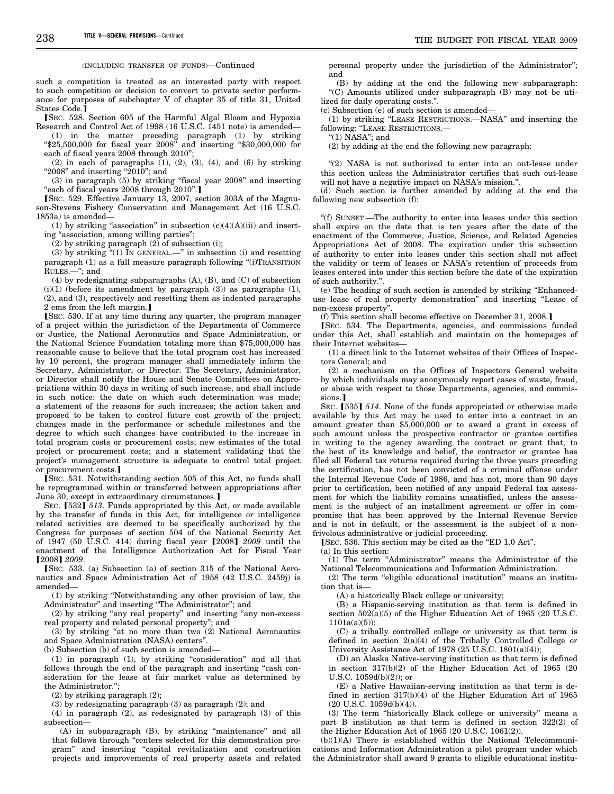such a competition is treated as an interested party with respect to such competition or decision to convert to private sector performance for purposes of subchapter V of chapter 35 of title 31, United States Code.<sup>]</sup>

[SEC. 528. Section 605 of the Harmful Algal Bloom and Hypoxia Research and Control Act of 1998 (16 U.S.C. 1451 note) is amended—

(1) in the matter preceding paragraph (1) by striking ''\$25,500,000 for fiscal year 2008'' and inserting ''\$30,000,000 for each of fiscal years 2008 through 2010'';

 $(2)$  in each of paragraphs  $(1)$ ,  $(2)$ ,  $(3)$ ,  $(4)$ , and  $(6)$  by striking "2008" and inserting " $2010$ "; and

(3) in paragraph (5) by striking ''fiscal year 2008'' and inserting "each of fiscal years 2008 through 2010".]

[SEC. 529. Effective January 13, 2007, section 303A of the Magnuson-Stevens Fishery Conservation and Management Act (16 U.S.C. 1853a) is amended—

(1) by striking "association" in subsection  $(c)(4)(A)(iii)$  and inserting "association, among willing parties";

(2) by striking paragraph (2) of subsection (i);

(3) by striking  $(1)$  IN GENERAL.—" in subsection (i) and resetting paragraph (1) as a full measure paragraph following "(i)TRANSITION RULES.—''; and

(4) by redesignating subparagraphs (A), (B), and (C) of subsection  $(i)(1)$  (before its amendment by paragraph  $(3)$ ) as paragraphs  $(1)$ , (2), and (3), respectively and resetting them as indented paragraphs 2 ems from the left margin.]

øSEC. 530. If at any time during any quarter, the program manager of a project within the jurisdiction of the Departments of Commerce or Justice, the National Aeronautics and Space Administration, or the National Science Foundation totaling more than \$75,000,000 has reasonable cause to believe that the total program cost has increased by 10 percent, the program manager shall immediately inform the Secretary, Administrator, or Director. The Secretary, Administrator, or Director shall notify the House and Senate Committees on Appropriations within 30 days in writing of such increase, and shall include in such notice: the date on which such determination was made; a statement of the reasons for such increases; the action taken and proposed to be taken to control future cost growth of the project; changes made in the performance or schedule milestones and the degree to which such changes have contributed to the increase in total program costs or procurement costs; new estimates of the total project or procurement costs; and a statement validating that the project's management structure is adequate to control total project or procurement costs.

øSEC. 531. Notwithstanding section 505 of this Act, no funds shall be reprogrammed within or transferred between appropriations after June 30, except in extraordinary circumstances.]

SEC. [532] 513. Funds appropriated by this Act, or made available by the transfer of funds in this Act, for intelligence or intelligence related activities are deemed to be specifically authorized by the Congress for purposes of section 504 of the National Security Act of 1947 (50 U.S.C. 414) during fiscal year [2008] 2009 until the enactment of the Intelligence Authorization Act for Fiscal Year ø2008¿ *2009*.

[SEC. 533. (a) Subsection (a) of section 315 of the National Aeronautics and Space Administration Act of 1958 (42 U.S.C. 2459j) is amended—

(1) by striking ''Notwithstanding any other provision of law, the Administrator'' and inserting ''The Administrator''; and

(2) by striking ''any real property'' and inserting ''any non-excess real property and related personal property''; and

(3) by striking ''at no more than two (2) National Aeronautics and Space Administration (NASA) centers''.

(b) Subsection (b) of such section is amended—

(1) in paragraph (1), by striking ''consideration'' and all that follows through the end of the paragraph and inserting "cash consideration for the lease at fair market value as determined by the Administrator.'';

(2) by striking paragraph (2);

(3) by redesignating paragraph (3) as paragraph (2); and

(4) in paragraph (2), as redesignated by paragraph (3) of this subsection—

(A) in subparagraph (B), by striking "maintenance" and all that follows through ''centers selected for this demonstration program'' and inserting ''capital revitalization and construction projects and improvements of real property assets and related personal property under the jurisdiction of the Administrator''; and

(B) by adding at the end the following new subparagraph: ''(C) Amounts utilized under subparagraph (B) may not be utilized for daily operating costs.''.

(c) Subsection (e) of such section is amended—

(1) by striking ''LEASE RESTRICTIONS.—NASA'' and inserting the following: "LEASE RESTRICTIONS.-

" $(1)$  NASA"; and

(2) by adding at the end the following new paragraph:

"(2) NASA is not authorized to enter into an out-lease under this section unless the Administrator certifies that such out-lease will not have a negative impact on NASA's mission.''.

(d) Such section is further amended by adding at the end the following new subsection (f):

''(f) SUNSET.—The authority to enter into leases under this section shall expire on the date that is ten years after the date of the enactment of the Commerce, Justice, Science, and Related Agencies Appropriations Act of 2008. The expiration under this subsection of authority to enter into leases under this section shall not affect the validity or term of leases or NASA's retention of proceeds from leases entered into under this section before the date of the expiration of such authority.''.

(e) The heading of such section is amended by striking ''Enhanceduse lease of real property demonstration'' and inserting ''Lease of non-excess property''.

(f) This section shall become effective on December 31, 2008.

[SEC. 534. The Departments, agencies, and commissions funded under this Act, shall establish and maintain on the homepages of their Internet websites—

(1) a direct link to the Internet websites of their Offices of Inspectors General; and

(2) a mechanism on the Offices of Inspectors General website by which individuals may anonymously report cases of waste, fraud, or abuse with respect to those Departments, agencies, and commissions.<sup>1</sup>

SEC. [535] 514. None of the funds appropriated or otherwise made available by this Act may be used to enter into a contract in an amount greater than \$5,000,000 or to award a grant in excess of such amount unless the prospective contractor or grantee certifies in writing to the agency awarding the contract or grant that, to the best of its knowledge and belief, the contractor or grantee has filed all Federal tax returns required during the three years preceding the certification, has not been convicted of a criminal offense under the Internal Revenue Code of 1986, and has not, more than 90 days prior to certification, been notified of any unpaid Federal tax assessment for which the liability remains unsatisfied, unless the assessment is the subject of an installment agreement or offer in compromise that has been approved by the Internal Revenue Service and is not in default, or the assessment is the subject of a nonfrivolous administrative or judicial proceeding.

[SEC. 536. This section may be cited as the "ED 1.0 Act".

(a) In this section:

(1) The term ''Administrator'' means the Administrator of the National Telecommunications and Information Administration.

(2) The term ''eligible educational institution'' means an institution that is—

(A) a historically Black college or university;

(B) a Hispanic-serving institution as that term is defined in section  $502(a)(5)$  of the Higher Education Act of 1965 (20 U.S.C.  $1101a(a)(5)$ :

(C) a tribally controlled college or university as that term is defined in section 2(a)(4) of the Tribally Controlled College or University Assistance Act of 1978 (25 U.S.C. 1801(a)(4));

(D) an Alaska Native-serving institution as that term is defined in section 317(b)(2) of the Higher Education Act of 1965 (20 U.S.C. 1059d(b)(2)); or

(E) a Native Hawaiian-serving institution as that term is defined in section 317(b)(4) of the Higher Education Act of 1965 (20 U.S.C. 1059d(b)(4)).

(3) The term ''historically Black college or university'' means a part B institution as that term is defined in section 322(2) of the Higher Education Act of 1965 (20 U.S.C. 1061(2)).

(b)(1)(A) There is established within the National Telecommunications and Information Administration a pilot program under which the Administrator shall award 9 grants to eligible educational institu